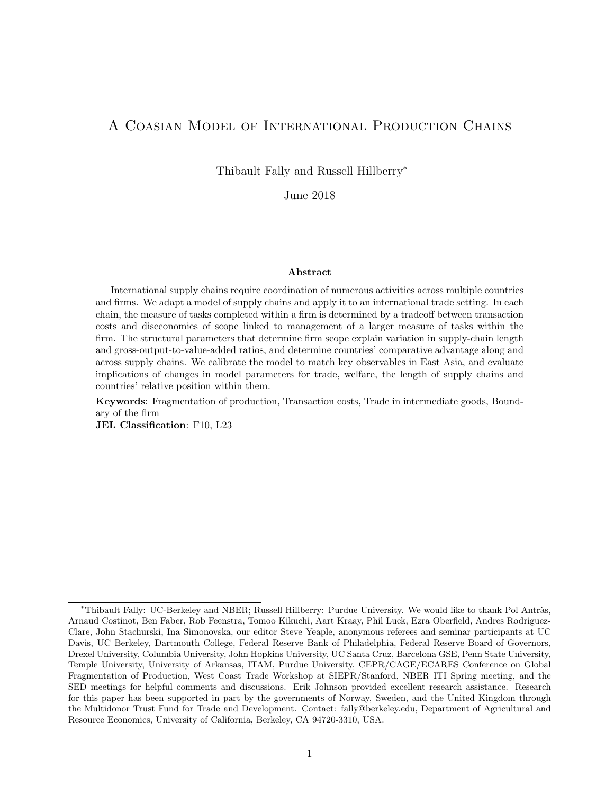# A Coasian Model of International Production Chains

Thibault Fally and Russell Hillberry<sup>∗</sup>

June 2018

#### Abstract

International supply chains require coordination of numerous activities across multiple countries and firms. We adapt a model of supply chains and apply it to an international trade setting. In each chain, the measure of tasks completed within a firm is determined by a tradeoff between transaction costs and diseconomies of scope linked to management of a larger measure of tasks within the firm. The structural parameters that determine firm scope explain variation in supply-chain length and gross-output-to-value-added ratios, and determine countries' comparative advantage along and across supply chains. We calibrate the model to match key observables in East Asia, and evaluate implications of changes in model parameters for trade, welfare, the length of supply chains and countries' relative position within them.

Keywords: Fragmentation of production, Transaction costs, Trade in intermediate goods, Boundary of the firm

JEL Classification: F10, L23

<sup>∗</sup>Thibault Fally: UC-Berkeley and NBER; Russell Hillberry: Purdue University. We would like to thank Pol Antr`as, Arnaud Costinot, Ben Faber, Rob Feenstra, Tomoo Kikuchi, Aart Kraay, Phil Luck, Ezra Oberfield, Andres Rodriguez-Clare, John Stachurski, Ina Simonovska, our editor Steve Yeaple, anonymous referees and seminar participants at UC Davis, UC Berkeley, Dartmouth College, Federal Reserve Bank of Philadelphia, Federal Reserve Board of Governors, Drexel University, Columbia University, John Hopkins University, UC Santa Cruz, Barcelona GSE, Penn State University, Temple University, University of Arkansas, ITAM, Purdue University, CEPR/CAGE/ECARES Conference on Global Fragmentation of Production, West Coast Trade Workshop at SIEPR/Stanford, NBER ITI Spring meeting, and the SED meetings for helpful comments and discussions. Erik Johnson provided excellent research assistance. Research for this paper has been supported in part by the governments of Norway, Sweden, and the United Kingdom through the Multidonor Trust Fund for Trade and Development. Contact: fally@berkeley.edu, Department of Agricultural and Resource Economics, University of California, Berkeley, CA 94720-3310, USA.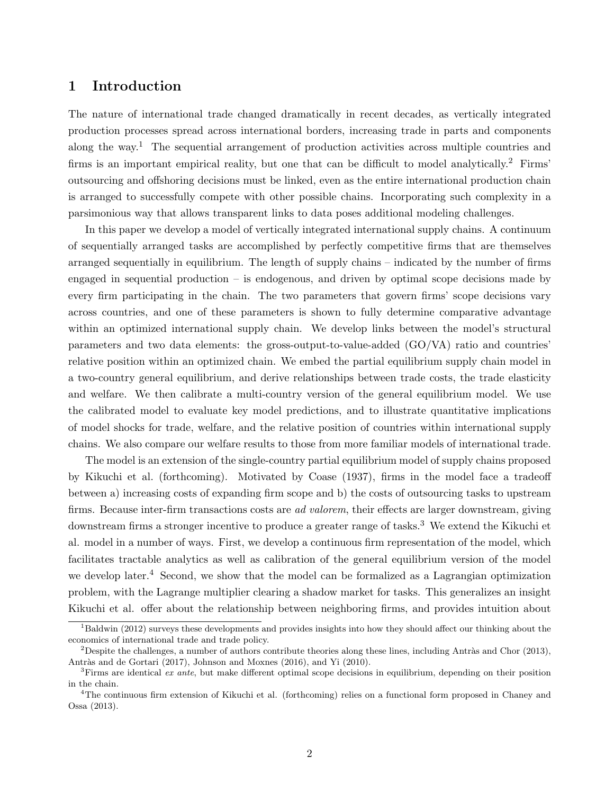# 1 Introduction

The nature of international trade changed dramatically in recent decades, as vertically integrated production processes spread across international borders, increasing trade in parts and components along the way.<sup>1</sup> The sequential arrangement of production activities across multiple countries and firms is an important empirical reality, but one that can be difficult to model analytically.<sup>2</sup> Firms' outsourcing and offshoring decisions must be linked, even as the entire international production chain is arranged to successfully compete with other possible chains. Incorporating such complexity in a parsimonious way that allows transparent links to data poses additional modeling challenges.

In this paper we develop a model of vertically integrated international supply chains. A continuum of sequentially arranged tasks are accomplished by perfectly competitive firms that are themselves arranged sequentially in equilibrium. The length of supply chains – indicated by the number of firms engaged in sequential production – is endogenous, and driven by optimal scope decisions made by every firm participating in the chain. The two parameters that govern firms' scope decisions vary across countries, and one of these parameters is shown to fully determine comparative advantage within an optimized international supply chain. We develop links between the model's structural parameters and two data elements: the gross-output-to-value-added (GO/VA) ratio and countries' relative position within an optimized chain. We embed the partial equilibrium supply chain model in a two-country general equilibrium, and derive relationships between trade costs, the trade elasticity and welfare. We then calibrate a multi-country version of the general equilibrium model. We use the calibrated model to evaluate key model predictions, and to illustrate quantitative implications of model shocks for trade, welfare, and the relative position of countries within international supply chains. We also compare our welfare results to those from more familiar models of international trade.

The model is an extension of the single-country partial equilibrium model of supply chains proposed by Kikuchi et al. (forthcoming). Motivated by Coase (1937), firms in the model face a tradeoff between a) increasing costs of expanding firm scope and b) the costs of outsourcing tasks to upstream firms. Because inter-firm transactions costs are ad valorem, their effects are larger downstream, giving downstream firms a stronger incentive to produce a greater range of tasks.<sup>3</sup> We extend the Kikuchi et al. model in a number of ways. First, we develop a continuous firm representation of the model, which facilitates tractable analytics as well as calibration of the general equilibrium version of the model we develop later.<sup>4</sup> Second, we show that the model can be formalized as a Lagrangian optimization problem, with the Lagrange multiplier clearing a shadow market for tasks. This generalizes an insight Kikuchi et al. offer about the relationship between neighboring firms, and provides intuition about

 $1B$ aldwin (2012) surveys these developments and provides insights into how they should affect our thinking about the economics of international trade and trade policy.

<sup>&</sup>lt;sup>2</sup>Despite the challenges, a number of authors contribute theories along these lines, including Antràs and Chor (2013), Antràs and de Gortari (2017), Johnson and Moxnes (2016), and Yi (2010).

 ${}^{3}$ Firms are identical *ex ante*, but make different optimal scope decisions in equilibrium, depending on their position in the chain.

<sup>&</sup>lt;sup>4</sup>The continuous firm extension of Kikuchi et al. (forthcoming) relies on a functional form proposed in Chaney and Ossa (2013).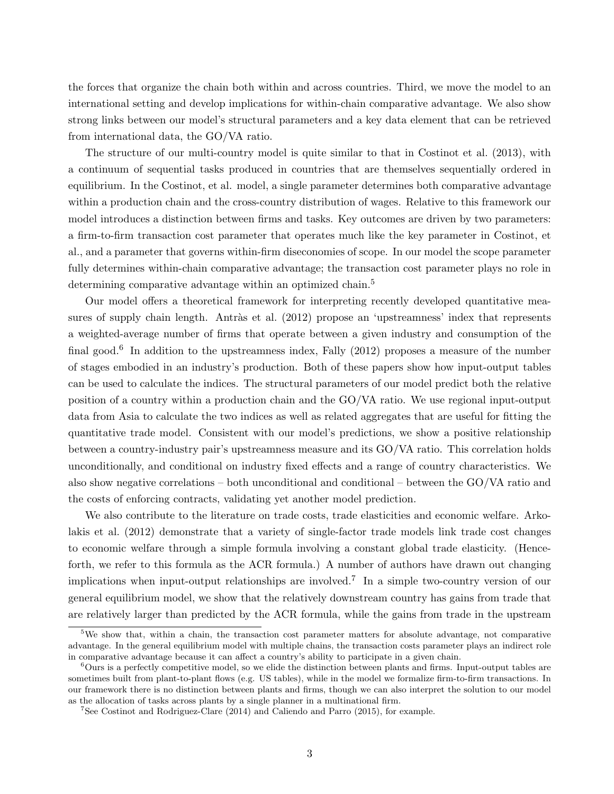the forces that organize the chain both within and across countries. Third, we move the model to an international setting and develop implications for within-chain comparative advantage. We also show strong links between our model's structural parameters and a key data element that can be retrieved from international data, the GO/VA ratio.

The structure of our multi-country model is quite similar to that in Costinot et al. (2013), with a continuum of sequential tasks produced in countries that are themselves sequentially ordered in equilibrium. In the Costinot, et al. model, a single parameter determines both comparative advantage within a production chain and the cross-country distribution of wages. Relative to this framework our model introduces a distinction between firms and tasks. Key outcomes are driven by two parameters: a firm-to-firm transaction cost parameter that operates much like the key parameter in Costinot, et al., and a parameter that governs within-firm diseconomies of scope. In our model the scope parameter fully determines within-chain comparative advantage; the transaction cost parameter plays no role in determining comparative advantage within an optimized chain.<sup>5</sup>

Our model offers a theoretical framework for interpreting recently developed quantitative measures of supply chain length. Antràs et al. (2012) propose an 'upstreamness' index that represents a weighted-average number of firms that operate between a given industry and consumption of the final good.<sup>6</sup> In addition to the upstreamness index, Fally (2012) proposes a measure of the number of stages embodied in an industry's production. Both of these papers show how input-output tables can be used to calculate the indices. The structural parameters of our model predict both the relative position of a country within a production chain and the GO/VA ratio. We use regional input-output data from Asia to calculate the two indices as well as related aggregates that are useful for fitting the quantitative trade model. Consistent with our model's predictions, we show a positive relationship between a country-industry pair's upstreamness measure and its GO/VA ratio. This correlation holds unconditionally, and conditional on industry fixed effects and a range of country characteristics. We also show negative correlations – both unconditional and conditional – between the GO/VA ratio and the costs of enforcing contracts, validating yet another model prediction.

We also contribute to the literature on trade costs, trade elasticities and economic welfare. Arkolakis et al. (2012) demonstrate that a variety of single-factor trade models link trade cost changes to economic welfare through a simple formula involving a constant global trade elasticity. (Henceforth, we refer to this formula as the ACR formula.) A number of authors have drawn out changing implications when input-output relationships are involved.<sup>7</sup> In a simple two-country version of our general equilibrium model, we show that the relatively downstream country has gains from trade that are relatively larger than predicted by the ACR formula, while the gains from trade in the upstream

<sup>5</sup>We show that, within a chain, the transaction cost parameter matters for absolute advantage, not comparative advantage. In the general equilibrium model with multiple chains, the transaction costs parameter plays an indirect role in comparative advantage because it can affect a country's ability to participate in a given chain.

 $6$ Ours is a perfectly competitive model, so we elide the distinction between plants and firms. Input-output tables are sometimes built from plant-to-plant flows (e.g. US tables), while in the model we formalize firm-to-firm transactions. In our framework there is no distinction between plants and firms, though we can also interpret the solution to our model as the allocation of tasks across plants by a single planner in a multinational firm.

<sup>7</sup>See Costinot and Rodriguez-Clare (2014) and Caliendo and Parro (2015), for example.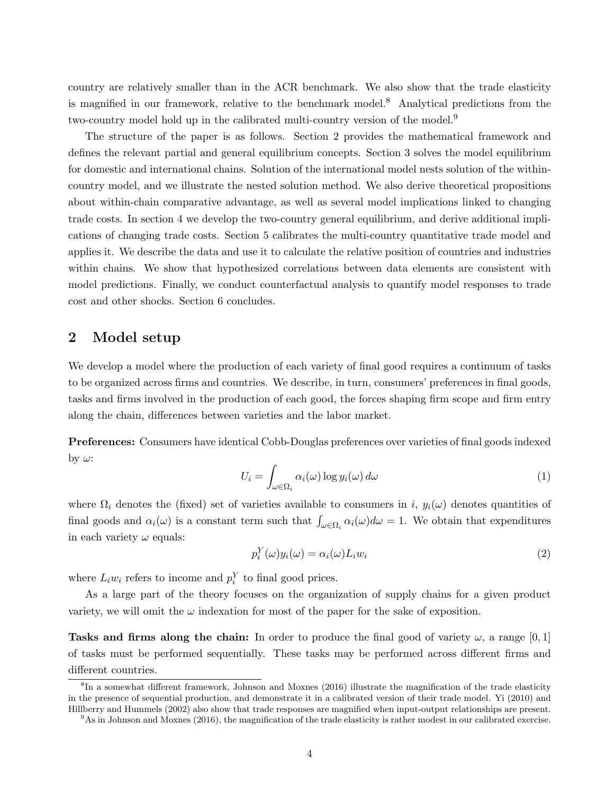country are relatively smaller than in the ACR benchmark. We also show that the trade elasticity is magnified in our framework, relative to the benchmark model.<sup>8</sup> Analytical predictions from the two-country model hold up in the calibrated multi-country version of the model.<sup>9</sup>

The structure of the paper is as follows. Section 2 provides the mathematical framework and defines the relevant partial and general equilibrium concepts. Section 3 solves the model equilibrium for domestic and international chains. Solution of the international model nests solution of the withincountry model, and we illustrate the nested solution method. We also derive theoretical propositions about within-chain comparative advantage, as well as several model implications linked to changing trade costs. In section 4 we develop the two-country general equilibrium, and derive additional implications of changing trade costs. Section 5 calibrates the multi-country quantitative trade model and applies it. We describe the data and use it to calculate the relative position of countries and industries within chains. We show that hypothesized correlations between data elements are consistent with model predictions. Finally, we conduct counterfactual analysis to quantify model responses to trade cost and other shocks. Section 6 concludes.

# 2 Model setup

We develop a model where the production of each variety of final good requires a continuum of tasks to be organized across firms and countries. We describe, in turn, consumers' preferences in final goods, tasks and firms involved in the production of each good, the forces shaping firm scope and firm entry along the chain, differences between varieties and the labor market.

Preferences: Consumers have identical Cobb-Douglas preferences over varieties of final goods indexed by  $\omega$ :

$$
U_i = \int_{\omega \in \Omega_i} \alpha_i(\omega) \log y_i(\omega) d\omega \tag{1}
$$

where  $\Omega_i$  denotes the (fixed) set of varieties available to consumers in i,  $y_i(\omega)$  denotes quantities of final goods and  $\alpha_i(\omega)$  is a constant term such that  $\int_{\omega \in \Omega_i} \alpha_i(\omega) d\omega = 1$ . We obtain that expenditures in each variety  $\omega$  equals:

$$
p_i^Y(\omega)y_i(\omega) = \alpha_i(\omega)L_i w_i \tag{2}
$$

where  $L_i w_i$  refers to income and  $p_i^Y$  to final good prices.

As a large part of the theory focuses on the organization of supply chains for a given product variety, we will omit the  $\omega$  indexation for most of the paper for the sake of exposition.

Tasks and firms along the chain: In order to produce the final good of variety  $\omega$ , a range [0, 1] of tasks must be performed sequentially. These tasks may be performed across different firms and different countries.

<sup>&</sup>lt;sup>8</sup>In a somewhat different framework, Johnson and Moxnes (2016) illustrate the magnification of the trade elasticity in the presence of sequential production, and demonstrate it in a calibrated version of their trade model. Yi (2010) and Hillberry and Hummels (2002) also show that trade responses are magnified when input-output relationships are present.

 $9<sup>9</sup>$ As in Johnson and Moxnes (2016), the magnification of the trade elasticity is rather modest in our calibrated exercise.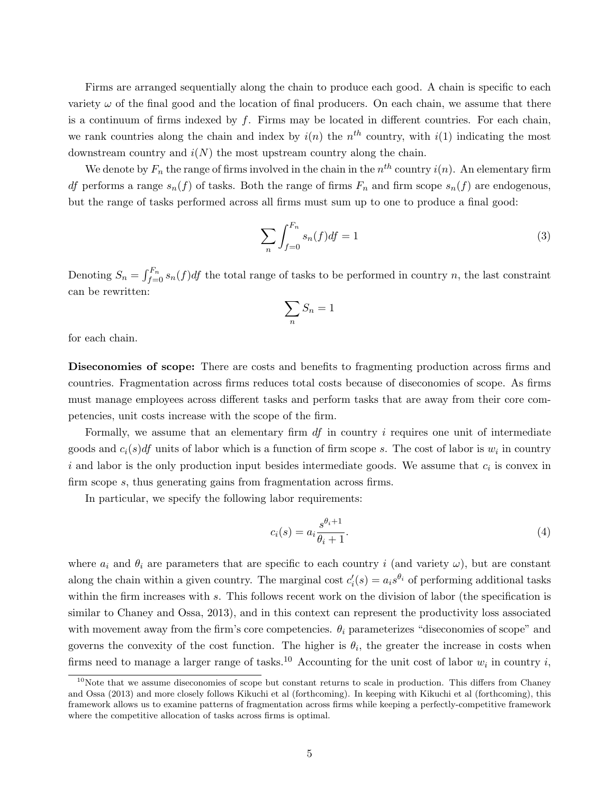Firms are arranged sequentially along the chain to produce each good. A chain is specific to each variety  $\omega$  of the final good and the location of final producers. On each chain, we assume that there is a continuum of firms indexed by  $f$ . Firms may be located in different countries. For each chain, we rank countries along the chain and index by  $i(n)$  the  $n<sup>th</sup>$  country, with  $i(1)$  indicating the most downstream country and  $i(N)$  the most upstream country along the chain.

We denote by  $F_n$  the range of firms involved in the chain in the  $n^{th}$  country  $i(n)$ . An elementary firm df performs a range  $s_n(f)$  of tasks. Both the range of firms  $F_n$  and firm scope  $s_n(f)$  are endogenous, but the range of tasks performed across all firms must sum up to one to produce a final good:

$$
\sum_{n} \int_{f=0}^{F_n} s_n(f) df = 1
$$
\n(3)

Denoting  $S_n = \int_{f=0}^{F_n} s_n(f) df$  the total range of tasks to be performed in country n, the last constraint can be rewritten:

$$
\sum_n S_n = 1
$$

for each chain.

Diseconomies of scope: There are costs and benefits to fragmenting production across firms and countries. Fragmentation across firms reduces total costs because of diseconomies of scope. As firms must manage employees across different tasks and perform tasks that are away from their core competencies, unit costs increase with the scope of the firm.

Formally, we assume that an elementary firm  $df$  in country  $i$  requires one unit of intermediate goods and  $c_i(s)$  units of labor which is a function of firm scope s. The cost of labor is  $w_i$  in country i and labor is the only production input besides intermediate goods. We assume that  $c_i$  is convex in firm scope s, thus generating gains from fragmentation across firms.

In particular, we specify the following labor requirements:

$$
c_i(s) = a_i \frac{s^{\theta_i + 1}}{\theta_i + 1}.
$$
\n<sup>(4)</sup>

where  $a_i$  and  $\theta_i$  are parameters that are specific to each country i (and variety  $\omega$ ), but are constant along the chain within a given country. The marginal cost  $c_i'(s) = a_i s^{\theta_i}$  of performing additional tasks within the firm increases with s. This follows recent work on the division of labor (the specification is similar to Chaney and Ossa, 2013), and in this context can represent the productivity loss associated with movement away from the firm's core competencies.  $\theta_i$  parameterizes "diseconomies of scope" and governs the convexity of the cost function. The higher is  $\theta_i$ , the greater the increase in costs when firms need to manage a larger range of tasks.<sup>10</sup> Accounting for the unit cost of labor  $w_i$  in country i,

 $10$ Note that we assume diseconomies of scope but constant returns to scale in production. This differs from Chaney and Ossa (2013) and more closely follows Kikuchi et al (forthcoming). In keeping with Kikuchi et al (forthcoming), this framework allows us to examine patterns of fragmentation across firms while keeping a perfectly-competitive framework where the competitive allocation of tasks across firms is optimal.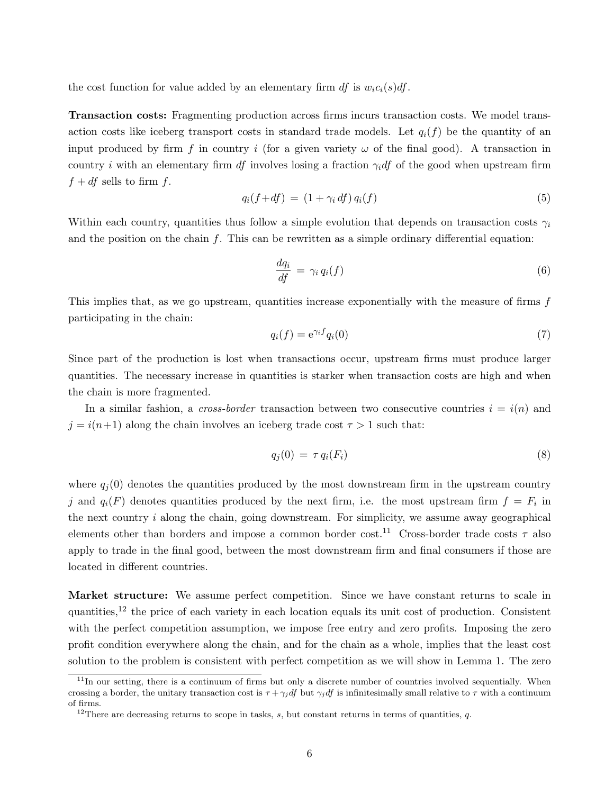the cost function for value added by an elementary firm df is  $w_i c_i(s) dt$ .

Transaction costs: Fragmenting production across firms incurs transaction costs. We model transaction costs like iceberg transport costs in standard trade models. Let  $q_i(f)$  be the quantity of an input produced by firm f in country i (for a given variety  $\omega$  of the final good). A transaction in country i with an elementary firm df involves losing a fraction  $\gamma_i$ df of the good when upstream firm  $f + df$  sells to firm f.

$$
q_i(f+df) = (1+\gamma_i df) q_i(f) \tag{5}
$$

Within each country, quantities thus follow a simple evolution that depends on transaction costs  $\gamma_i$ and the position on the chain  $f$ . This can be rewritten as a simple ordinary differential equation:

$$
\frac{dq_i}{df} = \gamma_i q_i(f) \tag{6}
$$

This implies that, as we go upstream, quantities increase exponentially with the measure of firms  $f$ participating in the chain:

$$
q_i(f) = e^{\gamma_i f} q_i(0) \tag{7}
$$

Since part of the production is lost when transactions occur, upstream firms must produce larger quantities. The necessary increase in quantities is starker when transaction costs are high and when the chain is more fragmented.

In a similar fashion, a *cross-border* transaction between two consecutive countries  $i = i(n)$  and  $j = i(n+1)$  along the chain involves an iceberg trade cost  $\tau > 1$  such that:

$$
q_j(0) = \tau q_i(F_i) \tag{8}
$$

where  $q_i(0)$  denotes the quantities produced by the most downstream firm in the upstream country j and  $q_i(F)$  denotes quantities produced by the next firm, i.e. the most upstream firm  $f = F_i$  in the next country  $i$  along the chain, going downstream. For simplicity, we assume away geographical elements other than borders and impose a common border cost.<sup>11</sup> Cross-border trade costs  $\tau$  also apply to trade in the final good, between the most downstream firm and final consumers if those are located in different countries.

Market structure: We assume perfect competition. Since we have constant returns to scale in quantities,<sup>12</sup> the price of each variety in each location equals its unit cost of production. Consistent with the perfect competition assumption, we impose free entry and zero profits. Imposing the zero profit condition everywhere along the chain, and for the chain as a whole, implies that the least cost solution to the problem is consistent with perfect competition as we will show in Lemma 1. The zero

 $11$ In our setting, there is a continuum of firms but only a discrete number of countries involved sequentially. When crossing a border, the unitary transaction cost is  $\tau + \gamma_i df$  but  $\gamma_i df$  is infinitesimally small relative to  $\tau$  with a continuum of firms.

<sup>&</sup>lt;sup>12</sup>There are decreasing returns to scope in tasks,  $s$ , but constant returns in terms of quantities,  $q$ .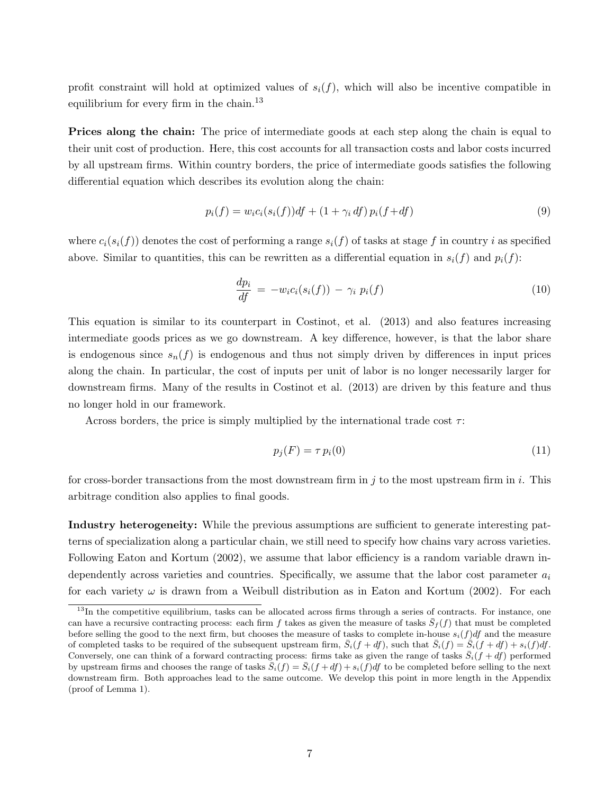profit constraint will hold at optimized values of  $s_i(f)$ , which will also be incentive compatible in equilibrium for every firm in the chain.<sup>13</sup>

**Prices along the chain:** The price of intermediate goods at each step along the chain is equal to their unit cost of production. Here, this cost accounts for all transaction costs and labor costs incurred by all upstream firms. Within country borders, the price of intermediate goods satisfies the following differential equation which describes its evolution along the chain:

$$
p_i(f) = w_i c_i(s_i(f)) df + (1 + \gamma_i df) p_i(f + df)
$$
\n(9)

where  $c_i(s_i(f))$  denotes the cost of performing a range  $s_i(f)$  of tasks at stage f in country i as specified above. Similar to quantities, this can be rewritten as a differential equation in  $s_i(f)$  and  $p_i(f)$ :

$$
\frac{dp_i}{df} = -w_i c_i(s_i(f)) - \gamma_i p_i(f) \tag{10}
$$

This equation is similar to its counterpart in Costinot, et al. (2013) and also features increasing intermediate goods prices as we go downstream. A key difference, however, is that the labor share is endogenous since  $s_n(f)$  is endogenous and thus not simply driven by differences in input prices along the chain. In particular, the cost of inputs per unit of labor is no longer necessarily larger for downstream firms. Many of the results in Costinot et al. (2013) are driven by this feature and thus no longer hold in our framework.

Across borders, the price is simply multiplied by the international trade cost  $\tau$ :

$$
p_j(F) = \tau \, p_i(0) \tag{11}
$$

for cross-border transactions from the most downstream firm in  $j$  to the most upstream firm in  $i$ . This arbitrage condition also applies to final goods.

Industry heterogeneity: While the previous assumptions are sufficient to generate interesting patterns of specialization along a particular chain, we still need to specify how chains vary across varieties. Following Eaton and Kortum (2002), we assume that labor efficiency is a random variable drawn independently across varieties and countries. Specifically, we assume that the labor cost parameter  $a_i$ for each variety  $\omega$  is drawn from a Weibull distribution as in Eaton and Kortum (2002). For each

 $13$ In the competitive equilibrium, tasks can be allocated across firms through a series of contracts. For instance, one can have a recursive contracting process: each firm f takes as given the measure of tasks  $\bar{S}_f(f)$  that must be completed before selling the good to the next firm, but chooses the measure of tasks to complete in-house  $s_i(f)df$  and the measure of completed tasks to be required of the subsequent upstream firm,  $\bar{S}_i(f + df)$ , such that  $\bar{S}_i(f) = \bar{S}_i(f + df) + s_i(f)df$ . Conversely, one can think of a forward contracting process: firms take as given the range of tasks  $\bar{S}_i(f + df)$  performed by upstream firms and chooses the range of tasks  $\bar{S}_i(f) = \bar{S}_i(f + df) + s_i(f)df$  to be completed before selling to the next downstream firm. Both approaches lead to the same outcome. We develop this point in more length in the Appendix (proof of Lemma 1).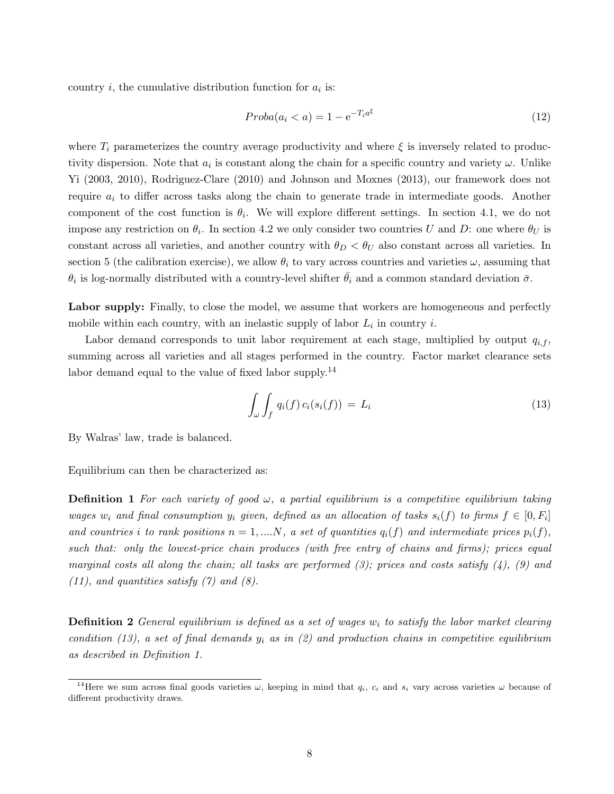country  $i$ , the cumulative distribution function for  $a_i$  is:

$$
Proba(a_i < a) = 1 - e^{-T_i a^\xi} \tag{12}
$$

where  $T_i$  parameterizes the country average productivity and where  $\xi$  is inversely related to productivity dispersion. Note that  $a_i$  is constant along the chain for a specific country and variety  $\omega$ . Unlike Yi (2003, 2010), Rodriguez-Clare (2010) and Johnson and Moxnes (2013), our framework does not require  $a_i$  to differ across tasks along the chain to generate trade in intermediate goods. Another component of the cost function is  $\theta_i$ . We will explore different settings. In section 4.1, we do not impose any restriction on  $\theta_i$ . In section 4.2 we only consider two countries U and D: one where  $\theta_U$  is constant across all varieties, and another country with  $\theta_D < \theta_U$  also constant across all varieties. In section 5 (the calibration exercise), we allow  $\theta_i$  to vary across countries and varieties  $\omega$ , assuming that  $\theta_i$  is log-normally distributed with a country-level shifter  $\bar{\theta}_i$  and a common standard deviation  $\bar{\sigma}$ .

Labor supply: Finally, to close the model, we assume that workers are homogeneous and perfectly mobile within each country, with an inelastic supply of labor  $L_i$  in country i.

Labor demand corresponds to unit labor requirement at each stage, multiplied by output  $q_{i,f}$ , summing across all varieties and all stages performed in the country. Factor market clearance sets labor demand equal to the value of fixed labor supply.<sup>14</sup>

$$
\int_{\omega} \int_{f} q_i(f) c_i(s_i(f)) = L_i \tag{13}
$$

By Walras' law, trade is balanced.

Equilibrium can then be characterized as:

**Definition 1** For each variety of good  $\omega$ , a partial equilibrium is a competitive equilibrium taking wages  $w_i$  and final consumption  $y_i$  given, defined as an allocation of tasks  $s_i(f)$  to firms  $f \in [0, F_i]$ and countries i to rank positions  $n = 1, ..., N$ , a set of quantities  $q_i(f)$  and intermediate prices  $p_i(f)$ , such that: only the lowest-price chain produces (with free entry of chains and firms); prices equal marginal costs all along the chain; all tasks are performed  $(3)$ ; prices and costs satisfy  $(4)$ ,  $(9)$  and  $(11)$ , and quantities satisfy  $(7)$  and  $(8)$ .

**Definition 2** General equilibrium is defined as a set of wages  $w_i$  to satisfy the labor market clearing condition (13), a set of final demands  $y_i$  as in (2) and production chains in competitive equilibrium as described in Definition 1.

<sup>&</sup>lt;sup>14</sup>Here we sum across final goods varieties  $\omega$ , keeping in mind that  $q_i$ ,  $c_i$  and  $s_i$  vary across varieties  $\omega$  because of different productivity draws.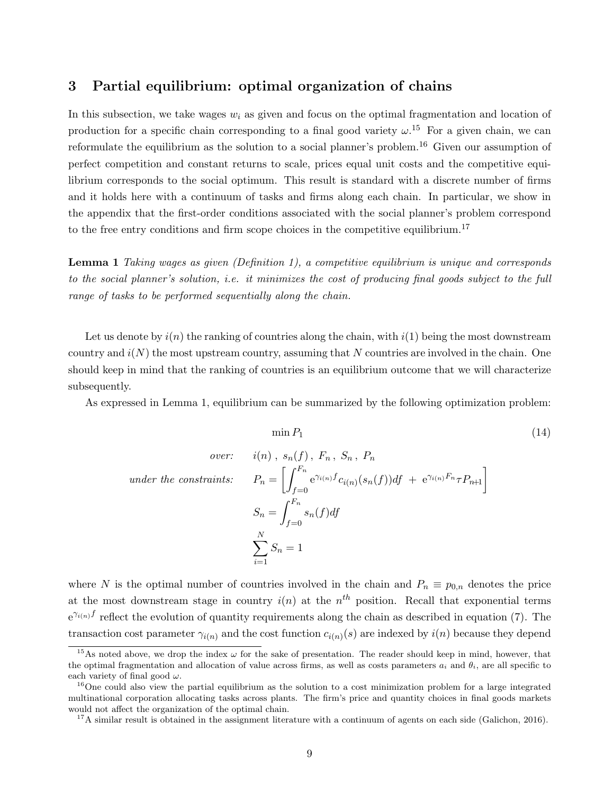### 3 Partial equilibrium: optimal organization of chains

In this subsection, we take wages  $w_i$  as given and focus on the optimal fragmentation and location of production for a specific chain corresponding to a final good variety  $\omega$ .<sup>15</sup> For a given chain, we can reformulate the equilibrium as the solution to a social planner's problem.<sup>16</sup> Given our assumption of perfect competition and constant returns to scale, prices equal unit costs and the competitive equilibrium corresponds to the social optimum. This result is standard with a discrete number of firms and it holds here with a continuum of tasks and firms along each chain. In particular, we show in the appendix that the first-order conditions associated with the social planner's problem correspond to the free entry conditions and firm scope choices in the competitive equilibrium.<sup>17</sup>

Lemma 1 Taking wages as given (Definition 1), a competitive equilibrium is unique and corresponds to the social planner's solution, i.e. it minimizes the cost of producing final goods subject to the full range of tasks to be performed sequentially along the chain.

Let us denote by  $i(n)$  the ranking of countries along the chain, with  $i(1)$  being the most downstream country and  $i(N)$  the most upstream country, assuming that N countries are involved in the chain. One should keep in mind that the ranking of countries is an equilibrium outcome that we will characterize subsequently.

As expressed in Lemma 1, equilibrium can be summarized by the following optimization problem:

$$
\min P_1
$$
\n
$$
\text{over:} \quad i(n), \ s_n(f), \ F_n, \ S_n, \ P_n
$$
\n
$$
\text{under the constraints:} \quad P_n = \left[ \int_{f=0}^{F_n} e^{\gamma_{i(n)} f} c_{i(n)}(s_n(f)) df + e^{\gamma_{i(n)} F_n} \tau P_{n+1} \right]
$$
\n
$$
S_n = \int_{f=0}^{F_n} s_n(f) df
$$
\n
$$
\sum_{i=1}^N S_n = 1
$$
\n(14)

where N is the optimal number of countries involved in the chain and  $P_n \equiv p_{0,n}$  denotes the price at the most downstream stage in country  $i(n)$  at the  $n<sup>th</sup>$  position. Recall that exponential terms  $e^{\gamma_{i(n)}f}$  reflect the evolution of quantity requirements along the chain as described in equation (7). The transaction cost parameter  $\gamma_{i(n)}$  and the cost function  $c_{i(n)}(s)$  are indexed by  $i(n)$  because they depend

<sup>&</sup>lt;sup>15</sup>As noted above, we drop the index  $\omega$  for the sake of presentation. The reader should keep in mind, however, that the optimal fragmentation and allocation of value across firms, as well as costs parameters  $a_i$  and  $\theta_i$ , are all specific to each variety of final good  $\omega$ .

 $16$ One could also view the partial equilibrium as the solution to a cost minimization problem for a large integrated multinational corporation allocating tasks across plants. The firm's price and quantity choices in final goods markets would not affect the organization of the optimal chain.

 $17A$  similar result is obtained in the assignment literature with a continuum of agents on each side (Galichon, 2016).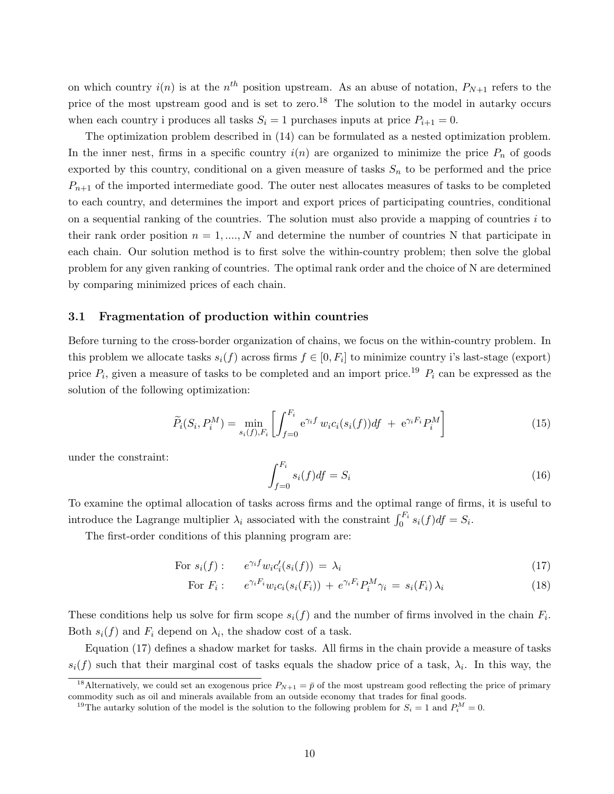on which country  $i(n)$  is at the  $n^{th}$  position upstream. As an abuse of notation,  $P_{N+1}$  refers to the price of the most upstream good and is set to zero.<sup>18</sup> The solution to the model in autarky occurs when each country i produces all tasks  $S_i = 1$  purchases inputs at price  $P_{i+1} = 0$ .

The optimization problem described in (14) can be formulated as a nested optimization problem. In the inner nest, firms in a specific country  $i(n)$  are organized to minimize the price  $P_n$  of goods exported by this country, conditional on a given measure of tasks  $S_n$  to be performed and the price  $P_{n+1}$  of the imported intermediate good. The outer nest allocates measures of tasks to be completed to each country, and determines the import and export prices of participating countries, conditional on a sequential ranking of the countries. The solution must also provide a mapping of countries i to their rank order position  $n = 1, ..., N$  and determine the number of countries N that participate in each chain. Our solution method is to first solve the within-country problem; then solve the global problem for any given ranking of countries. The optimal rank order and the choice of N are determined by comparing minimized prices of each chain.

#### 3.1 Fragmentation of production within countries

Before turning to the cross-border organization of chains, we focus on the within-country problem. In this problem we allocate tasks  $s_i(f)$  across firms  $f \in [0, F_i]$  to minimize country i's last-stage (export) price  $P_i$ , given a measure of tasks to be completed and an import price.<sup>19</sup>  $P_i$  can be expressed as the solution of the following optimization:

$$
\widetilde{P}_i(S_i, P_i^M) = \min_{s_i(f), F_i} \left[ \int_{f=0}^{F_i} e^{\gamma_i f} w_i c_i(s_i(f)) df + e^{\gamma_i F_i} P_i^M \right]
$$
\n(15)

under the constraint:

$$
\int_{f=0}^{F_i} s_i(f) df = S_i \tag{16}
$$

To examine the optimal allocation of tasks across firms and the optimal range of firms, it is useful to introduce the Lagrange multiplier  $\lambda_i$  associated with the constraint  $\int_0^{F_i} s_i(f) df = S_i$ .

The first-order conditions of this planning program are:

For 
$$
s_i(f)
$$
:  $e^{\gamma_i f} w_i c_i'(s_i(f)) = \lambda_i$  (17)

For 
$$
F_i
$$
:  $e^{\gamma_i F_i} w_i c_i(s_i(F_i)) + e^{\gamma_i F_i} P_i^M \gamma_i = s_i(F_i) \lambda_i$  (18)

These conditions help us solve for firm scope  $s_i(f)$  and the number of firms involved in the chain  $F_i$ . Both  $s_i(f)$  and  $F_i$  depend on  $\lambda_i$ , the shadow cost of a task.

Equation (17) defines a shadow market for tasks. All firms in the chain provide a measure of tasks  $s_i(f)$  such that their marginal cost of tasks equals the shadow price of a task,  $\lambda_i$ . In this way, the

<sup>&</sup>lt;sup>18</sup>Alternatively, we could set an exogenous price  $P_{N+1} = \bar{p}$  of the most upstream good reflecting the price of primary commodity such as oil and minerals available from an outside economy that trades for final goods.

<sup>&</sup>lt;sup>19</sup>The autarky solution of the model is the solution to the following problem for  $S_i = 1$  and  $P_i^M = 0$ .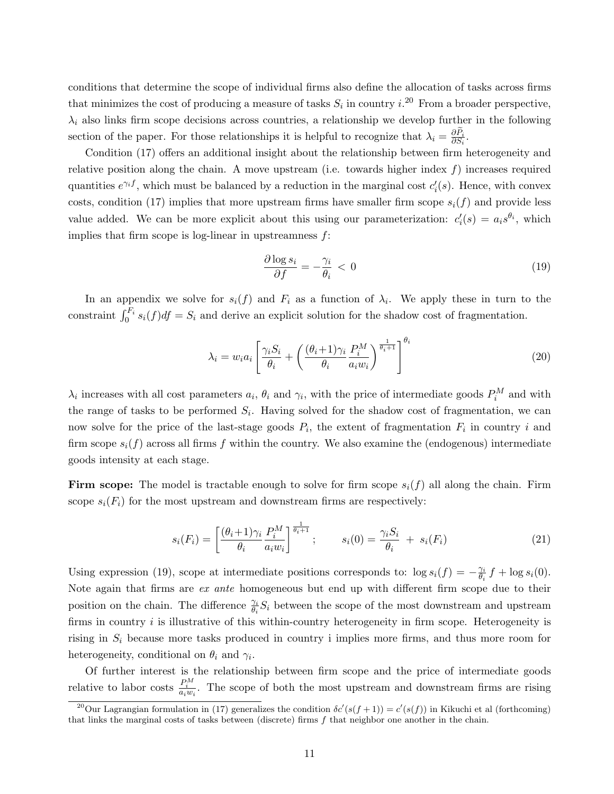conditions that determine the scope of individual firms also define the allocation of tasks across firms that minimizes the cost of producing a measure of tasks  $S_i$  in country  $i^{20}$  From a broader perspective,  $\lambda_i$  also links firm scope decisions across countries, a relationship we develop further in the following section of the paper. For those relationships it is helpful to recognize that  $\lambda_i = \frac{\partial \tilde{P}_i}{\partial S_i}$  $\frac{\partial P_i}{\partial S_i}$ .

Condition (17) offers an additional insight about the relationship between firm heterogeneity and relative position along the chain. A move upstream (i.e. towards higher index  $f$ ) increases required quantities  $e^{\gamma_i f}$ , which must be balanced by a reduction in the marginal cost  $c_i'(s)$ . Hence, with convex costs, condition (17) implies that more upstream firms have smaller firm scope  $s_i(f)$  and provide less value added. We can be more explicit about this using our parameterization:  $c_i'(s) = a_i s^{\theta_i}$ , which implies that firm scope is log-linear in upstreamness  $f$ :

$$
\frac{\partial \log s_i}{\partial f} = -\frac{\gamma_i}{\theta_i} < 0 \tag{19}
$$

In an appendix we solve for  $s_i(f)$  and  $F_i$  as a function of  $\lambda_i$ . We apply these in turn to the constraint  $\int_0^{F_i} s_i(f) df = S_i$  and derive an explicit solution for the shadow cost of fragmentation.

$$
\lambda_i = w_i a_i \left[ \frac{\gamma_i S_i}{\theta_i} + \left( \frac{(\theta_i + 1)\gamma_i}{\theta_i} \frac{P_i^M}{a_i w_i} \right)^{\frac{1}{\theta_i + 1}} \right]^{\theta_i} \tag{20}
$$

 $\lambda_i$  increases with all cost parameters  $a_i$ ,  $\theta_i$  and  $\gamma_i$ , with the price of intermediate goods  $P_i^M$  and with the range of tasks to be performed  $S_i$ . Having solved for the shadow cost of fragmentation, we can now solve for the price of the last-stage goods  $P_i$ , the extent of fragmentation  $F_i$  in country i and firm scope  $s_i(f)$  across all firms f within the country. We also examine the (endogenous) intermediate goods intensity at each stage.

Firm scope: The model is tractable enough to solve for firm scope  $s_i(f)$  all along the chain. Firm scope  $s_i(F_i)$  for the most upstream and downstream firms are respectively:

$$
s_i(F_i) = \left[\frac{(\theta_i + 1)\gamma_i}{\theta_i} \frac{P_i^M}{a_i w_i}\right]^{\frac{1}{\theta_i + 1}}; \qquad s_i(0) = \frac{\gamma_i S_i}{\theta_i} + s_i(F_i) \tag{21}
$$

Using expression (19), scope at intermediate positions corresponds to:  $\log s_i(f) = -\frac{\gamma_i}{\theta_i}$  $\frac{\gamma_i}{\theta_i} f + \log s_i(0)$ . Note again that firms are ex ante homogeneous but end up with different firm scope due to their position on the chain. The difference  $\frac{\gamma_i}{\theta_i} S_i$  between the scope of the most downstream and upstream firms in country  $i$  is illustrative of this within-country heterogeneity in firm scope. Heterogeneity is rising in  $S_i$  because more tasks produced in country i implies more firms, and thus more room for heterogeneity, conditional on  $\theta_i$  and  $\gamma_i$ .

Of further interest is the relationship between firm scope and the price of intermediate goods relative to labor costs  $\frac{P_i^M}{a_i w_i}$ . The scope of both the most upstream and downstream firms are rising

<sup>&</sup>lt;sup>20</sup>Our Lagrangian formulation in (17) generalizes the condition  $\delta c'(s(f+1)) = c'(s(f))$  in Kikuchi et al (forthcoming) that links the marginal costs of tasks between (discrete) firms f that neighbor one another in the chain.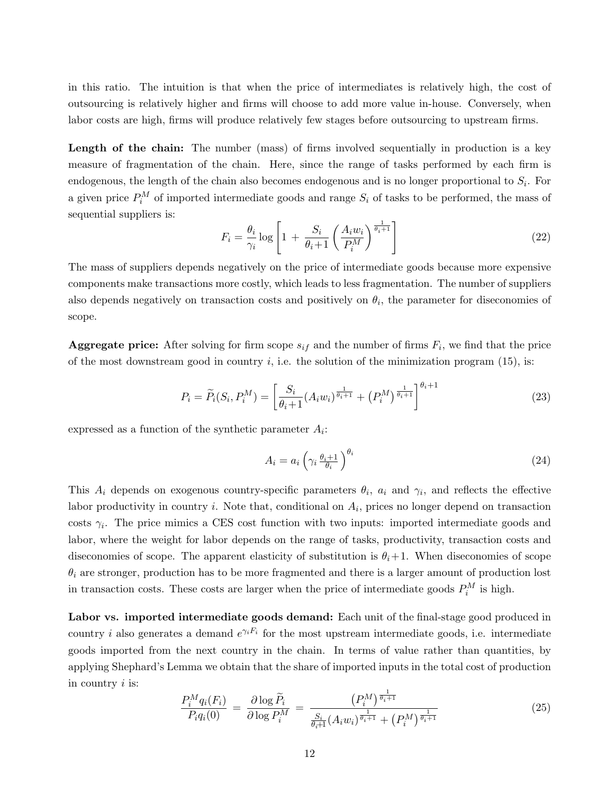in this ratio. The intuition is that when the price of intermediates is relatively high, the cost of outsourcing is relatively higher and firms will choose to add more value in-house. Conversely, when labor costs are high, firms will produce relatively few stages before outsourcing to upstream firms.

Length of the chain: The number (mass) of firms involved sequentially in production is a key measure of fragmentation of the chain. Here, since the range of tasks performed by each firm is endogenous, the length of the chain also becomes endogenous and is no longer proportional to  $S_i$ . For a given price  $P_i^M$  of imported intermediate goods and range  $S_i$  of tasks to be performed, the mass of sequential suppliers is:

$$
F_i = \frac{\theta_i}{\gamma_i} \log \left[ 1 + \frac{S_i}{\theta_i + 1} \left( \frac{A_i w_i}{P_i^M} \right)^{\frac{1}{\theta_i + 1}} \right]
$$
(22)

The mass of suppliers depends negatively on the price of intermediate goods because more expensive components make transactions more costly, which leads to less fragmentation. The number of suppliers also depends negatively on transaction costs and positively on  $\theta_i$ , the parameter for diseconomies of scope.

**Aggregate price:** After solving for firm scope  $s_{if}$  and the number of firms  $F_i$ , we find that the price of the most downstream good in country  $i$ , i.e. the solution of the minimization program (15), is:

$$
P_i = \widetilde{P}_i(S_i, P_i^M) = \left[\frac{S_i}{\theta_i + 1} (A_i w_i)^{\frac{1}{\theta_i + 1}} + (P_i^M)^{\frac{1}{\theta_i + 1}}\right]^{\theta_i + 1}
$$
(23)

expressed as a function of the synthetic parameter  $A_i$ :

$$
A_i = a_i \left( \gamma_i \, \frac{\theta_i + 1}{\theta_i} \right)^{\theta_i} \tag{24}
$$

This  $A_i$  depends on exogenous country-specific parameters  $\theta_i$ ,  $a_i$  and  $\gamma_i$ , and reflects the effective labor productivity in country  $i$ . Note that, conditional on  $A_i$ , prices no longer depend on transaction costs  $\gamma_i$ . The price mimics a CES cost function with two inputs: imported intermediate goods and labor, where the weight for labor depends on the range of tasks, productivity, transaction costs and diseconomies of scope. The apparent elasticity of substitution is  $\theta_i+1$ . When diseconomies of scope  $\theta_i$  are stronger, production has to be more fragmented and there is a larger amount of production lost in transaction costs. These costs are larger when the price of intermediate goods  $P_i^M$  is high.

Labor vs. imported intermediate goods demand: Each unit of the final-stage good produced in country *i* also generates a demand  $e^{\gamma_i F_i}$  for the most upstream intermediate goods, i.e. intermediate goods imported from the next country in the chain. In terms of value rather than quantities, by applying Shephard's Lemma we obtain that the share of imported inputs in the total cost of production in country  $i$  is:

$$
\frac{P_i^M q_i(F_i)}{P_i q_i(0)} = \frac{\partial \log \widetilde{P}_i}{\partial \log P_i^M} = \frac{\left(P_i^M\right)^{\frac{1}{\theta_i+1}}}{\frac{S_i}{\theta_i+1}\left(A_i w_i\right)^{\frac{1}{\theta_i+1}} + \left(P_i^M\right)^{\frac{1}{\theta_i+1}}}
$$
(25)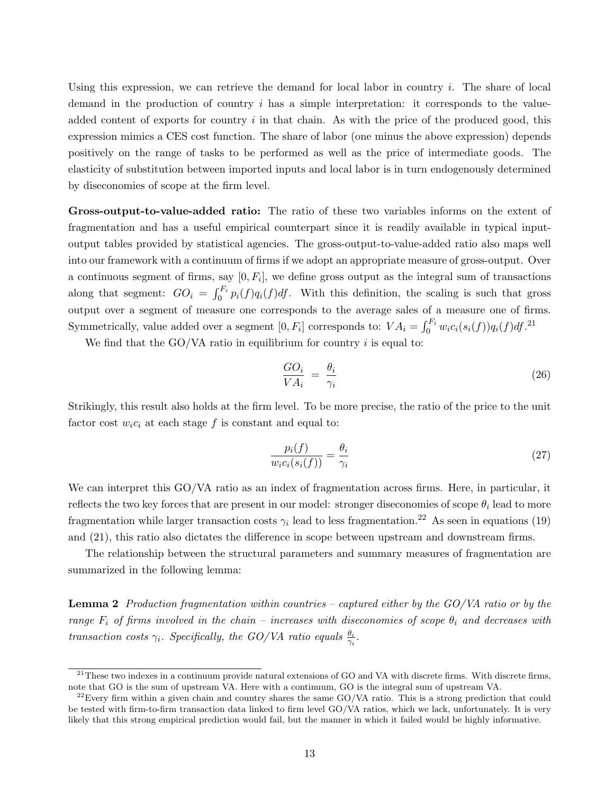Using this expression, we can retrieve the demand for local labor in country  $i$ . The share of local demand in the production of country  $i$  has a simple interpretation: it corresponds to the valueadded content of exports for country  $i$  in that chain. As with the price of the produced good, this expression mimics a CES cost function. The share of labor (one minus the above expression) depends positively on the range of tasks to be performed as well as the price of intermediate goods. The elasticity of substitution between imported inputs and local labor is in turn endogenously determined by diseconomies of scope at the firm level.

Gross-output-to-value-added ratio: The ratio of these two variables informs on the extent of fragmentation and has a useful empirical counterpart since it is readily available in typical inputoutput tables provided by statistical agencies. The gross-output-to-value-added ratio also maps well into our framework with a continuum of firms if we adopt an appropriate measure of gross-output. Over a continuous segment of firms, say  $[0, F_i]$ , we define gross output as the integral sum of transactions along that segment:  $GO_i = \int_0^{F_i} p_i(f)q_i(f)df$ . With this definition, the scaling is such that gross output over a segment of measure one corresponds to the average sales of a measure one of firms. Symmetrically, value added over a segment  $[0, F_i]$  corresponds to:  $VA_i = \int_0^{F_i} w_i c_i(s_i(f)) q_i(f) df$ .<sup>21</sup>

We find that the GO/VA ratio in equilibrium for country  $i$  is equal to:

$$
\frac{GO_i}{VA_i} = \frac{\theta_i}{\gamma_i} \tag{26}
$$

Strikingly, this result also holds at the firm level. To be more precise, the ratio of the price to the unit factor cost  $w_i c_i$  at each stage f is constant and equal to:

$$
\frac{p_i(f)}{w_i c_i(s_i(f))} = \frac{\theta_i}{\gamma_i} \tag{27}
$$

We can interpret this GO/VA ratio as an index of fragmentation across firms. Here, in particular, it reflects the two key forces that are present in our model: stronger diseconomies of scope  $\theta_i$  lead to more fragmentation while larger transaction costs  $\gamma_i$  lead to less fragmentation.<sup>22</sup> As seen in equations (19) and (21), this ratio also dictates the difference in scope between upstream and downstream firms.

The relationship between the structural parameters and summary measures of fragmentation are summarized in the following lemma:

**Lemma 2** Production fragmentation within countries – captured either by the  $GO/VA$  ratio or by the range  $F_i$  of firms involved in the chain – increases with diseconomies of scope  $\theta_i$  and decreases with transaction costs  $\gamma_i$ . Specifically, the GO/VA ratio equals  $\frac{\theta_i}{\gamma_i}$ .

 $^{21}$ These two indexes in a continuum provide natural extensions of GO and VA with discrete firms. With discrete firms, note that GO is the sum of upstream VA. Here with a continuum, GO is the integral sum of upstream VA.

 $22$ Every firm within a given chain and country shares the same GO/VA ratio. This is a strong prediction that could be tested with firm-to-firm transaction data linked to firm level GO/VA ratios, which we lack, unfortunately. It is very likely that this strong empirical prediction would fail, but the manner in which it failed would be highly informative.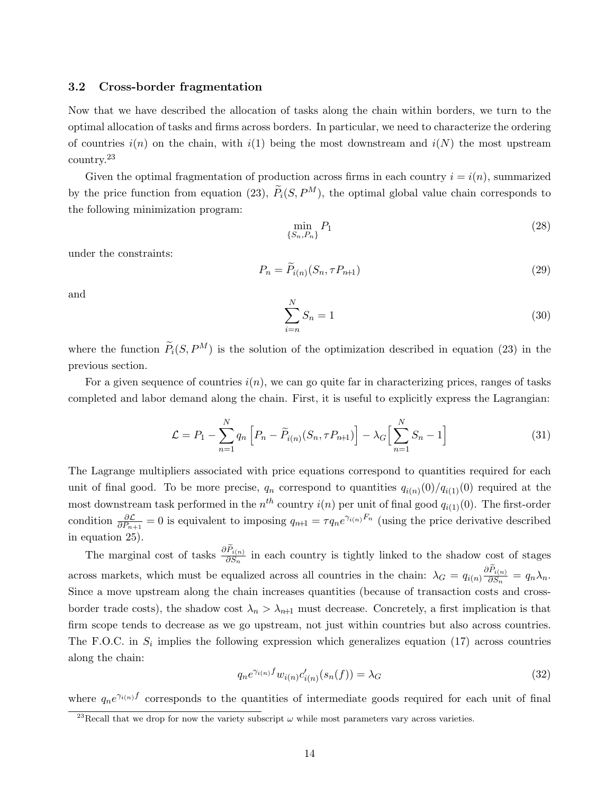#### 3.2 Cross-border fragmentation

Now that we have described the allocation of tasks along the chain within borders, we turn to the optimal allocation of tasks and firms across borders. In particular, we need to characterize the ordering of countries  $i(n)$  on the chain, with  $i(1)$  being the most downstream and  $i(N)$  the most upstream country.<sup>23</sup>

Given the optimal fragmentation of production across firms in each country  $i = i(n)$ , summarized by the price function from equation (23),  $\tilde{P}_i(S, P^M)$ , the optimal global value chain corresponds to the following minimization program:

$$
\min_{\{S_n, P_n\}} P_1 \tag{28}
$$

under the constraints:

$$
P_n = \widetilde{P}_{i(n)}(S_n, \tau P_{n+1})\tag{29}
$$

and

$$
\sum_{i=n}^{N} S_n = 1\tag{30}
$$

where the function  $\widetilde{P}_i(S, P^M)$  is the solution of the optimization described in equation (23) in the previous section.

For a given sequence of countries  $i(n)$ , we can go quite far in characterizing prices, ranges of tasks completed and labor demand along the chain. First, it is useful to explicitly express the Lagrangian:

$$
\mathcal{L} = P_1 - \sum_{n=1}^{N} q_n \left[ P_n - \widetilde{P}_{i(n)}(S_n, \tau P_{n+1}) \right] - \lambda_G \left[ \sum_{n=1}^{N} S_n - 1 \right]
$$
\n(31)

The Lagrange multipliers associated with price equations correspond to quantities required for each unit of final good. To be more precise,  $q_n$  correspond to quantities  $q_{i(n)}(0)/q_{i(1)}(0)$  required at the most downstream task performed in the  $n^{th}$  country  $i(n)$  per unit of final good  $q_{i(1)}(0)$ . The first-order condition  $\frac{\partial \mathcal{L}}{\partial P_{n+1}} = 0$  is equivalent to imposing  $q_{n+1} = \tau q_n e^{\gamma_{i(n)} F_n}$  (using the price derivative described in equation 25).

The marginal cost of tasks  $\frac{\partial \tilde{P}_{i(n)}}{\partial S_n}$  in each country is tightly linked to the shadow cost of stages across markets, which must be equalized across all countries in the chain:  $\lambda_G = q_{i(n)}$  $\frac{\partial \widetilde{P}_{i(n)}}{\partial S_n} = q_n \lambda_n.$ Since a move upstream along the chain increases quantities (because of transaction costs and crossborder trade costs), the shadow cost  $\lambda_n > \lambda_{n+1}$  must decrease. Concretely, a first implication is that firm scope tends to decrease as we go upstream, not just within countries but also across countries. The F.O.C. in  $S_i$  implies the following expression which generalizes equation (17) across countries along the chain:

$$
q_n e^{\gamma_{i(n)} f} w_{i(n)} c'_{i(n)}(s_n(f)) = \lambda_G \tag{32}
$$

where  $q_n e^{\gamma_{i(n)} f}$  corresponds to the quantities of intermediate goods required for each unit of final

<sup>&</sup>lt;sup>23</sup>Recall that we drop for now the variety subscript  $\omega$  while most parameters vary across varieties.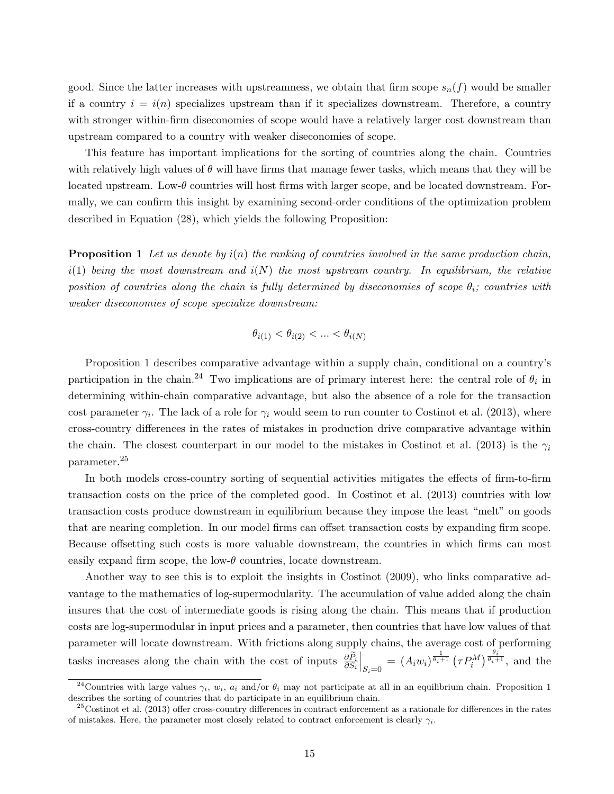good. Since the latter increases with upstreamness, we obtain that firm scope  $s_n(f)$  would be smaller if a country  $i = i(n)$  specializes upstream than if it specializes downstream. Therefore, a country with stronger within-firm diseconomies of scope would have a relatively larger cost downstream than upstream compared to a country with weaker diseconomies of scope.

This feature has important implications for the sorting of countries along the chain. Countries with relatively high values of  $\theta$  will have firms that manage fewer tasks, which means that they will be located upstream. Low- $\theta$  countries will host firms with larger scope, and be located downstream. Formally, we can confirm this insight by examining second-order conditions of the optimization problem described in Equation (28), which yields the following Proposition:

**Proposition 1** Let us denote by  $i(n)$  the ranking of countries involved in the same production chain,  $i(1)$  being the most downstream and  $i(N)$  the most upstream country. In equilibrium, the relative position of countries along the chain is fully determined by diseconomies of scope  $\theta_i$ ; countries with weaker diseconomies of scope specialize downstream:

$$
\theta_{i(1)} < \theta_{i(2)} < \ldots < \theta_{i(N)}
$$

Proposition 1 describes comparative advantage within a supply chain, conditional on a country's participation in the chain.<sup>24</sup> Two implications are of primary interest here: the central role of  $\theta_i$  in determining within-chain comparative advantage, but also the absence of a role for the transaction cost parameter  $\gamma_i$ . The lack of a role for  $\gamma_i$  would seem to run counter to Costinot et al. (2013), where cross-country differences in the rates of mistakes in production drive comparative advantage within the chain. The closest counterpart in our model to the mistakes in Costinot et al. (2013) is the  $\gamma_i$ parameter.<sup>25</sup>

In both models cross-country sorting of sequential activities mitigates the effects of firm-to-firm transaction costs on the price of the completed good. In Costinot et al. (2013) countries with low transaction costs produce downstream in equilibrium because they impose the least "melt" on goods that are nearing completion. In our model firms can offset transaction costs by expanding firm scope. Because offsetting such costs is more valuable downstream, the countries in which firms can most easily expand firm scope, the low- $\theta$  countries, locate downstream.

Another way to see this is to exploit the insights in Costinot (2009), who links comparative advantage to the mathematics of log-supermodularity. The accumulation of value added along the chain insures that the cost of intermediate goods is rising along the chain. This means that if production costs are log-supermodular in input prices and a parameter, then countries that have low values of that parameter will locate downstream. With frictions along supply chains, the average cost of performing tasks increases along the chain with the cost of inputs  $\frac{\partial \tilde{P}_i}{\partial S_i}$  $\Big|_{S_i=0} = (A_i w_i)^{\frac{1}{\theta_i+1}} (\tau P_i^M)^{\frac{\theta_i}{\theta_i+1}},$  and the

<sup>&</sup>lt;sup>24</sup>Countries with large values  $\gamma_i$ ,  $w_i$ ,  $a_i$  and/or  $\theta_i$  may not participate at all in an equilibrium chain. Proposition 1 describes the sorting of countries that do participate in an equilibrium chain.

 $25$ Costinot et al. (2013) offer cross-country differences in contract enforcement as a rationale for differences in the rates of mistakes. Here, the parameter most closely related to contract enforcement is clearly  $\gamma_i$ .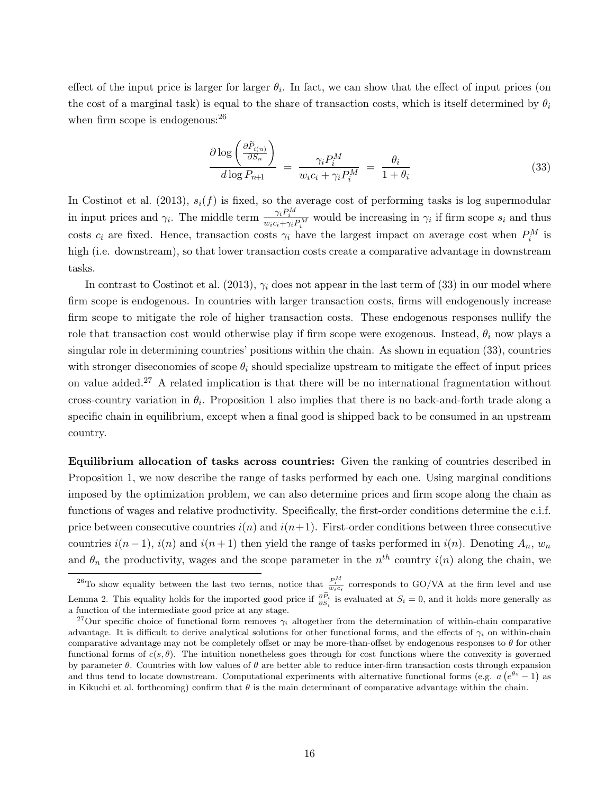effect of the input price is larger for larger  $\theta_i$ . In fact, we can show that the effect of input prices (on the cost of a marginal task) is equal to the share of transaction costs, which is itself determined by  $\theta_i$ when firm scope is endogenous:  $26$ 

$$
\frac{\partial \log\left(\frac{\partial \widetilde{P}_{i(n)}}{\partial S_n}\right)}{d \log P_{n+1}} = \frac{\gamma_i P_i^M}{w_i c_i + \gamma_i P_i^M} = \frac{\theta_i}{1 + \theta_i} \tag{33}
$$

In Costinot et al. (2013),  $s_i(f)$  is fixed, so the average cost of performing tasks is log supermodular in input prices and  $\gamma_i$ . The middle term  $\frac{\gamma_i P_i^M}{w_i c_i + \gamma_i P_i^M}$  would be increasing in  $\gamma_i$  if firm scope  $s_i$  and thus costs  $c_i$  are fixed. Hence, transaction costs  $\gamma_i$  have the largest impact on average cost when  $P_i^M$  is high (i.e. downstream), so that lower transaction costs create a comparative advantage in downstream tasks.

In contrast to Costinot et al. (2013),  $\gamma_i$  does not appear in the last term of (33) in our model where firm scope is endogenous. In countries with larger transaction costs, firms will endogenously increase firm scope to mitigate the role of higher transaction costs. These endogenous responses nullify the role that transaction cost would otherwise play if firm scope were exogenous. Instead,  $\theta_i$  now plays a singular role in determining countries' positions within the chain. As shown in equation (33), countries with stronger diseconomies of scope  $\theta_i$  should specialize upstream to mitigate the effect of input prices on value added.<sup>27</sup> A related implication is that there will be no international fragmentation without cross-country variation in  $\theta_i$ . Proposition 1 also implies that there is no back-and-forth trade along a specific chain in equilibrium, except when a final good is shipped back to be consumed in an upstream country.

Equilibrium allocation of tasks across countries: Given the ranking of countries described in Proposition 1, we now describe the range of tasks performed by each one. Using marginal conditions imposed by the optimization problem, we can also determine prices and firm scope along the chain as functions of wages and relative productivity. Specifically, the first-order conditions determine the c.i.f. price between consecutive countries  $i(n)$  and  $i(n+1)$ . First-order conditions between three consecutive countries  $i(n-1)$ ,  $i(n)$  and  $i(n+1)$  then yield the range of tasks performed in  $i(n)$ . Denoting  $A_n$ ,  $w_n$ and  $\theta_n$  the productivity, wages and the scope parameter in the  $n^{th}$  country  $i(n)$  along the chain, we

<sup>&</sup>lt;sup>26</sup>To show equality between the last two terms, notice that  $\frac{P_i^M}{w_i c_i}$  corresponds to GO/VA at the firm level and use Lemma 2. This equality holds for the imported good price if  $\frac{\partial \tilde{P}_i}{\partial S_i}$  is evaluated at  $S_i = 0$ , and it holds more generally as a function of the intermediate good price at any stage.

<sup>&</sup>lt;sup>27</sup>Our specific choice of functional form removes  $\gamma_i$  altogether from the determination of within-chain comparative advantage. It is difficult to derive analytical solutions for other functional forms, and the effects of  $\gamma_i$  on within-chain comparative advantage may not be completely offset or may be more-than-offset by endogenous responses to  $\theta$  for other functional forms of  $c(s, \theta)$ . The intuition nonetheless goes through for cost functions where the convexity is governed by parameter  $\theta$ . Countries with low values of  $\theta$  are better able to reduce inter-firm transaction costs through expansion and thus tend to locate downstream. Computational experiments with alternative functional forms (e.g.  $a(e^{\theta s}-1)$ ) as in Kikuchi et al. forthcoming) confirm that  $\theta$  is the main determinant of comparative advantage within the chain.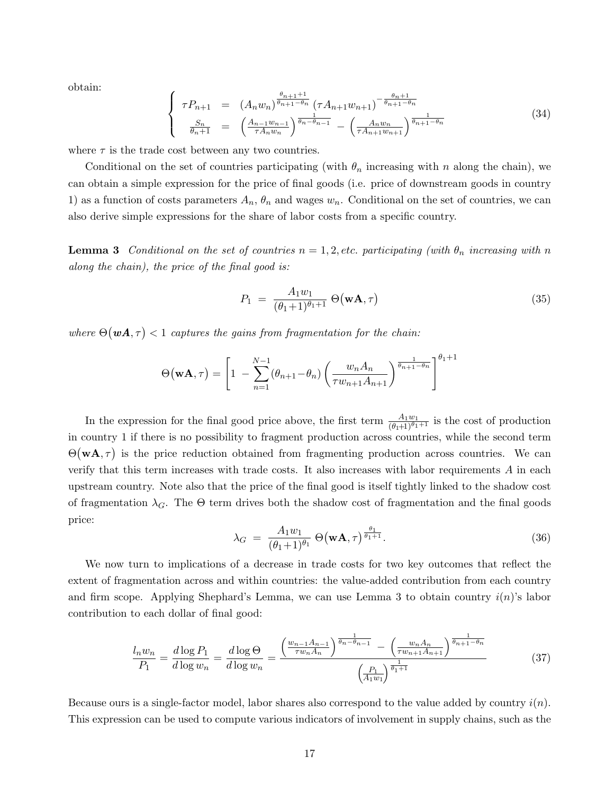obtain:

$$
\begin{cases}\n\tau P_{n+1} = (A_n w_n)^{\frac{\theta_{n+1}+1}{\theta_{n+1}-\theta_n}} (\tau A_{n+1} w_{n+1})^{-\frac{\theta_{n+1}}{\theta_{n+1}-\theta_n}} \\
\frac{S_n}{\theta_{n+1}} = \left(\frac{A_{n-1} w_{n-1}}{\tau A_n w_n}\right)^{\frac{1}{\theta_n-\theta_{n-1}}} - \left(\frac{A_n w_n}{\tau A_{n+1} w_{n+1}}\right)^{\frac{1}{\theta_{n+1}-\theta_n}}\n\end{cases} (34)
$$

where  $\tau$  is the trade cost between any two countries.

Conditional on the set of countries participating (with  $\theta_n$  increasing with n along the chain), we can obtain a simple expression for the price of final goods (i.e. price of downstream goods in country 1) as a function of costs parameters  $A_n$ ,  $\theta_n$  and wages  $w_n$ . Conditional on the set of countries, we can also derive simple expressions for the share of labor costs from a specific country.

**Lemma 3** Conditional on the set of countries  $n = 1, 2$ , etc. participating (with  $\theta_n$  increasing with n along the chain), the price of the final good is:

$$
P_1 = \frac{A_1 w_1}{(\theta_1 + 1)^{\theta_1 + 1}} \Theta(\mathbf{w} \mathbf{A}, \tau) \tag{35}
$$

where  $\Theta(\boldsymbol{w}\boldsymbol{A},\tau) < 1$  captures the gains from fragmentation for the chain:

$$
\Theta(\mathbf{w}\mathbf{A},\tau) = \left[1 - \sum_{n=1}^{N-1} (\theta_{n+1} - \theta_n) \left( \frac{w_n A_n}{\tau w_{n+1} A_{n+1}} \right)^{\frac{1}{\theta_{n+1} - \theta_n}} \right]^{\theta_1 + 1}
$$

In the expression for the final good price above, the first term  $\frac{A_1w_1}{(\theta_1+1)^{\theta_1+1}}$  is the cost of production in country 1 if there is no possibility to fragment production across countries, while the second term  $\Theta(\mathbf{w}\mathbf{A}, \tau)$  is the price reduction obtained from fragmenting production across countries. We can verify that this term increases with trade costs. It also increases with labor requirements A in each upstream country. Note also that the price of the final good is itself tightly linked to the shadow cost of fragmentation  $\lambda_G$ . The  $\Theta$  term drives both the shadow cost of fragmentation and the final goods price:

$$
\lambda_G = \frac{A_1 w_1}{(\theta_1 + 1)^{\theta_1}} \Theta(\mathbf{w}\mathbf{A}, \tau)^{\frac{\theta_1}{\theta_1 + 1}}.
$$
\n(36)

We now turn to implications of a decrease in trade costs for two key outcomes that reflect the extent of fragmentation across and within countries: the value-added contribution from each country and firm scope. Applying Shephard's Lemma, we can use Lemma 3 to obtain country  $i(n)$ 's labor contribution to each dollar of final good:

$$
\frac{l_n w_n}{P_1} = \frac{d \log P_1}{d \log w_n} = \frac{d \log \Theta}{d \log w_n} = \frac{\left(\frac{w_{n-1} A_{n-1}}{\tau w_n A_n}\right)^{\frac{1}{\theta_n - \theta_{n-1}}} - \left(\frac{w_n A_n}{\tau w_{n+1} A_{n+1}}\right)^{\frac{1}{\theta_{n+1} - \theta_n}}}{\left(\frac{P_1}{A_1 w_1}\right)^{\frac{1}{\theta_1 + 1}}} \tag{37}
$$

Because ours is a single-factor model, labor shares also correspond to the value added by country  $i(n)$ . This expression can be used to compute various indicators of involvement in supply chains, such as the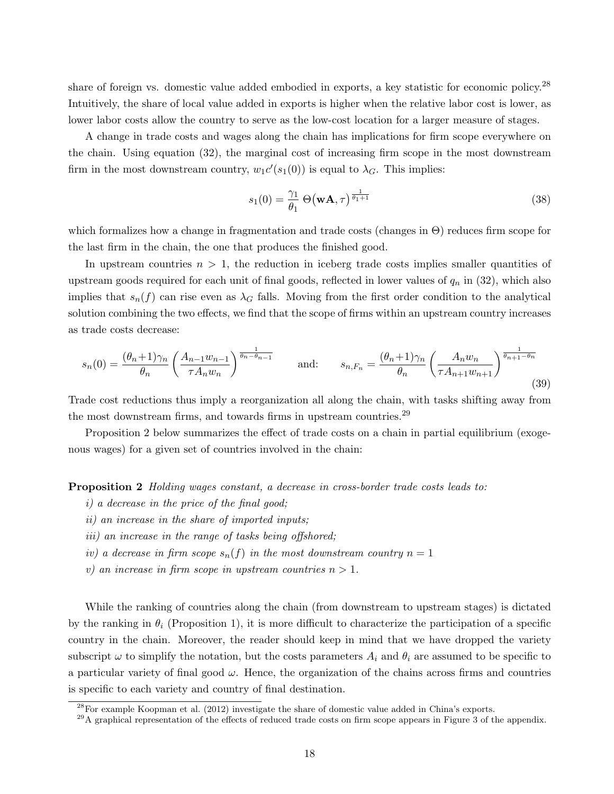share of foreign vs. domestic value added embodied in exports, a key statistic for economic policy.<sup>28</sup> Intuitively, the share of local value added in exports is higher when the relative labor cost is lower, as lower labor costs allow the country to serve as the low-cost location for a larger measure of stages.

A change in trade costs and wages along the chain has implications for firm scope everywhere on the chain. Using equation (32), the marginal cost of increasing firm scope in the most downstream firm in the most downstream country,  $w_1 c'(s_1(0))$  is equal to  $\lambda_G$ . This implies:

$$
s_1(0) = \frac{\gamma_1}{\theta_1} \Theta(\mathbf{w}\mathbf{A}, \tau)^{\frac{1}{\theta_1 + 1}}
$$
\n(38)

which formalizes how a change in fragmentation and trade costs (changes in Θ) reduces firm scope for the last firm in the chain, the one that produces the finished good.

In upstream countries  $n > 1$ , the reduction in iceberg trade costs implies smaller quantities of upstream goods required for each unit of final goods, reflected in lower values of  $q_n$  in (32), which also implies that  $s_n(f)$  can rise even as  $\lambda_G$  falls. Moving from the first order condition to the analytical solution combining the two effects, we find that the scope of firms within an upstream country increases as trade costs decrease:

$$
s_n(0) = \frac{(\theta_n + 1)\gamma_n}{\theta_n} \left(\frac{A_{n-1}w_{n-1}}{\tau A_n w_n}\right)^{\frac{1}{\theta_n - \theta_{n-1}}} \quad \text{and:} \quad s_{n, F_n} = \frac{(\theta_n + 1)\gamma_n}{\theta_n} \left(\frac{A_n w_n}{\tau A_{n+1}w_{n+1}}\right)^{\frac{1}{\theta_{n+1} - \theta_n}}
$$
(39)

Trade cost reductions thus imply a reorganization all along the chain, with tasks shifting away from the most downstream firms, and towards firms in upstream countries.<sup>29</sup>

Proposition 2 below summarizes the effect of trade costs on a chain in partial equilibrium (exogenous wages) for a given set of countries involved in the chain:

Proposition 2 Holding wages constant, a decrease in cross-border trade costs leads to:

- i) a decrease in the price of the final good;
- ii) an increase in the share of imported inputs;
- iii) an increase in the range of tasks being offshored;
- iv) a decrease in firm scope  $s_n(f)$  in the most downstream country  $n = 1$
- v) an increase in firm scope in upstream countries  $n > 1$ .

While the ranking of countries along the chain (from downstream to upstream stages) is dictated by the ranking in  $\theta_i$  (Proposition 1), it is more difficult to characterize the participation of a specific country in the chain. Moreover, the reader should keep in mind that we have dropped the variety subscript  $\omega$  to simplify the notation, but the costs parameters  $A_i$  and  $\theta_i$  are assumed to be specific to a particular variety of final good  $\omega$ . Hence, the organization of the chains across firms and countries is specific to each variety and country of final destination.

 $^{28}$ For example Koopman et al. (2012) investigate the share of domestic value added in China's exports.

 $^{29}$ A graphical representation of the effects of reduced trade costs on firm scope appears in Figure 3 of the appendix.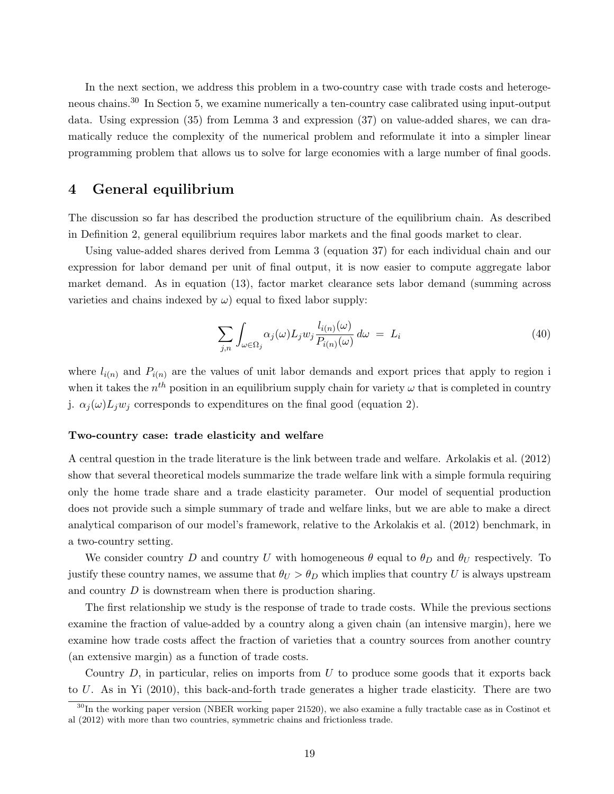In the next section, we address this problem in a two-country case with trade costs and heterogeneous chains.<sup>30</sup> In Section 5, we examine numerically a ten-country case calibrated using input-output data. Using expression (35) from Lemma 3 and expression (37) on value-added shares, we can dramatically reduce the complexity of the numerical problem and reformulate it into a simpler linear programming problem that allows us to solve for large economies with a large number of final goods.

# 4 General equilibrium

The discussion so far has described the production structure of the equilibrium chain. As described in Definition 2, general equilibrium requires labor markets and the final goods market to clear.

Using value-added shares derived from Lemma 3 (equation 37) for each individual chain and our expression for labor demand per unit of final output, it is now easier to compute aggregate labor market demand. As in equation (13), factor market clearance sets labor demand (summing across varieties and chains indexed by  $\omega$ ) equal to fixed labor supply:

$$
\sum_{j,n} \int_{\omega \in \Omega_j} \alpha_j(\omega) L_j w_j \frac{l_{i(n)}(\omega)}{P_{i(n)}(\omega)} d\omega = L_i \tag{40}
$$

where  $l_{i(n)}$  and  $P_{i(n)}$  are the values of unit labor demands and export prices that apply to region i when it takes the  $n^{th}$  position in an equilibrium supply chain for variety  $\omega$  that is completed in country j.  $\alpha_i(\omega)L_i w_i$  corresponds to expenditures on the final good (equation 2).

#### Two-country case: trade elasticity and welfare

A central question in the trade literature is the link between trade and welfare. Arkolakis et al. (2012) show that several theoretical models summarize the trade welfare link with a simple formula requiring only the home trade share and a trade elasticity parameter. Our model of sequential production does not provide such a simple summary of trade and welfare links, but we are able to make a direct analytical comparison of our model's framework, relative to the Arkolakis et al. (2012) benchmark, in a two-country setting.

We consider country D and country U with homogeneous  $\theta$  equal to  $\theta_D$  and  $\theta_U$  respectively. To justify these country names, we assume that  $\theta_U > \theta_D$  which implies that country U is always upstream and country D is downstream when there is production sharing.

The first relationship we study is the response of trade to trade costs. While the previous sections examine the fraction of value-added by a country along a given chain (an intensive margin), here we examine how trade costs affect the fraction of varieties that a country sources from another country (an extensive margin) as a function of trade costs.

Country  $D$ , in particular, relies on imports from  $U$  to produce some goods that it exports back to U. As in Yi (2010), this back-and-forth trade generates a higher trade elasticity. There are two

 $30$ In the working paper version (NBER working paper 21520), we also examine a fully tractable case as in Costinot et al (2012) with more than two countries, symmetric chains and frictionless trade.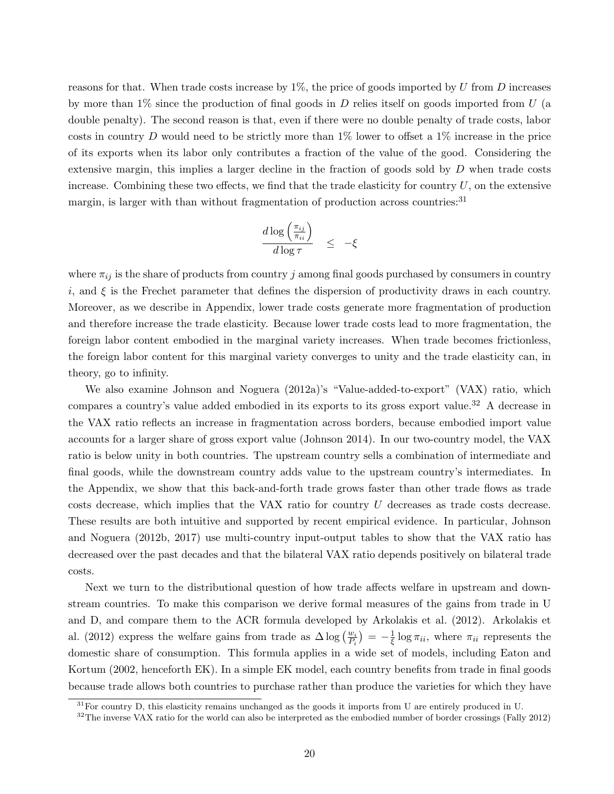reasons for that. When trade costs increase by  $1\%$ , the price of goods imported by U from D increases by more than  $1\%$  since the production of final goods in D relies itself on goods imported from U (a double penalty). The second reason is that, even if there were no double penalty of trade costs, labor costs in country D would need to be strictly more than  $1\%$  lower to offset a  $1\%$  increase in the price of its exports when its labor only contributes a fraction of the value of the good. Considering the extensive margin, this implies a larger decline in the fraction of goods sold by  $D$  when trade costs increase. Combining these two effects, we find that the trade elasticity for country  $U$ , on the extensive margin, is larger with than without fragmentation of production across countries:<sup>31</sup>

$$
\frac{d \log\left(\frac{\pi_{ij}}{\pi_{ii}}\right)}{d \log \tau} \leq -\xi
$$

where  $\pi_{ij}$  is the share of products from country j among final goods purchased by consumers in country i, and  $\xi$  is the Frechet parameter that defines the dispersion of productivity draws in each country. Moreover, as we describe in Appendix, lower trade costs generate more fragmentation of production and therefore increase the trade elasticity. Because lower trade costs lead to more fragmentation, the foreign labor content embodied in the marginal variety increases. When trade becomes frictionless, the foreign labor content for this marginal variety converges to unity and the trade elasticity can, in theory, go to infinity.

We also examine Johnson and Noguera (2012a)'s "Value-added-to-export" (VAX) ratio, which compares a country's value added embodied in its exports to its gross export value.<sup>32</sup> A decrease in the VAX ratio reflects an increase in fragmentation across borders, because embodied import value accounts for a larger share of gross export value (Johnson 2014). In our two-country model, the VAX ratio is below unity in both countries. The upstream country sells a combination of intermediate and final goods, while the downstream country adds value to the upstream country's intermediates. In the Appendix, we show that this back-and-forth trade grows faster than other trade flows as trade costs decrease, which implies that the VAX ratio for country U decreases as trade costs decrease. These results are both intuitive and supported by recent empirical evidence. In particular, Johnson and Noguera (2012b, 2017) use multi-country input-output tables to show that the VAX ratio has decreased over the past decades and that the bilateral VAX ratio depends positively on bilateral trade costs.

Next we turn to the distributional question of how trade affects welfare in upstream and downstream countries. To make this comparison we derive formal measures of the gains from trade in U and D, and compare them to the ACR formula developed by Arkolakis et al. (2012). Arkolakis et al. (2012) express the welfare gains from trade as  $\Delta \log \left( \frac{w_i}{P_i} \right) = -\frac{1}{\xi} \log \pi_{ii}$ , where  $\pi_{ii}$  represents the domestic share of consumption. This formula applies in a wide set of models, including Eaton and Kortum (2002, henceforth EK). In a simple EK model, each country benefits from trade in final goods because trade allows both countries to purchase rather than produce the varieties for which they have

 $31$  For country D, this elasticity remains unchanged as the goods it imports from U are entirely produced in U.

 $32$ The inverse VAX ratio for the world can also be interpreted as the embodied number of border crossings (Fally 2012)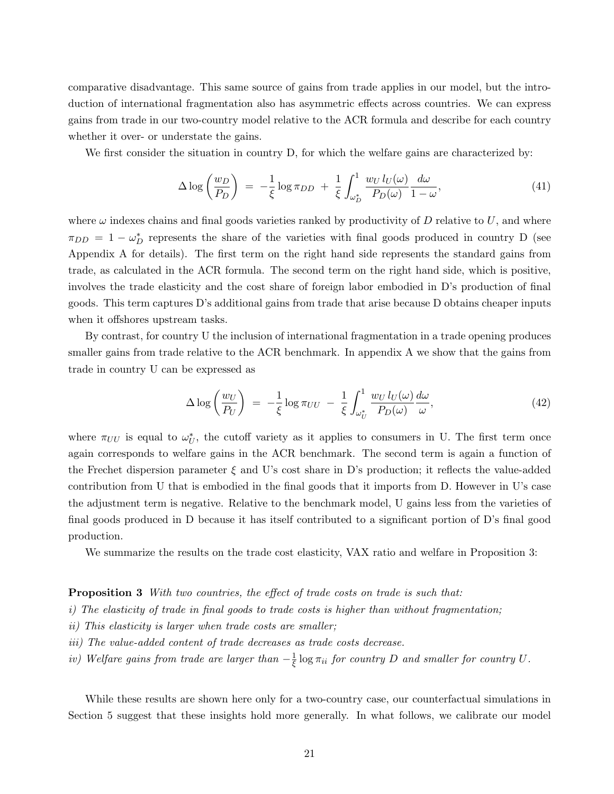comparative disadvantage. This same source of gains from trade applies in our model, but the introduction of international fragmentation also has asymmetric effects across countries. We can express gains from trade in our two-country model relative to the ACR formula and describe for each country whether it over- or understate the gains.

We first consider the situation in country D, for which the welfare gains are characterized by:

$$
\Delta \log \left(\frac{w_D}{P_D}\right) = -\frac{1}{\xi} \log \pi_{DD} + \frac{1}{\xi} \int_{\omega_D^*}^{1} \frac{w_U l_U(\omega)}{P_D(\omega)} \frac{d\omega}{1 - \omega},\tag{41}
$$

where  $\omega$  indexes chains and final goods varieties ranked by productivity of D relative to U, and where  $\pi_{DD} = 1 - \omega_D^*$  represents the share of the varieties with final goods produced in country D (see Appendix A for details). The first term on the right hand side represents the standard gains from trade, as calculated in the ACR formula. The second term on the right hand side, which is positive, involves the trade elasticity and the cost share of foreign labor embodied in D's production of final goods. This term captures D's additional gains from trade that arise because D obtains cheaper inputs when it offshores upstream tasks.

By contrast, for country U the inclusion of international fragmentation in a trade opening produces smaller gains from trade relative to the ACR benchmark. In appendix A we show that the gains from trade in country U can be expressed as

$$
\Delta \log \left( \frac{w_U}{P_U} \right) \ = \ -\frac{1}{\xi} \log \pi_{UU} \ - \ \frac{1}{\xi} \int_{\omega_U^*}^1 \frac{w_U \, l_U(\omega)}{P_D(\omega)} \frac{d\omega}{\omega}, \tag{42}
$$

where  $\pi_{UU}$  is equal to  $\omega_U^*$ , the cutoff variety as it applies to consumers in U. The first term once again corresponds to welfare gains in the ACR benchmark. The second term is again a function of the Frechet dispersion parameter  $\xi$  and U's cost share in D's production; it reflects the value-added contribution from U that is embodied in the final goods that it imports from D. However in U's case the adjustment term is negative. Relative to the benchmark model, U gains less from the varieties of final goods produced in D because it has itself contributed to a significant portion of D's final good production.

We summarize the results on the trade cost elasticity, VAX ratio and welfare in Proposition 3:

#### **Proposition 3** With two countries, the effect of trade costs on trade is such that:

- i) The elasticity of trade in final goods to trade costs is higher than without fragmentation;
- ii) This elasticity is larger when trade costs are smaller;
- iii) The value-added content of trade decreases as trade costs decrease.
- iv) Welfare gains from trade are larger than  $-\frac{1}{\xi} \log \pi_{ii}$  for country D and smaller for country U.

While these results are shown here only for a two-country case, our counterfactual simulations in Section 5 suggest that these insights hold more generally. In what follows, we calibrate our model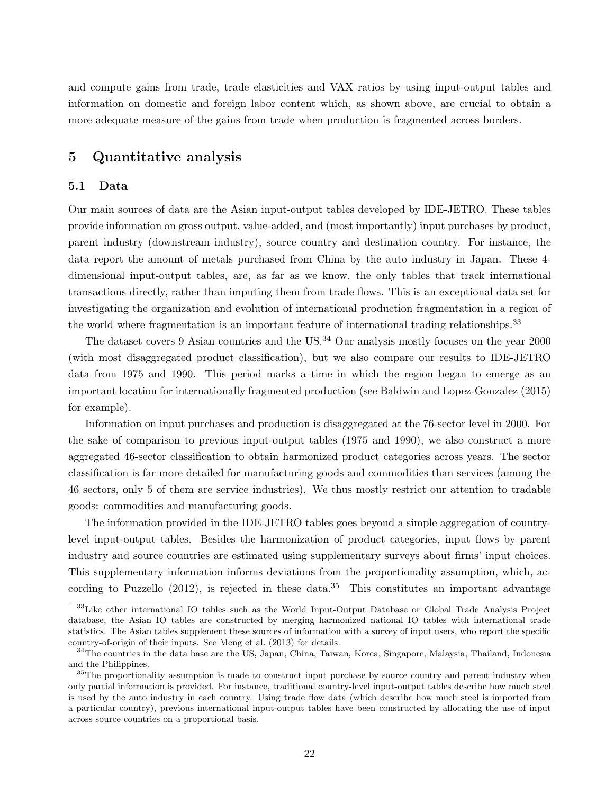and compute gains from trade, trade elasticities and VAX ratios by using input-output tables and information on domestic and foreign labor content which, as shown above, are crucial to obtain a more adequate measure of the gains from trade when production is fragmented across borders.

# 5 Quantitative analysis

#### 5.1 Data

Our main sources of data are the Asian input-output tables developed by IDE-JETRO. These tables provide information on gross output, value-added, and (most importantly) input purchases by product, parent industry (downstream industry), source country and destination country. For instance, the data report the amount of metals purchased from China by the auto industry in Japan. These 4 dimensional input-output tables, are, as far as we know, the only tables that track international transactions directly, rather than imputing them from trade flows. This is an exceptional data set for investigating the organization and evolution of international production fragmentation in a region of the world where fragmentation is an important feature of international trading relationships.<sup>33</sup>

The dataset covers 9 Asian countries and the US.<sup>34</sup> Our analysis mostly focuses on the year 2000 (with most disaggregated product classification), but we also compare our results to IDE-JETRO data from 1975 and 1990. This period marks a time in which the region began to emerge as an important location for internationally fragmented production (see Baldwin and Lopez-Gonzalez (2015) for example).

Information on input purchases and production is disaggregated at the 76-sector level in 2000. For the sake of comparison to previous input-output tables (1975 and 1990), we also construct a more aggregated 46-sector classification to obtain harmonized product categories across years. The sector classification is far more detailed for manufacturing goods and commodities than services (among the 46 sectors, only 5 of them are service industries). We thus mostly restrict our attention to tradable goods: commodities and manufacturing goods.

The information provided in the IDE-JETRO tables goes beyond a simple aggregation of countrylevel input-output tables. Besides the harmonization of product categories, input flows by parent industry and source countries are estimated using supplementary surveys about firms' input choices. This supplementary information informs deviations from the proportionality assumption, which, according to Puzzello  $(2012)$ , is rejected in these data.<sup>35</sup> This constitutes an important advantage

<sup>&</sup>lt;sup>33</sup>Like other international IO tables such as the World Input-Output Database or Global Trade Analysis Project database, the Asian IO tables are constructed by merging harmonized national IO tables with international trade statistics. The Asian tables supplement these sources of information with a survey of input users, who report the specific country-of-origin of their inputs. See Meng et al. (2013) for details.

<sup>&</sup>lt;sup>34</sup>The countries in the data base are the US, Japan, China, Taiwan, Korea, Singapore, Malaysia, Thailand, Indonesia and the Philippines.

<sup>&</sup>lt;sup>35</sup>The proportionality assumption is made to construct input purchase by source country and parent industry when only partial information is provided. For instance, traditional country-level input-output tables describe how much steel is used by the auto industry in each country. Using trade flow data (which describe how much steel is imported from a particular country), previous international input-output tables have been constructed by allocating the use of input across source countries on a proportional basis.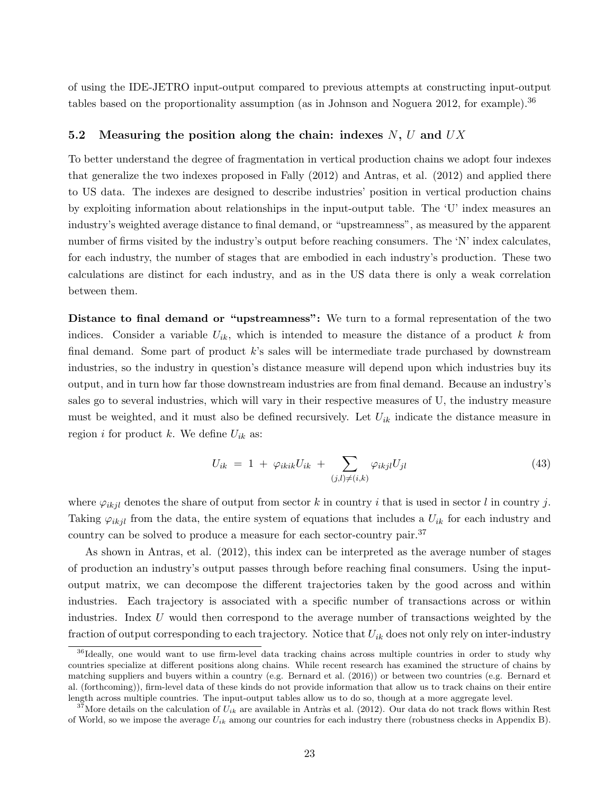of using the IDE-JETRO input-output compared to previous attempts at constructing input-output tables based on the proportionality assumption (as in Johnson and Noguera 2012, for example).<sup>36</sup>

### 5.2 Measuring the position along the chain: indexes  $N, U$  and  $UX$

To better understand the degree of fragmentation in vertical production chains we adopt four indexes that generalize the two indexes proposed in Fally (2012) and Antras, et al. (2012) and applied there to US data. The indexes are designed to describe industries' position in vertical production chains by exploiting information about relationships in the input-output table. The 'U' index measures an industry's weighted average distance to final demand, or "upstreamness", as measured by the apparent number of firms visited by the industry's output before reaching consumers. The 'N' index calculates, for each industry, the number of stages that are embodied in each industry's production. These two calculations are distinct for each industry, and as in the US data there is only a weak correlation between them.

Distance to final demand or "upstreamness": We turn to a formal representation of the two indices. Consider a variable  $U_{ik}$ , which is intended to measure the distance of a product k from final demand. Some part of product k's sales will be intermediate trade purchased by downstream industries, so the industry in question's distance measure will depend upon which industries buy its output, and in turn how far those downstream industries are from final demand. Because an industry's sales go to several industries, which will vary in their respective measures of U, the industry measure must be weighted, and it must also be defined recursively. Let  $U_{ik}$  indicate the distance measure in region *i* for product *k*. We define  $U_{ik}$  as:

$$
U_{ik} = 1 + \varphi_{ikik} U_{ik} + \sum_{(j,l)\neq(i,k)} \varphi_{ikjl} U_{jl} \tag{43}
$$

where  $\varphi_{ikjl}$  denotes the share of output from sector k in country i that is used in sector l in country j. Taking  $\varphi_{ikjl}$  from the data, the entire system of equations that includes a  $U_{ik}$  for each industry and country can be solved to produce a measure for each sector-country pair.<sup>37</sup>

As shown in Antras, et al. (2012), this index can be interpreted as the average number of stages of production an industry's output passes through before reaching final consumers. Using the inputoutput matrix, we can decompose the different trajectories taken by the good across and within industries. Each trajectory is associated with a specific number of transactions across or within industries. Index  $U$  would then correspond to the average number of transactions weighted by the fraction of output corresponding to each trajectory. Notice that  $U_{ik}$  does not only rely on inter-industry

<sup>&</sup>lt;sup>36</sup>Ideally, one would want to use firm-level data tracking chains across multiple countries in order to study why countries specialize at different positions along chains. While recent research has examined the structure of chains by matching suppliers and buyers within a country (e.g. Bernard et al. (2016)) or between two countries (e.g. Bernard et al. (forthcoming)), firm-level data of these kinds do not provide information that allow us to track chains on their entire length across multiple countries. The input-output tables allow us to do so, though at a more aggregate level.

<sup>&</sup>lt;sup>37</sup>More details on the calculation of  $U_{ik}$  are available in Antràs et al. (2012). Our data do not track flows within Rest of World, so we impose the average  $U_{ik}$  among our countries for each industry there (robustness checks in Appendix B).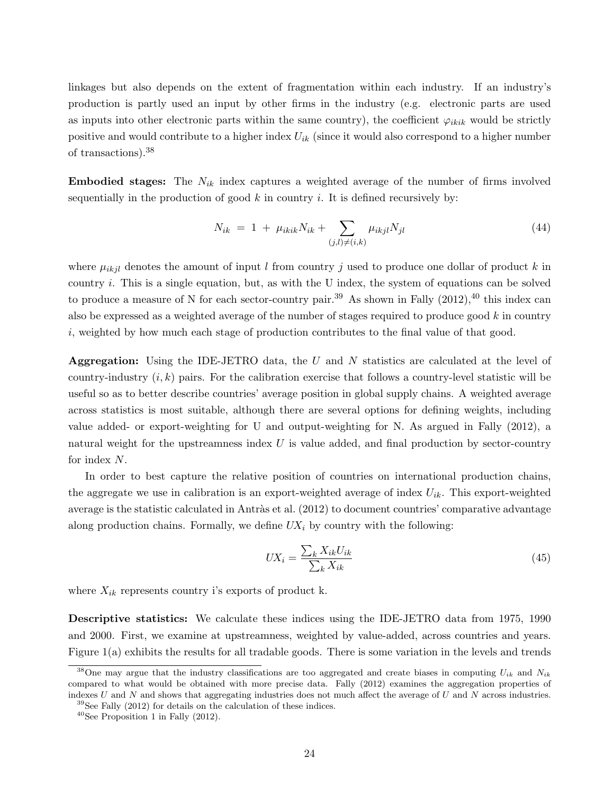linkages but also depends on the extent of fragmentation within each industry. If an industry's production is partly used an input by other firms in the industry (e.g. electronic parts are used as inputs into other electronic parts within the same country), the coefficient  $\varphi_{ikik}$  would be strictly positive and would contribute to a higher index  $U_{ik}$  (since it would also correspond to a higher number of transactions).<sup>38</sup>

**Embodied stages:** The  $N_{ik}$  index captures a weighted average of the number of firms involved sequentially in the production of good  $k$  in country i. It is defined recursively by:

$$
N_{ik} = 1 + \mu_{ikik} N_{ik} + \sum_{(j,l) \neq (i,k)} \mu_{ikjl} N_{jl} \tag{44}
$$

where  $\mu_{ikjl}$  denotes the amount of input l from country j used to produce one dollar of product k in country  $i$ . This is a single equation, but, as with the U index, the system of equations can be solved to produce a measure of N for each sector-country pair.<sup>39</sup> As shown in Fally  $(2012)$ ,<sup>40</sup> this index can also be expressed as a weighted average of the number of stages required to produce good  $k$  in country i, weighted by how much each stage of production contributes to the final value of that good.

Aggregation: Using the IDE-JETRO data, the  $U$  and  $N$  statistics are calculated at the level of country-industry  $(i, k)$  pairs. For the calibration exercise that follows a country-level statistic will be useful so as to better describe countries' average position in global supply chains. A weighted average across statistics is most suitable, although there are several options for defining weights, including value added- or export-weighting for U and output-weighting for N. As argued in Fally (2012), a natural weight for the upstreamness index  $U$  is value added, and final production by sector-country for index N.

In order to best capture the relative position of countries on international production chains, the aggregate we use in calibration is an export-weighted average of index  $U_{ik}$ . This export-weighted average is the statistic calculated in Antràs et al.  $(2012)$  to document countries' comparative advantage along production chains. Formally, we define  $UX_i$  by country with the following:

$$
UX_i = \frac{\sum_k X_{ik} U_{ik}}{\sum_k X_{ik}}\tag{45}
$$

where  $X_{ik}$  represents country i's exports of product k.

Descriptive statistics: We calculate these indices using the IDE-JETRO data from 1975, 1990 and 2000. First, we examine at upstreamness, weighted by value-added, across countries and years. Figure 1(a) exhibits the results for all tradable goods. There is some variation in the levels and trends

<sup>&</sup>lt;sup>38</sup>One may argue that the industry classifications are too aggregated and create biases in computing  $U_{ik}$  and  $N_{ik}$ compared to what would be obtained with more precise data. Fally (2012) examines the aggregation properties of indexes  $U$  and  $N$  and shows that aggregating industries does not much affect the average of  $U$  and  $N$  across industries.

 $39$ See Fally (2012) for details on the calculation of these indices.

 $40$ See Proposition 1 in Fally (2012).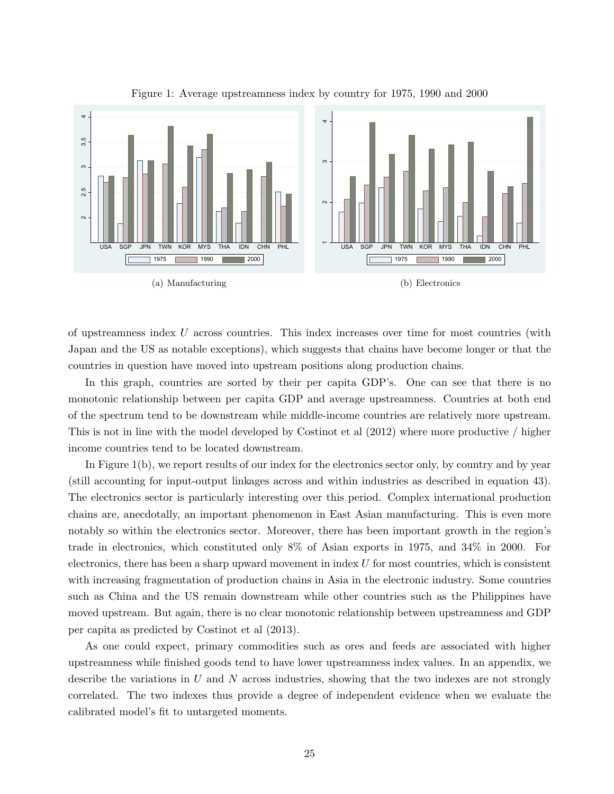

Figure 1: Average upstreamness index by country for 1975, 1990 and 2000

of upstreamness index U across countries. This index increases over time for most countries (with Japan and the US as notable exceptions), which suggests that chains have become longer or that the countries in question have moved into upstream positions along production chains.

In this graph, countries are sorted by their per capita GDP's. One can see that there is no monotonic relationship between per capita GDP and average upstreamness. Countries at both end of the spectrum tend to be downstream while middle-income countries are relatively more upstream. This is not in line with the model developed by Costinot et al (2012) where more productive / higher income countries tend to be located downstream.

In Figure 1(b), we report results of our index for the electronics sector only, by country and by year (still accounting for input-output linkages across and within industries as described in equation 43). The electronics sector is particularly interesting over this period. Complex international production chains are, anecdotally, an important phenomenon in East Asian manufacturing. This is even more notably so within the electronics sector. Moreover, there has been important growth in the region's trade in electronics, which constituted only 8% of Asian exports in 1975, and 34% in 2000. For electronics, there has been a sharp upward movement in index  $U$  for most countries, which is consistent with increasing fragmentation of production chains in Asia in the electronic industry. Some countries such as China and the US remain downstream while other countries such as the Philippines have moved upstream. But again, there is no clear monotonic relationship between upstreamness and GDP per capita as predicted by Costinot et al (2013).

As one could expect, primary commodities such as ores and feeds are associated with higher upstreamness while finished goods tend to have lower upstreamness index values. In an appendix, we describe the variations in U and N across industries, showing that the two indexes are not strongly correlated. The two indexes thus provide a degree of independent evidence when we evaluate the calibrated model's fit to untargeted moments.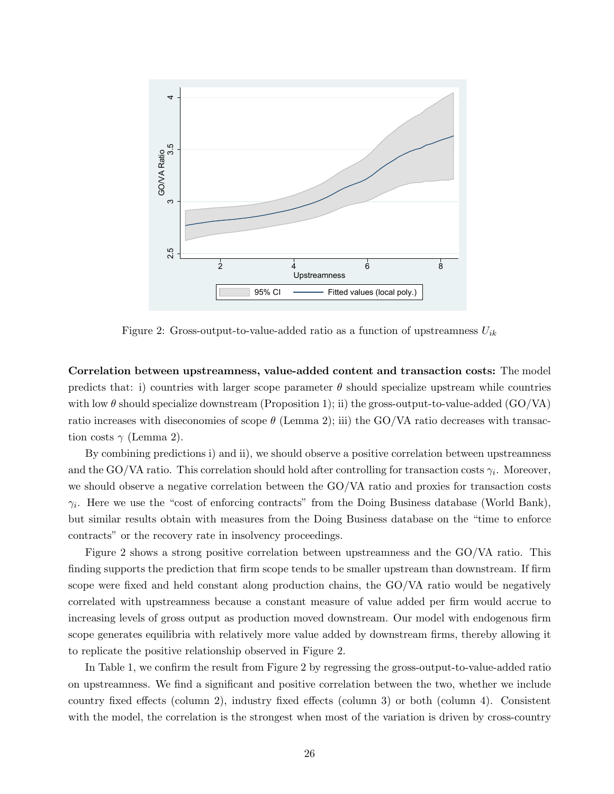

Figure 2: Gross-output-to-value-added ratio as a function of upstreamness  $U_{ik}$ 

Correlation between upstreamness, value-added content and transaction costs: The model predicts that: i) countries with larger scope parameter  $\theta$  should specialize upstream while countries with low  $\theta$  should specialize downstream (Proposition 1); ii) the gross-output-to-value-added (GO/VA) ratio increases with diseconomies of scope  $\theta$  (Lemma 2); iii) the GO/VA ratio decreases with transaction costs  $\gamma$  (Lemma 2).

By combining predictions i) and ii), we should observe a positive correlation between upstreamness and the GO/VA ratio. This correlation should hold after controlling for transaction costs  $\gamma_i$ . Moreover, we should observe a negative correlation between the GO/VA ratio and proxies for transaction costs  $\gamma_i$ . Here we use the "cost of enforcing contracts" from the Doing Business database (World Bank), but similar results obtain with measures from the Doing Business database on the "time to enforce contracts" or the recovery rate in insolvency proceedings.

Figure 2 shows a strong positive correlation between upstreamness and the GO/VA ratio. This finding supports the prediction that firm scope tends to be smaller upstream than downstream. If firm scope were fixed and held constant along production chains, the GO/VA ratio would be negatively correlated with upstreamness because a constant measure of value added per firm would accrue to increasing levels of gross output as production moved downstream. Our model with endogenous firm scope generates equilibria with relatively more value added by downstream firms, thereby allowing it to replicate the positive relationship observed in Figure 2.

In Table 1, we confirm the result from Figure 2 by regressing the gross-output-to-value-added ratio on upstreamness. We find a significant and positive correlation between the two, whether we include country fixed effects (column 2), industry fixed effects (column 3) or both (column 4). Consistent with the model, the correlation is the strongest when most of the variation is driven by cross-country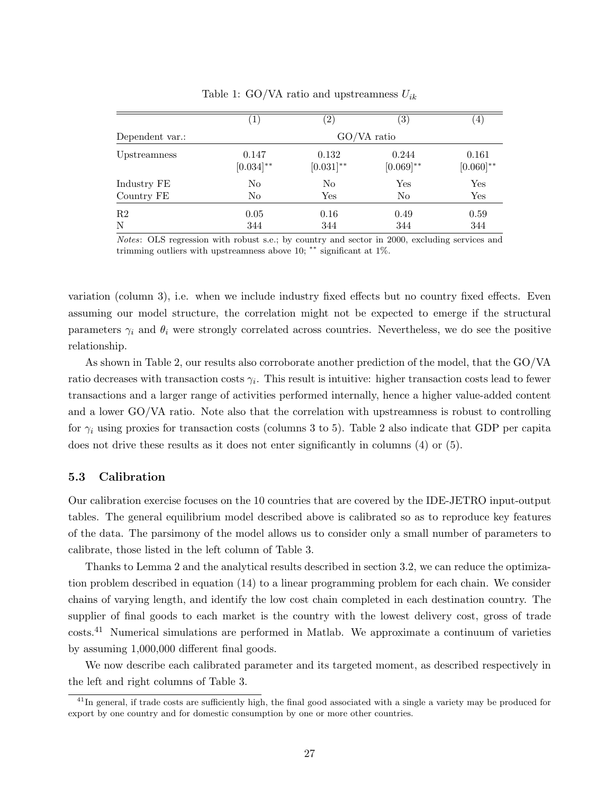|                 | $\perp$                 | $\left( 2\right)$       | $\left(3\right)$        | $\vert 4 \vert$         |  |  |  |  |
|-----------------|-------------------------|-------------------------|-------------------------|-------------------------|--|--|--|--|
| Dependent var.: | GO/VA ratio             |                         |                         |                         |  |  |  |  |
| Upstreamness    | 0.147<br>$[0.034]^{**}$ | 0.132<br>$[0.031]^{**}$ | 0.244<br>$[0.069]^{**}$ | 0.161<br>$[0.060]^{**}$ |  |  |  |  |
| Industry FE     | No                      | $\rm No$                | $_{\rm Yes}$            | Yes                     |  |  |  |  |
| Country FE      | No                      | Yes                     | N <sub>0</sub>          | Yes                     |  |  |  |  |
| R2              | 0.05                    | 0.16                    | 0.49                    | 0.59                    |  |  |  |  |
| N               | 344                     | 344                     | 344                     | 344                     |  |  |  |  |

Table 1: GO/VA ratio and upstreamness  $U_{ik}$ 

Notes: OLS regression with robust s.e.; by country and sector in 2000, excluding services and trimming outliers with upstreamness above 10; \*\* significant at  $1\%$ .

variation (column 3), i.e. when we include industry fixed effects but no country fixed effects. Even assuming our model structure, the correlation might not be expected to emerge if the structural parameters  $\gamma_i$  and  $\theta_i$  were strongly correlated across countries. Nevertheless, we do see the positive relationship.

As shown in Table 2, our results also corroborate another prediction of the model, that the GO/VA ratio decreases with transaction costs  $\gamma_i$ . This result is intuitive: higher transaction costs lead to fewer transactions and a larger range of activities performed internally, hence a higher value-added content and a lower GO/VA ratio. Note also that the correlation with upstreamness is robust to controlling for  $\gamma_i$  using proxies for transaction costs (columns 3 to 5). Table 2 also indicate that GDP per capita does not drive these results as it does not enter significantly in columns (4) or (5).

#### 5.3 Calibration

Our calibration exercise focuses on the 10 countries that are covered by the IDE-JETRO input-output tables. The general equilibrium model described above is calibrated so as to reproduce key features of the data. The parsimony of the model allows us to consider only a small number of parameters to calibrate, those listed in the left column of Table 3.

Thanks to Lemma 2 and the analytical results described in section 3.2, we can reduce the optimization problem described in equation (14) to a linear programming problem for each chain. We consider chains of varying length, and identify the low cost chain completed in each destination country. The supplier of final goods to each market is the country with the lowest delivery cost, gross of trade costs.<sup>41</sup> Numerical simulations are performed in Matlab. We approximate a continuum of varieties by assuming 1,000,000 different final goods.

We now describe each calibrated parameter and its targeted moment, as described respectively in the left and right columns of Table 3.

<sup>&</sup>lt;sup>41</sup>In general, if trade costs are sufficiently high, the final good associated with a single a variety may be produced for export by one country and for domestic consumption by one or more other countries.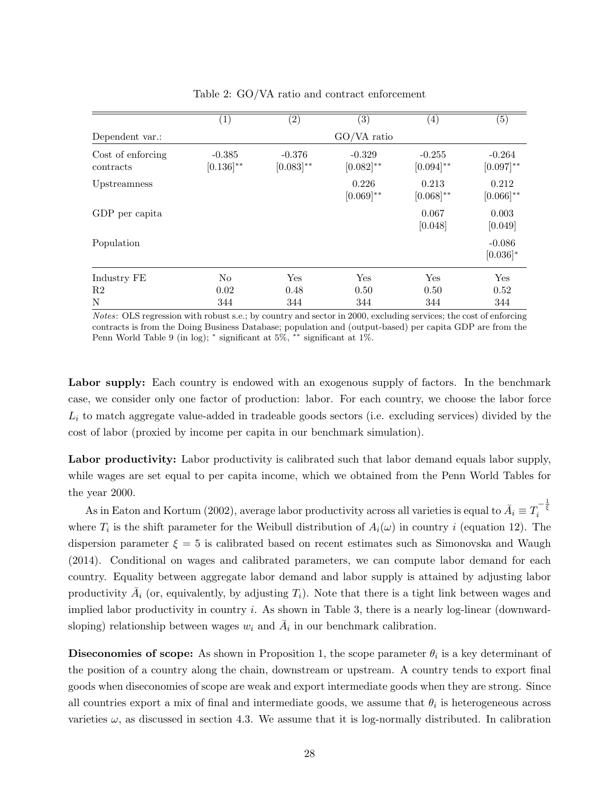|                                | (1)                        | $\left( 2\right)$          | (3)                        | $\left( 4\right)$          | $\left( 5\right)$          |
|--------------------------------|----------------------------|----------------------------|----------------------------|----------------------------|----------------------------|
| Dependent var.:                |                            |                            | $GO/VA$ ratio              |                            |                            |
| Cost of enforcing<br>contracts | $-0.385$<br>$[0.136]^{**}$ | $-0.376$<br>$[0.083]^{**}$ | $-0.329$<br>$[0.082]^{**}$ | $-0.255$<br>$[0.094]^{**}$ | $-0.264$<br>$[0.097]^{**}$ |
| Upstreamness                   |                            |                            | 0.226<br>$[0.069]^{**}$    | 0.213<br>$[0.068]^{**}$    | 0.212<br>$[0.066]^{**}$    |
| GDP per capita                 |                            |                            |                            | 0.067<br>[0.048]           | 0.003<br>[0.049]           |
| Population                     |                            |                            |                            |                            | $-0.086$<br>$[0.036]$ *    |
| Industry FE                    | No                         | Yes                        | Yes                        | Yes                        | Yes                        |
| R2                             | 0.02                       | 0.48                       | 0.50                       | 0.50                       | 0.52                       |
| N                              | 344                        | 344                        | 344                        | 344                        | 344                        |

Table 2: GO/VA ratio and contract enforcement

Notes: OLS regression with robust s.e.; by country and sector in 2000, excluding services; the cost of enforcing contracts is from the Doing Business Database; population and (output-based) per capita GDP are from the Penn World Table 9 (in log);  $*$  significant at 5%,  $**$  significant at 1%.

Labor supply: Each country is endowed with an exogenous supply of factors. In the benchmark case, we consider only one factor of production: labor. For each country, we choose the labor force  $L_i$  to match aggregate value-added in tradeable goods sectors (i.e. excluding services) divided by the cost of labor (proxied by income per capita in our benchmark simulation).

Labor productivity: Labor productivity is calibrated such that labor demand equals labor supply, while wages are set equal to per capita income, which we obtained from the Penn World Tables for the year 2000.

As in Eaton and Kortum (2002), average labor productivity across all varieties is equal to  $\bar{A}_i \equiv T_i^{-\frac{1}{\xi}}$ where  $T_i$  is the shift parameter for the Weibull distribution of  $A_i(\omega)$  in country i (equation 12). The dispersion parameter  $\xi = 5$  is calibrated based on recent estimates such as Simonovska and Waugh (2014). Conditional on wages and calibrated parameters, we can compute labor demand for each country. Equality between aggregate labor demand and labor supply is attained by adjusting labor productivity  $\bar{A}_i$  (or, equivalently, by adjusting  $T_i$ ). Note that there is a tight link between wages and implied labor productivity in country  $i$ . As shown in Table 3, there is a nearly log-linear (downwardsloping) relationship between wages  $w_i$  and  $\overline{A}_i$  in our benchmark calibration.

**Diseconomies of scope:** As shown in Proposition 1, the scope parameter  $\theta_i$  is a key determinant of the position of a country along the chain, downstream or upstream. A country tends to export final goods when diseconomies of scope are weak and export intermediate goods when they are strong. Since all countries export a mix of final and intermediate goods, we assume that  $\theta_i$  is heterogeneous across varieties  $\omega$ , as discussed in section 4.3. We assume that it is log-normally distributed. In calibration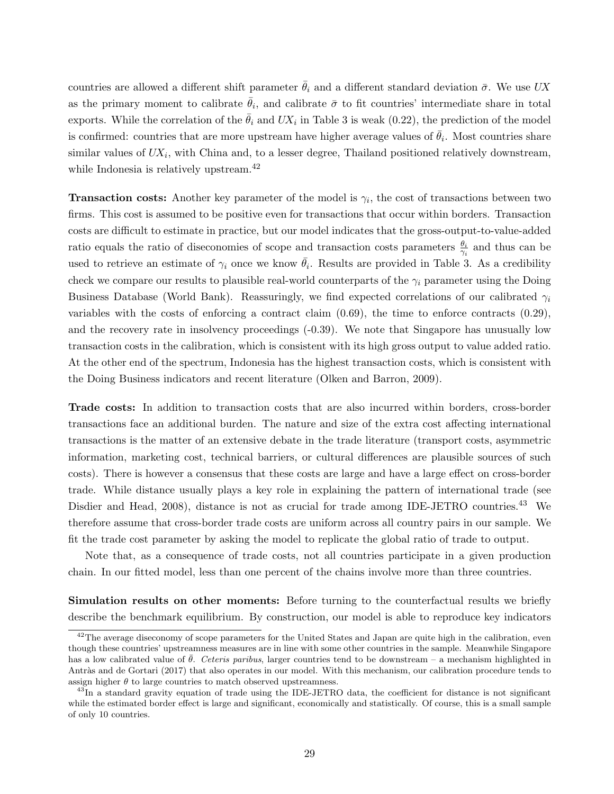countries are allowed a different shift parameter  $\theta_i$  and a different standard deviation  $\bar{\sigma}$ . We use UX as the primary moment to calibrate  $\bar{\theta}_i$ , and calibrate  $\bar{\sigma}$  to fit countries' intermediate share in total exports. While the correlation of the  $\bar{\theta}_i$  and  $UX_i$  in Table 3 is weak (0.22), the prediction of the model is confirmed: countries that are more upstream have higher average values of  $\bar{\theta}_i$ . Most countries share similar values of  $UX_i$ , with China and, to a lesser degree, Thailand positioned relatively downstream, while Indonesia is relatively upstream.<sup>42</sup>

**Transaction costs:** Another key parameter of the model is  $\gamma_i$ , the cost of transactions between two firms. This cost is assumed to be positive even for transactions that occur within borders. Transaction costs are difficult to estimate in practice, but our model indicates that the gross-output-to-value-added ratio equals the ratio of diseconomies of scope and transaction costs parameters  $\frac{\theta_i}{\gamma_i}$  and thus can be used to retrieve an estimate of  $\gamma_i$  once we know  $\bar{\theta}_i$ . Results are provided in Table 3. As a credibility check we compare our results to plausible real-world counterparts of the  $\gamma_i$  parameter using the Doing Business Database (World Bank). Reassuringly, we find expected correlations of our calibrated  $\gamma_i$ variables with the costs of enforcing a contract claim  $(0.69)$ , the time to enforce contracts  $(0.29)$ , and the recovery rate in insolvency proceedings (-0.39). We note that Singapore has unusually low transaction costs in the calibration, which is consistent with its high gross output to value added ratio. At the other end of the spectrum, Indonesia has the highest transaction costs, which is consistent with the Doing Business indicators and recent literature (Olken and Barron, 2009).

Trade costs: In addition to transaction costs that are also incurred within borders, cross-border transactions face an additional burden. The nature and size of the extra cost affecting international transactions is the matter of an extensive debate in the trade literature (transport costs, asymmetric information, marketing cost, technical barriers, or cultural differences are plausible sources of such costs). There is however a consensus that these costs are large and have a large effect on cross-border trade. While distance usually plays a key role in explaining the pattern of international trade (see Disdier and Head, 2008), distance is not as crucial for trade among IDE-JETRO countries.<sup>43</sup> We therefore assume that cross-border trade costs are uniform across all country pairs in our sample. We fit the trade cost parameter by asking the model to replicate the global ratio of trade to output.

Note that, as a consequence of trade costs, not all countries participate in a given production chain. In our fitted model, less than one percent of the chains involve more than three countries.

Simulation results on other moments: Before turning to the counterfactual results we briefly describe the benchmark equilibrium. By construction, our model is able to reproduce key indicators

 $42$ The average diseconomy of scope parameters for the United States and Japan are quite high in the calibration, even though these countries' upstreamness measures are in line with some other countries in the sample. Meanwhile Singapore has a low calibrated value of  $\bar{\theta}$ . Ceteris paribus, larger countries tend to be downstream – a mechanism highlighted in Antràs and de Gortari (2017) that also operates in our model. With this mechanism, our calibration procedure tends to assign higher  $\theta$  to large countries to match observed upstreamness.

<sup>&</sup>lt;sup>43</sup>In a standard gravity equation of trade using the IDE-JETRO data, the coefficient for distance is not significant while the estimated border effect is large and significant, economically and statistically. Of course, this is a small sample of only 10 countries.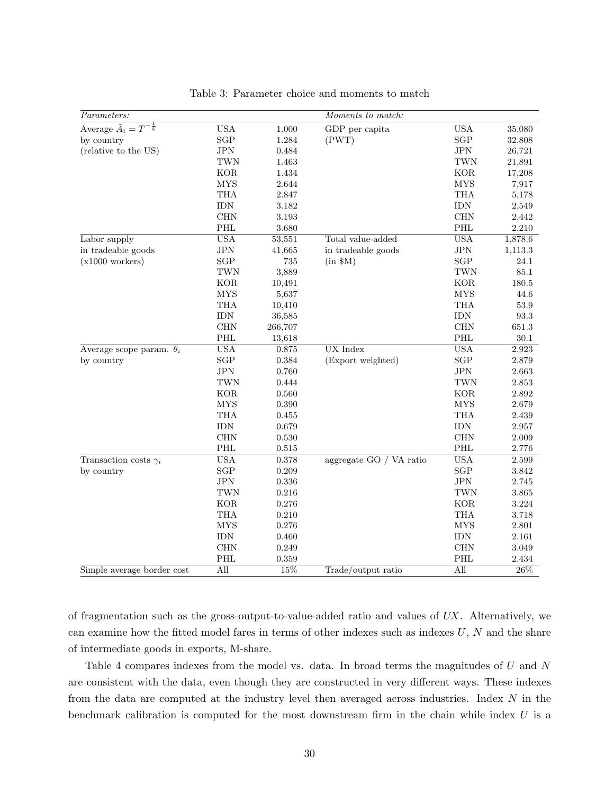| Parameters:                              |                      |             | Moments to match:       |                   |           |
|------------------------------------------|----------------------|-------------|-------------------------|-------------------|-----------|
| Average $\bar{A}_i = T^{-\frac{1}{\xi}}$ | <b>USA</b>           | $1.000\,$   | GDP per capita          | <b>USA</b>        | 35,080    |
| by country                               | $\operatorname{SGP}$ | 1.284       | (PWT)                   | $_{\rm SGP}$      | 32,808    |
| (relative to the US)                     | JPN                  | 0.484       |                         | $_{\mathrm{JPN}}$ | 26,721    |
|                                          | $\operatorname{TWN}$ | 1.463       |                         | <b>TWN</b>        | 21,891    |
|                                          | <b>KOR</b>           | 1.434       |                         | $\rm KOR$         | 17,208    |
|                                          | <b>MYS</b>           | 2.644       |                         | <b>MYS</b>        | 7,917     |
|                                          | <b>THA</b>           | 2.847       |                         | <b>THA</b>        | 5,178     |
|                                          | <b>IDN</b>           | 3.182       |                         | <b>IDN</b>        | 2,549     |
|                                          | <b>CHN</b>           | 3.193       |                         | <b>CHN</b>        | 2,442     |
|                                          | PHL                  | 3.680       |                         | PHL               | 2,210     |
| Labor supply                             | <b>USA</b>           | 53,551      | Total value-added       | <b>USA</b>        | 1,878.6   |
| in tradeable goods                       | JPN                  | 41,665      | in tradeable goods      | JPN               | 1,113.3   |
| $(x1000 \text{ workers})$                | $\operatorname{SGP}$ | $735\,$     | $(in$ $M)$              | SGP               | 24.1      |
|                                          | $\operatorname{TWN}$ | 3,889       |                         | TWN               | $85.1\,$  |
|                                          | <b>KOR</b>           | 10,491      |                         | <b>KOR</b>        | $180.5\,$ |
|                                          | <b>MYS</b>           | 5,637       |                         | ${\rm MYS}$       | 44.6      |
|                                          | <b>THA</b>           | 10,410      |                         | THA               | $53.9\,$  |
|                                          | $\rm{IDN}$           | 36,585      |                         | <b>IDN</b>        | $93.3\,$  |
|                                          | CHN                  | 266,707     |                         | <b>CHN</b>        | 651.3     |
|                                          | PHL                  | 13,618      |                         | PHL               | $30.1\,$  |
| Average scope param. $\theta_i$          | <b>USA</b>           | 0.875       | <b>UX</b> Index         | <b>USA</b>        | 2.923     |
| by country                               | SGP                  | 0.384       | (Export weighted)       | SGP               | 2.879     |
|                                          | JPN                  | 0.760       |                         | $_{\mathrm{JPN}}$ | 2.663     |
|                                          | TWN                  | 0.444       |                         | <b>TWN</b>        | 2.853     |
|                                          | <b>KOR</b>           | 0.560       |                         | <b>KOR</b>        | 2.892     |
|                                          | <b>MYS</b>           | 0.390       |                         | <b>MYS</b>        | 2.679     |
|                                          | <b>THA</b>           | 0.455       |                         | THA               | 2.439     |
|                                          | $\text{IDN}$         | 0.679       |                         | $\text{IDN}$      | $2.957\,$ |
|                                          | CHN                  | 0.530       |                         | <b>CHN</b>        | 2.009     |
|                                          | PHL                  | $\,0.515\,$ |                         | PHL               | 2.776     |
| Transaction costs $\gamma_i$             | <b>USA</b>           | 0.378       | aggregate GO / VA ratio | <b>USA</b>        | 2.599     |
| by country                               | $\operatorname{SGP}$ | 0.209       |                         | SGP               | $3.842\,$ |
|                                          | $_{\mathrm{JPN}}$    | $0.336\,$   |                         | $_{\mathrm{JPN}}$ | 2.745     |
|                                          | $\operatorname{TWN}$ | 0.216       |                         | <b>TWN</b>        | $3.865\,$ |
|                                          | <b>KOR</b>           | 0.276       |                         | <b>KOR</b>        | 3.224     |
|                                          | <b>THA</b>           | 0.210       |                         | THA               | 3.718     |
|                                          | <b>MYS</b>           | 0.276       |                         | <b>MYS</b>        | $2.801\,$ |
|                                          | <b>IDN</b>           | 0.460       |                         | <b>IDN</b>        | 2.161     |
|                                          | CHN                  | 0.249       |                         | <b>CHN</b>        | 3.049     |
|                                          | PHL                  | 0.359       |                         | PHL               | 2.434     |
| Simple average border cost               | All                  | 15%         | Trade/output ratio      | All               | 26\%      |

Table 3: Parameter choice and moments to match

of fragmentation such as the gross-output-to-value-added ratio and values of UX. Alternatively, we can examine how the fitted model fares in terms of other indexes such as indexes  $U, N$  and the share of intermediate goods in exports, M-share.

Table 4 compares indexes from the model vs. data. In broad terms the magnitudes of U and N are consistent with the data, even though they are constructed in very different ways. These indexes from the data are computed at the industry level then averaged across industries. Index N in the benchmark calibration is computed for the most downstream firm in the chain while index  $U$  is a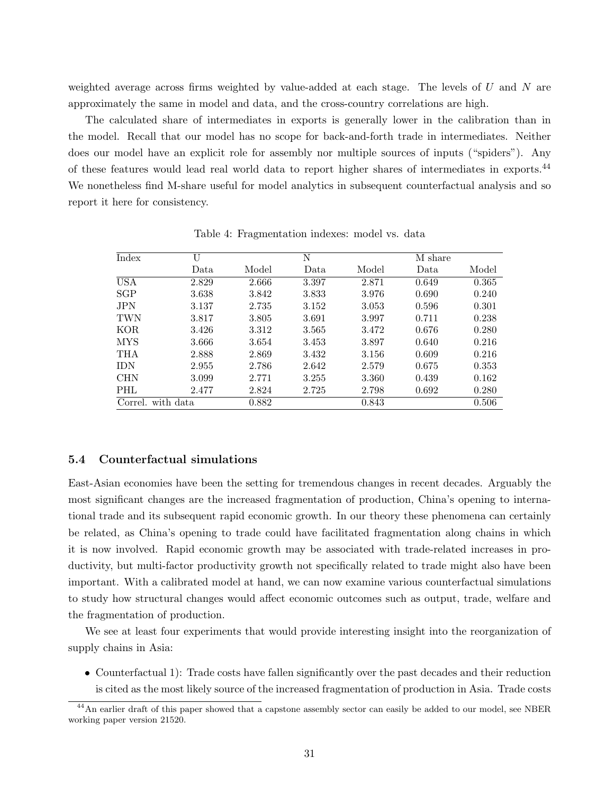weighted average across firms weighted by value-added at each stage. The levels of  $U$  and  $N$  are approximately the same in model and data, and the cross-country correlations are high.

The calculated share of intermediates in exports is generally lower in the calibration than in the model. Recall that our model has no scope for back-and-forth trade in intermediates. Neither does our model have an explicit role for assembly nor multiple sources of inputs ("spiders"). Any of these features would lead real world data to report higher shares of intermediates in exports.<sup>44</sup> We nonetheless find M-share useful for model analytics in subsequent counterfactual analysis and so report it here for consistency.

| Index      | U         |       | N     |       | M share |       |
|------------|-----------|-------|-------|-------|---------|-------|
|            | Data      | Model | Data  | Model | Data.   | Model |
| <b>USA</b> | 2.829     | 2.666 | 3.397 | 2.871 | 0.649   | 0.365 |
| <b>SGP</b> | 3.638     | 3.842 | 3.833 | 3.976 | 0.690   | 0.240 |
| <b>JPN</b> | 3.137     | 2.735 | 3.152 | 3.053 | 0.596   | 0.301 |
| <b>TWN</b> | 3.817     | 3.805 | 3.691 | 3.997 | 0.711   | 0.238 |
| <b>KOR</b> | 3.426     | 3.312 | 3.565 | 3.472 | 0.676   | 0.280 |
| <b>MYS</b> | 3.666     | 3.654 | 3.453 | 3.897 | 0.640   | 0.216 |
| <b>THA</b> | 2.888     | 2.869 | 3.432 | 3.156 | 0.609   | 0.216 |
| <b>IDN</b> | 2.955     | 2.786 | 2.642 | 2.579 | 0.675   | 0.353 |
| <b>CHN</b> | 3.099     | 2.771 | 3.255 | 3.360 | 0.439   | 0.162 |
| PHL        | 2.477     | 2.824 | 2.725 | 2.798 | 0.692   | 0.280 |
| Correl.    | with data | 0.882 |       | 0.843 |         | 0.506 |

Table 4: Fragmentation indexes: model vs. data

#### 5.4 Counterfactual simulations

East-Asian economies have been the setting for tremendous changes in recent decades. Arguably the most significant changes are the increased fragmentation of production, China's opening to international trade and its subsequent rapid economic growth. In our theory these phenomena can certainly be related, as China's opening to trade could have facilitated fragmentation along chains in which it is now involved. Rapid economic growth may be associated with trade-related increases in productivity, but multi-factor productivity growth not specifically related to trade might also have been important. With a calibrated model at hand, we can now examine various counterfactual simulations to study how structural changes would affect economic outcomes such as output, trade, welfare and the fragmentation of production.

We see at least four experiments that would provide interesting insight into the reorganization of supply chains in Asia:

• Counterfactual 1): Trade costs have fallen significantly over the past decades and their reduction is cited as the most likely source of the increased fragmentation of production in Asia. Trade costs

<sup>&</sup>lt;sup>44</sup>An earlier draft of this paper showed that a capstone assembly sector can easily be added to our model, see NBER working paper version 21520.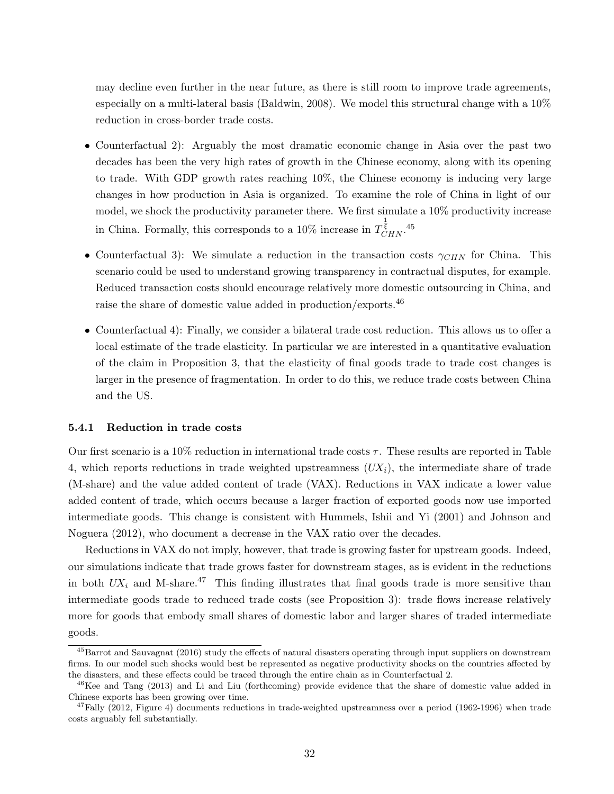may decline even further in the near future, as there is still room to improve trade agreements, especially on a multi-lateral basis (Baldwin, 2008). We model this structural change with a  $10\%$ reduction in cross-border trade costs.

- Counterfactual 2): Arguably the most dramatic economic change in Asia over the past two decades has been the very high rates of growth in the Chinese economy, along with its opening to trade. With GDP growth rates reaching 10%, the Chinese economy is inducing very large changes in how production in Asia is organized. To examine the role of China in light of our model, we shock the productivity parameter there. We first simulate a 10% productivity increase in China. Formally, this corresponds to a 10% increase in  $T_{CHN}^{\frac{1}{\xi}}$ .<sup>45</sup>
- Counterfactual 3): We simulate a reduction in the transaction costs  $\gamma_{CHN}$  for China. This scenario could be used to understand growing transparency in contractual disputes, for example. Reduced transaction costs should encourage relatively more domestic outsourcing in China, and raise the share of domestic value added in production/exports.<sup>46</sup>
- Counterfactual 4): Finally, we consider a bilateral trade cost reduction. This allows us to offer a local estimate of the trade elasticity. In particular we are interested in a quantitative evaluation of the claim in Proposition 3, that the elasticity of final goods trade to trade cost changes is larger in the presence of fragmentation. In order to do this, we reduce trade costs between China and the US.

#### 5.4.1 Reduction in trade costs

Our first scenario is a 10% reduction in international trade costs  $\tau$ . These results are reported in Table 4, which reports reductions in trade weighted upstreamness  $(UX_i)$ , the intermediate share of trade (M-share) and the value added content of trade (VAX). Reductions in VAX indicate a lower value added content of trade, which occurs because a larger fraction of exported goods now use imported intermediate goods. This change is consistent with Hummels, Ishii and Yi (2001) and Johnson and Noguera (2012), who document a decrease in the VAX ratio over the decades.

Reductions in VAX do not imply, however, that trade is growing faster for upstream goods. Indeed, our simulations indicate that trade grows faster for downstream stages, as is evident in the reductions in both  $UX_i$  and M-share.<sup>47</sup> This finding illustrates that final goods trade is more sensitive than intermediate goods trade to reduced trade costs (see Proposition 3): trade flows increase relatively more for goods that embody small shares of domestic labor and larger shares of traded intermediate goods.

<sup>45</sup>Barrot and Sauvagnat (2016) study the effects of natural disasters operating through input suppliers on downstream firms. In our model such shocks would best be represented as negative productivity shocks on the countries affected by the disasters, and these effects could be traced through the entire chain as in Counterfactual 2.

<sup>&</sup>lt;sup>46</sup>Kee and Tang (2013) and Li and Liu (forthcoming) provide evidence that the share of domestic value added in Chinese exports has been growing over time.

<sup>&</sup>lt;sup>47</sup>Fally (2012, Figure 4) documents reductions in trade-weighted upstreamness over a period (1962-1996) when trade costs arguably fell substantially.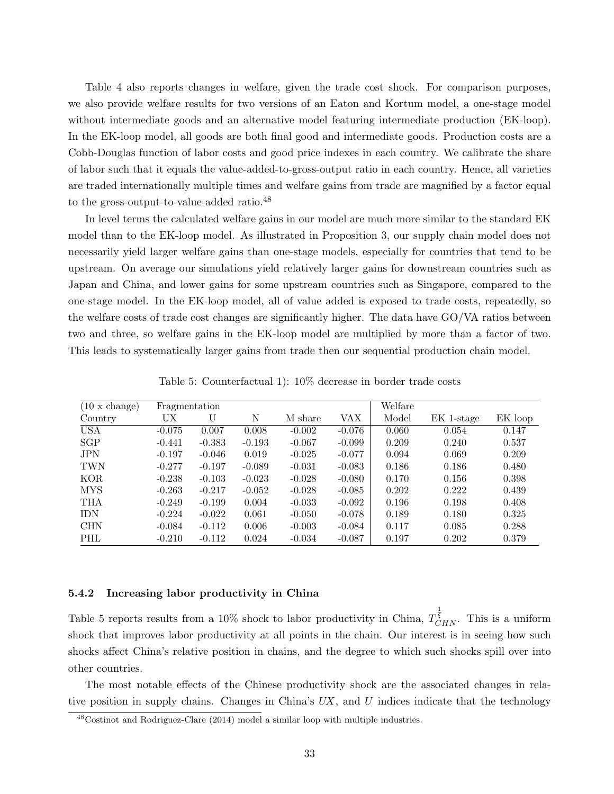Table 4 also reports changes in welfare, given the trade cost shock. For comparison purposes, we also provide welfare results for two versions of an Eaton and Kortum model, a one-stage model without intermediate goods and an alternative model featuring intermediate production (EK-loop). In the EK-loop model, all goods are both final good and intermediate goods. Production costs are a Cobb-Douglas function of labor costs and good price indexes in each country. We calibrate the share of labor such that it equals the value-added-to-gross-output ratio in each country. Hence, all varieties are traded internationally multiple times and welfare gains from trade are magnified by a factor equal to the gross-output-to-value-added ratio.<sup>48</sup>

In level terms the calculated welfare gains in our model are much more similar to the standard EK model than to the EK-loop model. As illustrated in Proposition 3, our supply chain model does not necessarily yield larger welfare gains than one-stage models, especially for countries that tend to be upstream. On average our simulations yield relatively larger gains for downstream countries such as Japan and China, and lower gains for some upstream countries such as Singapore, compared to the one-stage model. In the EK-loop model, all of value added is exposed to trade costs, repeatedly, so the welfare costs of trade cost changes are significantly higher. The data have GO/VA ratios between two and three, so welfare gains in the EK-loop model are multiplied by more than a factor of two. This leads to systematically larger gains from trade then our sequential production chain model.

| $(10 \times \text{change})$ | Fragmentation |          |          |          |          | Welfare |            |         |
|-----------------------------|---------------|----------|----------|----------|----------|---------|------------|---------|
| Country                     | UX            | U        | N        | M share  | VAX      | Model   | EK 1-stage | EK loop |
| <b>USA</b>                  | $-0.075$      | 0.007    | 0.008    | $-0.002$ | $-0.076$ | 0.060   | 0.054      | 0.147   |
| SGP                         | $-0.441$      | $-0.383$ | $-0.193$ | $-0.067$ | $-0.099$ | 0.209   | 0.240      | 0.537   |
| <b>JPN</b>                  | $-0.197$      | $-0.046$ | 0.019    | $-0.025$ | $-0.077$ | 0.094   | 0.069      | 0.209   |
| <b>TWN</b>                  | $-0.277$      | $-0.197$ | $-0.089$ | $-0.031$ | $-0.083$ | 0.186   | 0.186      | 0.480   |
| <b>KOR</b>                  | $-0.238$      | $-0.103$ | $-0.023$ | $-0.028$ | $-0.080$ | 0.170   | 0.156      | 0.398   |
| <b>MYS</b>                  | $-0.263$      | $-0.217$ | $-0.052$ | $-0.028$ | $-0.085$ | 0.202   | 0.222      | 0.439   |
| THA                         | $-0.249$      | $-0.199$ | 0.004    | $-0.033$ | $-0.092$ | 0.196   | 0.198      | 0.408   |
| <b>IDN</b>                  | $-0.224$      | $-0.022$ | 0.061    | $-0.050$ | $-0.078$ | 0.189   | 0.180      | 0.325   |
| <b>CHN</b>                  | $-0.084$      | $-0.112$ | 0.006    | $-0.003$ | $-0.084$ | 0.117   | 0.085      | 0.288   |
| PHL                         | $-0.210$      | $-0.112$ | 0.024    | $-0.034$ | $-0.087$ | 0.197   | 0.202      | 0.379   |

Table 5: Counterfactual 1): 10% decrease in border trade costs

#### 5.4.2 Increasing labor productivity in China

Table 5 reports results from a 10% shock to labor productivity in China,  $T_{CHN}^{\frac{1}{\overline{\xi}}}$ . This is a uniform shock that improves labor productivity at all points in the chain. Our interest is in seeing how such shocks affect China's relative position in chains, and the degree to which such shocks spill over into other countries.

The most notable effects of the Chinese productivity shock are the associated changes in relative position in supply chains. Changes in China's  $UX$ , and U indices indicate that the technology

 $48$ Costinot and Rodriguez-Clare (2014) model a similar loop with multiple industries.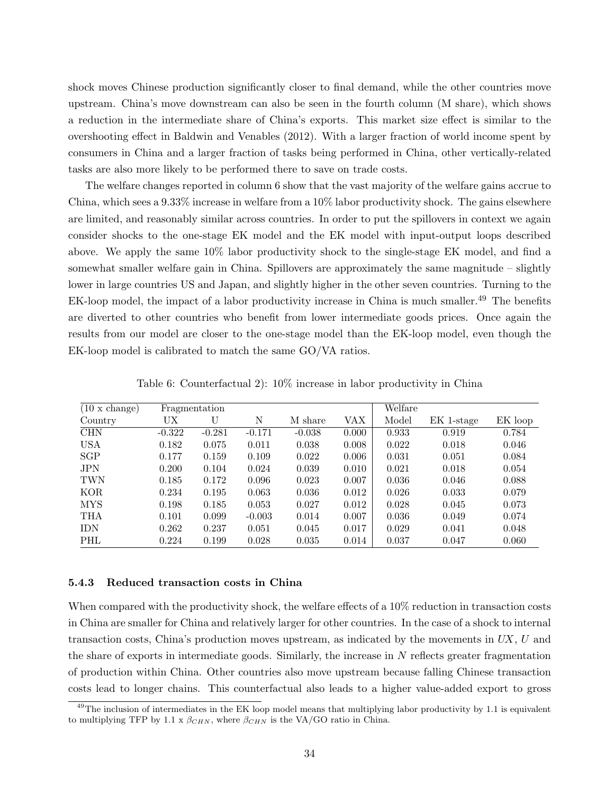shock moves Chinese production significantly closer to final demand, while the other countries move upstream. China's move downstream can also be seen in the fourth column (M share), which shows a reduction in the intermediate share of China's exports. This market size effect is similar to the overshooting effect in Baldwin and Venables (2012). With a larger fraction of world income spent by consumers in China and a larger fraction of tasks being performed in China, other vertically-related tasks are also more likely to be performed there to save on trade costs.

The welfare changes reported in column 6 show that the vast majority of the welfare gains accrue to China, which sees a 9.33% increase in welfare from a 10% labor productivity shock. The gains elsewhere are limited, and reasonably similar across countries. In order to put the spillovers in context we again consider shocks to the one-stage EK model and the EK model with input-output loops described above. We apply the same 10% labor productivity shock to the single-stage EK model, and find a somewhat smaller welfare gain in China. Spillovers are approximately the same magnitude – slightly lower in large countries US and Japan, and slightly higher in the other seven countries. Turning to the EK-loop model, the impact of a labor productivity increase in China is much smaller.<sup>49</sup> The benefits are diverted to other countries who benefit from lower intermediate goods prices. Once again the results from our model are closer to the one-stage model than the EK-loop model, even though the EK-loop model is calibrated to match the same GO/VA ratios.

| $(10 \times \text{change})$ |          | Fragmentation |          |          |       | Welfare |            |         |
|-----------------------------|----------|---------------|----------|----------|-------|---------|------------|---------|
| Country                     | UX       | U             | N        | M share  | VAX   | Model   | EK 1-stage | EK loop |
| <b>CHN</b>                  | $-0.322$ | $-0.281$      | $-0.171$ | $-0.038$ | 0.000 | 0.933   | 0.919      | 0.784   |
| <b>USA</b>                  | 0.182    | 0.075         | 0.011    | 0.038    | 0.008 | 0.022   | 0.018      | 0.046   |
| <b>SGP</b>                  | 0.177    | 0.159         | 0.109    | 0.022    | 0.006 | 0.031   | 0.051      | 0.084   |
| <b>JPN</b>                  | 0.200    | 0.104         | 0.024    | 0.039    | 0.010 | 0.021   | 0.018      | 0.054   |
| <b>TWN</b>                  | 0.185    | 0.172         | 0.096    | 0.023    | 0.007 | 0.036   | 0.046      | 0.088   |
| <b>KOR</b>                  | 0.234    | 0.195         | 0.063    | 0.036    | 0.012 | 0.026   | 0.033      | 0.079   |
| <b>MYS</b>                  | 0.198    | 0.185         | 0.053    | 0.027    | 0.012 | 0.028   | 0.045      | 0.073   |
| THA                         | 0.101    | 0.099         | $-0.003$ | 0.014    | 0.007 | 0.036   | 0.049      | 0.074   |
| <b>IDN</b>                  | 0.262    | 0.237         | 0.051    | 0.045    | 0.017 | 0.029   | 0.041      | 0.048   |
| PHL                         | 0.224    | 0.199         | 0.028    | 0.035    | 0.014 | 0.037   | 0.047      | 0.060   |

Table 6: Counterfactual 2): 10% increase in labor productivity in China

#### 5.4.3 Reduced transaction costs in China

When compared with the productivity shock, the welfare effects of a 10% reduction in transaction costs in China are smaller for China and relatively larger for other countries. In the case of a shock to internal transaction costs, China's production moves upstream, as indicated by the movements in  $UX$ ,  $U$  and the share of exports in intermediate goods. Similarly, the increase in  $N$  reflects greater fragmentation of production within China. Other countries also move upstream because falling Chinese transaction costs lead to longer chains. This counterfactual also leads to a higher value-added export to gross

 $^{49}$ The inclusion of intermediates in the EK loop model means that multiplying labor productivity by 1.1 is equivalent to multiplying TFP by 1.1 x  $\beta_{CHN}$ , where  $\beta_{CHN}$  is the VA/GO ratio in China.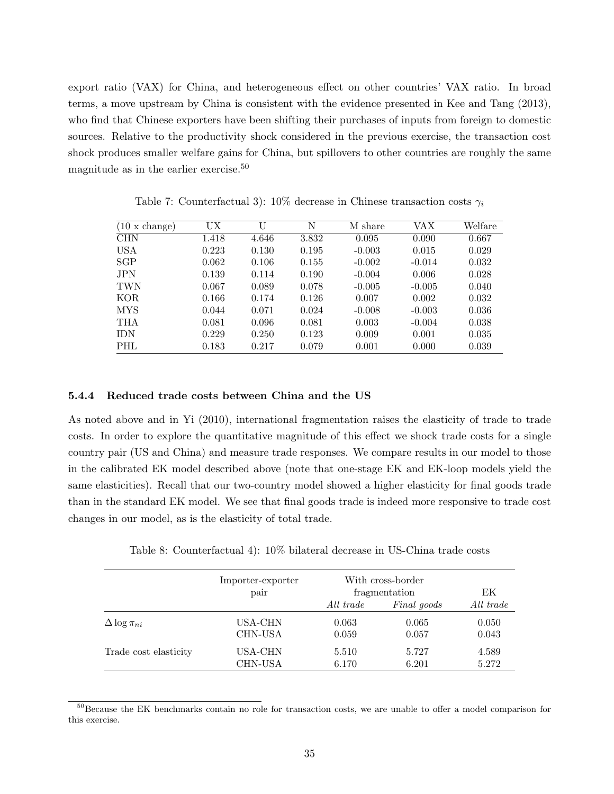export ratio (VAX) for China, and heterogeneous effect on other countries' VAX ratio. In broad terms, a move upstream by China is consistent with the evidence presented in Kee and Tang (2013), who find that Chinese exporters have been shifting their purchases of inputs from foreign to domestic sources. Relative to the productivity shock considered in the previous exercise, the transaction cost shock produces smaller welfare gains for China, but spillovers to other countries are roughly the same magnitude as in the earlier exercise.<sup>50</sup>

| $(10 \times \text{change})$ | UX    | U     | N     | M share  | VAX      | Welfare |
|-----------------------------|-------|-------|-------|----------|----------|---------|
| <b>CHN</b>                  | 1.418 | 4.646 | 3.832 | 0.095    | 0.090    | 0.667   |
| <b>USA</b>                  | 0.223 | 0.130 | 0.195 | $-0.003$ | 0.015    | 0.029   |
| <b>SGP</b>                  | 0.062 | 0.106 | 0.155 | $-0.002$ | $-0.014$ | 0.032   |
| <b>JPN</b>                  | 0.139 | 0.114 | 0.190 | $-0.004$ | 0.006    | 0.028   |
| <b>TWN</b>                  | 0.067 | 0.089 | 0.078 | $-0.005$ | $-0.005$ | 0.040   |
| KOR.                        | 0.166 | 0.174 | 0.126 | 0.007    | 0.002    | 0.032   |
| <b>MYS</b>                  | 0.044 | 0.071 | 0.024 | $-0.008$ | $-0.003$ | 0.036   |
| <b>THA</b>                  | 0.081 | 0.096 | 0.081 | 0.003    | $-0.004$ | 0.038   |
| IDN                         | 0.229 | 0.250 | 0.123 | 0.009    | 0.001    | 0.035   |
| PHL                         | 0.183 | 0.217 | 0.079 | 0.001    | 0.000    | 0.039   |

Table 7: Counterfactual 3): 10% decrease in Chinese transaction costs  $\gamma_i$ 

#### 5.4.4 Reduced trade costs between China and the US

As noted above and in Yi (2010), international fragmentation raises the elasticity of trade to trade costs. In order to explore the quantitative magnitude of this effect we shock trade costs for a single country pair (US and China) and measure trade responses. We compare results in our model to those in the calibrated EK model described above (note that one-stage EK and EK-loop models yield the same elasticities). Recall that our two-country model showed a higher elasticity for final goods trade than in the standard EK model. We see that final goods trade is indeed more responsive to trade cost changes in our model, as is the elasticity of total trade.

|  | Table 8: Counterfactual 4): 10% bilateral decrease in US-China trade costs |  |  |  |  |  |  |  |  |
|--|----------------------------------------------------------------------------|--|--|--|--|--|--|--|--|
|--|----------------------------------------------------------------------------|--|--|--|--|--|--|--|--|

|                        | Importer-exporter<br>pair |           | With cross-border<br>fragmentation |           |  |
|------------------------|---------------------------|-----------|------------------------------------|-----------|--|
|                        |                           | All trade | Final goods                        | All trade |  |
| $\Delta \log \pi_{ni}$ | USA-CHN                   | 0.063     | 0.065                              | 0.050     |  |
|                        | <b>CHN-USA</b>            | 0.059     | 0.057                              | 0.043     |  |
| Trade cost elasticity  | USA-CHN                   | 5.510     | 5.727                              | 4.589     |  |
|                        | <b>CHN-USA</b>            | 6.170     | 6.201                              | 5.272     |  |

<sup>50</sup>Because the EK benchmarks contain no role for transaction costs, we are unable to offer a model comparison for this exercise.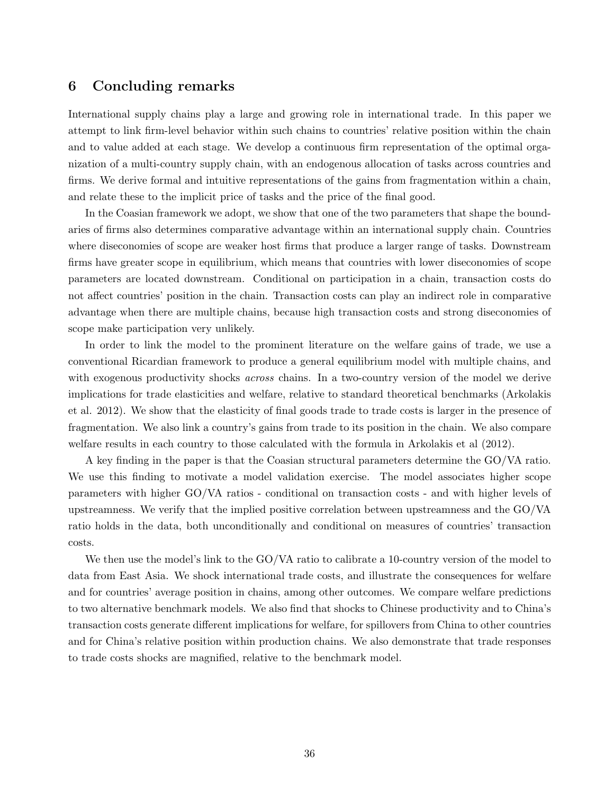### 6 Concluding remarks

International supply chains play a large and growing role in international trade. In this paper we attempt to link firm-level behavior within such chains to countries' relative position within the chain and to value added at each stage. We develop a continuous firm representation of the optimal organization of a multi-country supply chain, with an endogenous allocation of tasks across countries and firms. We derive formal and intuitive representations of the gains from fragmentation within a chain, and relate these to the implicit price of tasks and the price of the final good.

In the Coasian framework we adopt, we show that one of the two parameters that shape the boundaries of firms also determines comparative advantage within an international supply chain. Countries where diseconomies of scope are weaker host firms that produce a larger range of tasks. Downstream firms have greater scope in equilibrium, which means that countries with lower diseconomies of scope parameters are located downstream. Conditional on participation in a chain, transaction costs do not affect countries' position in the chain. Transaction costs can play an indirect role in comparative advantage when there are multiple chains, because high transaction costs and strong diseconomies of scope make participation very unlikely.

In order to link the model to the prominent literature on the welfare gains of trade, we use a conventional Ricardian framework to produce a general equilibrium model with multiple chains, and with exogenous productivity shocks *across* chains. In a two-country version of the model we derive implications for trade elasticities and welfare, relative to standard theoretical benchmarks (Arkolakis et al. 2012). We show that the elasticity of final goods trade to trade costs is larger in the presence of fragmentation. We also link a country's gains from trade to its position in the chain. We also compare welfare results in each country to those calculated with the formula in Arkolakis et al (2012).

A key finding in the paper is that the Coasian structural parameters determine the GO/VA ratio. We use this finding to motivate a model validation exercise. The model associates higher scope parameters with higher GO/VA ratios - conditional on transaction costs - and with higher levels of upstreamness. We verify that the implied positive correlation between upstreamness and the GO/VA ratio holds in the data, both unconditionally and conditional on measures of countries' transaction costs.

We then use the model's link to the GO/VA ratio to calibrate a 10-country version of the model to data from East Asia. We shock international trade costs, and illustrate the consequences for welfare and for countries' average position in chains, among other outcomes. We compare welfare predictions to two alternative benchmark models. We also find that shocks to Chinese productivity and to China's transaction costs generate different implications for welfare, for spillovers from China to other countries and for China's relative position within production chains. We also demonstrate that trade responses to trade costs shocks are magnified, relative to the benchmark model.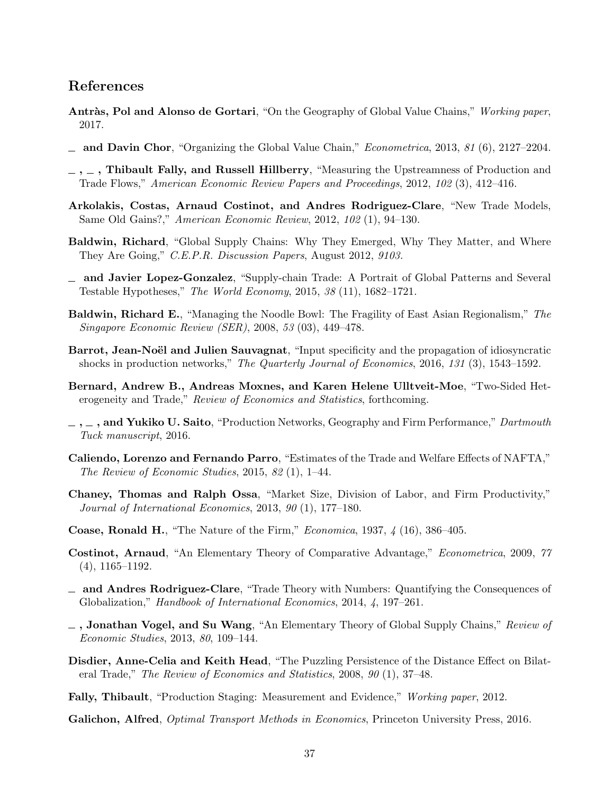### References

- Antràs, Pol and Alonso de Gortari, "On the Geography of Global Value Chains," Working paper, 2017.
- $\mu$  and Davin Chor, "Organizing the Global Value Chain," *Econometrica*, 2013, 81 (6), 2127–2204.
- $, \ldots$ , Thibault Fally, and Russell Hillberry, "Measuring the Upstreamness of Production and Trade Flows," American Economic Review Papers and Proceedings, 2012, 102 (3), 412–416.
- Arkolakis, Costas, Arnaud Costinot, and Andres Rodriguez-Clare, "New Trade Models, Same Old Gains?," American Economic Review, 2012, 102 (1), 94–130.
- Baldwin, Richard, "Global Supply Chains: Why They Emerged, Why They Matter, and Where They Are Going," C.E.P.R. Discussion Papers, August 2012, 9103.
- and Javier Lopez-Gonzalez, "Supply-chain Trade: A Portrait of Global Patterns and Several Testable Hypotheses," The World Economy, 2015, 38 (11), 1682–1721.
- Baldwin, Richard E., "Managing the Noodle Bowl: The Fragility of East Asian Regionalism," The Singapore Economic Review (SER), 2008, 53 (03), 449–478.
- Barrot, Jean-Noël and Julien Sauvagnat, "Input specificity and the propagation of idiosyncratic shocks in production networks," The Quarterly Journal of Economics, 2016, 131 (3), 1543-1592.
- Bernard, Andrew B., Andreas Moxnes, and Karen Helene Ulltveit-Moe, "Two-Sided Heterogeneity and Trade," Review of Economics and Statistics, forthcoming.
- $\ldots$ ,  $\ldots$ , and Yukiko U. Saito, "Production Networks, Geography and Firm Performance," Dartmouth Tuck manuscript, 2016.
- Caliendo, Lorenzo and Fernando Parro, "Estimates of the Trade and Welfare Effects of NAFTA," The Review of Economic Studies, 2015, 82 (1), 1–44.
- Chaney, Thomas and Ralph Ossa, "Market Size, Division of Labor, and Firm Productivity," Journal of International Economics, 2013, 90 (1), 177–180.
- Coase, Ronald H., "The Nature of the Firm," *Economica*, 1937,  $\frac{1}{4}$  (16), 386–405.
- Costinot, Arnaud, "An Elementary Theory of Comparative Advantage," Econometrica, 2009, 77 (4), 1165–1192.
- and Andres Rodriguez-Clare, "Trade Theory with Numbers: Quantifying the Consequences of Globalization," Handbook of International Economics, 2014, 4, 197–261.
- $\Box$ , Jonathan Vogel, and Su Wang, "An Elementary Theory of Global Supply Chains," Review of Economic Studies, 2013, 80, 109–144.
- Disdier, Anne-Celia and Keith Head, "The Puzzling Persistence of the Distance Effect on Bilateral Trade," The Review of Economics and Statistics, 2008, 90 (1), 37–48.
- Fally, Thibault, "Production Staging: Measurement and Evidence," Working paper, 2012.

Galichon, Alfred, *Optimal Transport Methods in Economics*, Princeton University Press, 2016.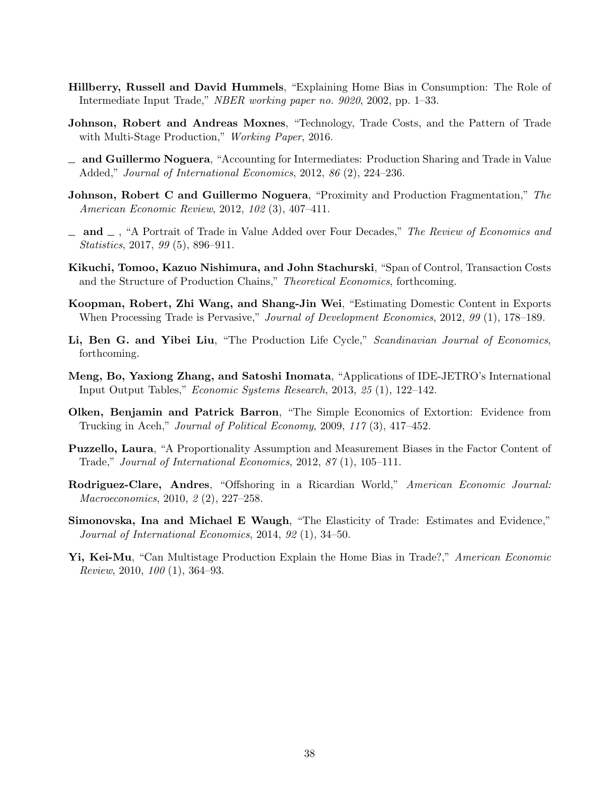- Hillberry, Russell and David Hummels, "Explaining Home Bias in Consumption: The Role of Intermediate Input Trade," NBER working paper no. 9020, 2002, pp. 1–33.
- Johnson, Robert and Andreas Moxnes, "Technology, Trade Costs, and the Pattern of Trade with Multi-Stage Production," *Working Paper*, 2016.
- and Guillermo Noguera, "Accounting for Intermediates: Production Sharing and Trade in Value Added," Journal of International Economics, 2012, 86 (2), 224–236.
- **Johnson, Robert C and Guillermo Noguera**, "Proximity and Production Fragmentation," The American Economic Review, 2012, 102 (3), 407–411.
- $\Box$  and  $\Box$ , "A Portrait of Trade in Value Added over Four Decades," The Review of Economics and Statistics, 2017, 99 (5), 896–911.
- Kikuchi, Tomoo, Kazuo Nishimura, and John Stachurski, "Span of Control, Transaction Costs and the Structure of Production Chains," Theoretical Economics, forthcoming.
- Koopman, Robert, Zhi Wang, and Shang-Jin Wei, "Estimating Domestic Content in Exports When Processing Trade is Pervasive," Journal of Development Economics, 2012, 99 (1), 178–189.
- Li, Ben G. and Yibei Liu, "The Production Life Cycle," Scandinavian Journal of Economics, forthcoming.
- Meng, Bo, Yaxiong Zhang, and Satoshi Inomata, "Applications of IDE-JETRO's International Input Output Tables," Economic Systems Research, 2013, 25 (1), 122–142.
- Olken, Benjamin and Patrick Barron, "The Simple Economics of Extortion: Evidence from Trucking in Aceh," Journal of Political Economy, 2009, 117 (3), 417–452.
- Puzzello, Laura, "A Proportionality Assumption and Measurement Biases in the Factor Content of Trade," Journal of International Economics, 2012, 87 (1), 105–111.
- Rodriguez-Clare, Andres, "Offshoring in a Ricardian World," American Economic Journal: Macroeconomics, 2010, 2 (2), 227–258.
- Simonovska, Ina and Michael E Waugh, "The Elasticity of Trade: Estimates and Evidence," Journal of International Economics, 2014, 92 (1), 34–50.
- Yi, Kei-Mu, "Can Multistage Production Explain the Home Bias in Trade?," American Economic Review, 2010, 100 (1), 364–93.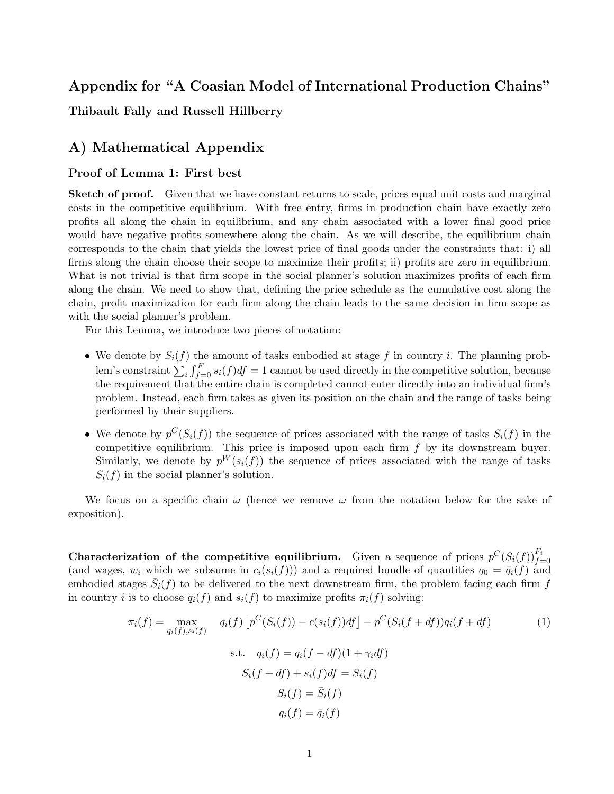# Appendix for "A Coasian Model of International Production Chains"

Thibault Fally and Russell Hillberry

# A) Mathematical Appendix

#### Proof of Lemma 1: First best

Sketch of proof. Given that we have constant returns to scale, prices equal unit costs and marginal costs in the competitive equilibrium. With free entry, firms in production chain have exactly zero profits all along the chain in equilibrium, and any chain associated with a lower final good price would have negative profits somewhere along the chain. As we will describe, the equilibrium chain corresponds to the chain that yields the lowest price of final goods under the constraints that: i) all firms along the chain choose their scope to maximize their profits; ii) profits are zero in equilibrium. What is not trivial is that firm scope in the social planner's solution maximizes profits of each firm along the chain. We need to show that, defining the price schedule as the cumulative cost along the chain, profit maximization for each firm along the chain leads to the same decision in firm scope as with the social planner's problem.

For this Lemma, we introduce two pieces of notation:

- We denote by  $S_i(f)$  the amount of tasks embodied at stage f in country i. The planning problem's constraint  $\sum_i \int_{f=0}^F s_i(f) df = 1$  cannot be used directly in the competitive solution, because the requirement that the entire chain is completed cannot enter directly into an individual firm's problem. Instead, each firm takes as given its position on the chain and the range of tasks being performed by their suppliers.
- We denote by  $p^{C}(S_i(f))$  the sequence of prices associated with the range of tasks  $S_i(f)$  in the competitive equilibrium. This price is imposed upon each firm  $f$  by its downstream buyer. Similarly, we denote by  $p^{W}(s_i(f))$  the sequence of prices associated with the range of tasks  $S_i(f)$  in the social planner's solution.

We focus on a specific chain  $\omega$  (hence we remove  $\omega$  from the notation below for the sake of exposition).

**Characterization of the competitive equilibrium.** Given a sequence of prices  $p^{C}(S_i(f))_{f=0}^{F_i}$ (and wages,  $w_i$  which we subsume in  $c_i(s_i(f))$ ) and a required bundle of quantities  $q_0 = \bar{q}_i(f)$  and embodied stages  $\bar{S}_i(f)$  to be delivered to the next downstream firm, the problem facing each firm f in country i is to choose  $q_i(f)$  and  $s_i(f)$  to maximize profits  $\pi_i(f)$  solving:

$$
\pi_i(f) = \max_{q_i(f), s_i(f)} q_i(f) \left[ p^C(S_i(f)) - c(s_i(f))df \right] - p^C(S_i(f + df))q_i(f + df)
$$
\n
$$
\text{s.t. } q_i(f) = q_i(f - df)(1 + \gamma_i df)
$$
\n
$$
S_i(f + df) + s_i(f)df = S_i(f)
$$
\n
$$
S_i(f) = \bar{S}_i(f)
$$
\n
$$
q_i(f) = \bar{q}_i(f)
$$
\n(1)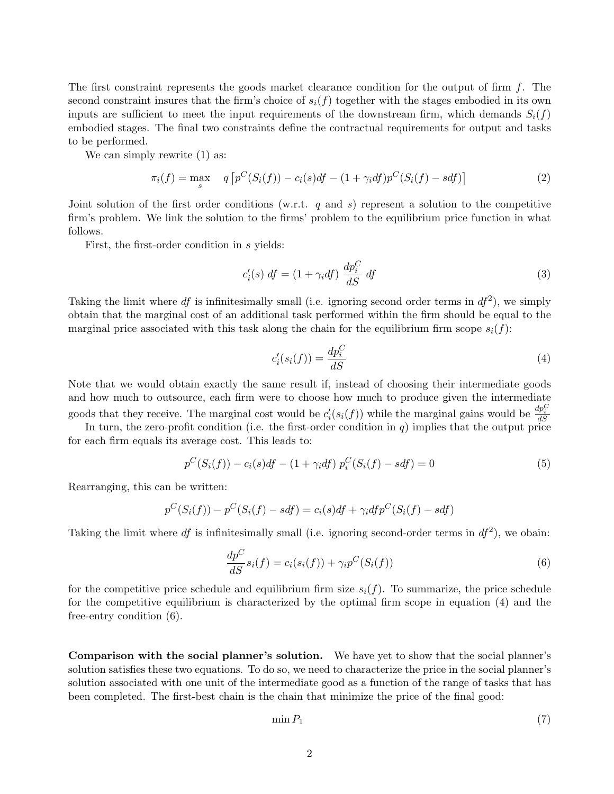The first constraint represents the goods market clearance condition for the output of firm  $f$ . The second constraint insures that the firm's choice of  $s_i(f)$  together with the stages embodied in its own inputs are sufficient to meet the input requirements of the downstream firm, which demands  $S_i(f)$ embodied stages. The final two constraints define the contractual requirements for output and tasks to be performed.

We can simply rewrite  $(1)$  as:

$$
\pi_i(f) = \max_s \quad q \left[ p^C(S_i(f)) - c_i(s)df - (1 + \gamma_i df)p^C(S_i(f) - sdf) \right] \tag{2}
$$

Joint solution of the first order conditions (w.r.t. q and s) represent a solution to the competitive firm's problem. We link the solution to the firms' problem to the equilibrium price function in what follows.

First, the first-order condition in s yields:

$$
c_i'(s) df = (1 + \gamma_i df) \frac{dp_i^C}{dS} df
$$
\n(3)

Taking the limit where df is infinitesimally small (i.e. ignoring second order terms in  $df^2$ ), we simply obtain that the marginal cost of an additional task performed within the firm should be equal to the marginal price associated with this task along the chain for the equilibrium firm scope  $s_i(f)$ :

$$
c_i'(s_i(f)) = \frac{dp_i^C}{dS} \tag{4}
$$

Note that we would obtain exactly the same result if, instead of choosing their intermediate goods and how much to outsource, each firm were to choose how much to produce given the intermediate goods that they receive. The marginal cost would be  $c_i'$  $\mathcal{H}'_i(s_i(f))$  while the marginal gains would be  $\frac{dp_i^C}{dS}$ 

In turn, the zero-profit condition (i.e. the first-order condition in  $q$ ) implies that the output price for each firm equals its average cost. This leads to:

$$
p^{C}(S_i(f)) - c_i(s)df - (1 + \gamma_i df) p_i^{C}(S_i(f) - sdf) = 0
$$
\n(5)

Rearranging, this can be written:

$$
p^{C}(S_i(f)) - p^{C}(S_i(f) - sdf) = c_i(s)df + \gamma_i df p^{C}(S_i(f) - sdf)
$$

Taking the limit where df is infinitesimally small (i.e. ignoring second-order terms in  $df^2$ ), we obain:

$$
\frac{dp^C}{dS}s_i(f) = c_i(s_i(f)) + \gamma_i p^C(S_i(f))\tag{6}
$$

for the competitive price schedule and equilibrium firm size  $s_i(f)$ . To summarize, the price schedule for the competitive equilibrium is characterized by the optimal firm scope in equation (4) and the free-entry condition (6).

Comparison with the social planner's solution. We have yet to show that the social planner's solution satisfies these two equations. To do so, we need to characterize the price in the social planner's solution associated with one unit of the intermediate good as a function of the range of tasks that has been completed. The first-best chain is the chain that minimize the price of the final good:

$$
\min P_1 \tag{7}
$$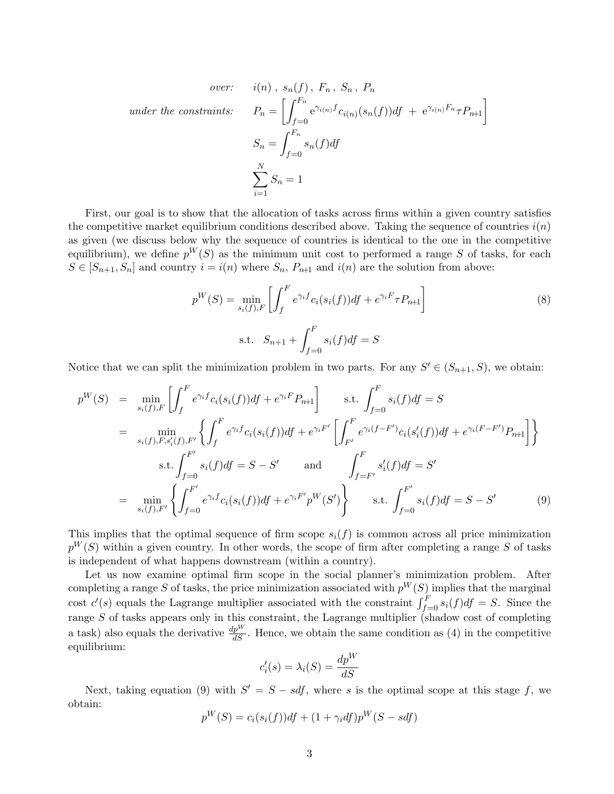$under the \ constraints:$ 

over: 
$$
i(n)
$$
,  $s_n(f)$ ,  $F_n$ ,  $S_n$ ,  $P_n$   
\n  
\n  
\n $h$  in  $f$  is:  $P_n = \left[ \int_{f=0}^{F_n} e^{\gamma_{i(n)} f} c_{i(n)}(s_n(f)) df + e^{\gamma_{i(n)} F_n} \tau P_{n+1} \right]$   
\n $S_n = \int_{f=0}^{F_n} s_n(f) df$   
\n $\sum_{i=1}^N S_n = 1$ 

First, our goal is to show that the allocation of tasks across firms within a given country satisfies the competitive market equilibrium conditions described above. Taking the sequence of countries  $i(n)$ as given (we discuss below why the sequence of countries is identical to the one in the competitive equilibrium), we define  $p^{W}(S)$  as the minimum unit cost to performed a range S of tasks, for each  $S \in [S_{n+1}, S_n]$  and country  $i = i(n)$  where  $S_n$ ,  $P_{n+1}$  and  $i(n)$  are the solution from above:

$$
p^{W}(S) = \min_{s_i(f), F} \left[ \int_{f}^{F} e^{\gamma_i f} c_i(s_i(f)) df + e^{\gamma_i F} \tau P_{n+1} \right]
$$
\n
$$
\text{s.t.} \quad S_{n+1} + \int_{f=0}^{F} s_i(f) df = S
$$
\n(8)

Notice that we can split the minimization problem in two parts. For any  $S' \in (S_{n+1}, S)$ , we obtain:

$$
p^{W}(S) = \min_{s_{i}(f), F} \left[ \int_{f}^{F} e^{\gamma_{i} f} c_{i}(s_{i}(f)) df + e^{\gamma_{i} F} P_{n+1} \right] \quad \text{s.t.} \int_{f=0}^{F} s_{i}(f) df = S
$$
\n
$$
= \min_{s_{i}(f), F, s'_{i}(f), F'} \left\{ \int_{f}^{F} e^{\gamma_{i} f} c_{i}(s_{i}(f)) df + e^{\gamma_{i} F'} \left[ \int_{F'}^{F} e^{\gamma_{i} (f - F')} c_{i}(s'_{i}(f)) df + e^{\gamma_{i} (F - F')} P_{n+1} \right] \right\}
$$
\n
$$
\text{s.t.} \int_{f=0}^{F'} s_{i}(f) df = S - S' \quad \text{and} \quad \int_{f=F'}^{F} s'_{i}(f) df = S'
$$
\n
$$
= \min_{s_{i}(f), F'} \left\{ \int_{f=0}^{F'} e^{\gamma_{i} f} c_{i}(s_{i}(f)) df + e^{\gamma_{i} F'} p^{W}(S') \right\} \quad \text{s.t.} \int_{f=0}^{F'} s_{i}(f) df = S - S' \quad (9)
$$

This implies that the optimal sequence of firm scope  $s_i(f)$  is common across all price minimization  $p^{W}(S)$  within a given country. In other words, the scope of firm after completing a range S of tasks is independent of what happens downstream (within a country).

Let us now examine optimal firm scope in the social planner's minimization problem. After completing a range S of tasks, the price minimization associated with  $p^{W}(S)$  implies that the marginal cost  $c'(s)$  equals the Lagrange multiplier associated with the constraint  $\int_{f=0}^{F} s_i(f) df = S$ . Since the range  $S$  of tasks appears only in this constraint, the Lagrange multiplier (shadow cost of completing a task) also equals the derivative  $\frac{dp^W}{dS}$ . Hence, we obtain the same condition as (4) in the competitive equilibrium:

$$
c_i'(s) = \lambda_i(S) = \frac{dp^W}{dS}
$$

Next, taking equation (9) with  $S' = S - sdf$ , where s is the optimal scope at this stage f, we obtain:

$$
p^{W}(S) = c_i(s_i(f))df + (1 + \gamma_i df)p^{W}(S - sdf)
$$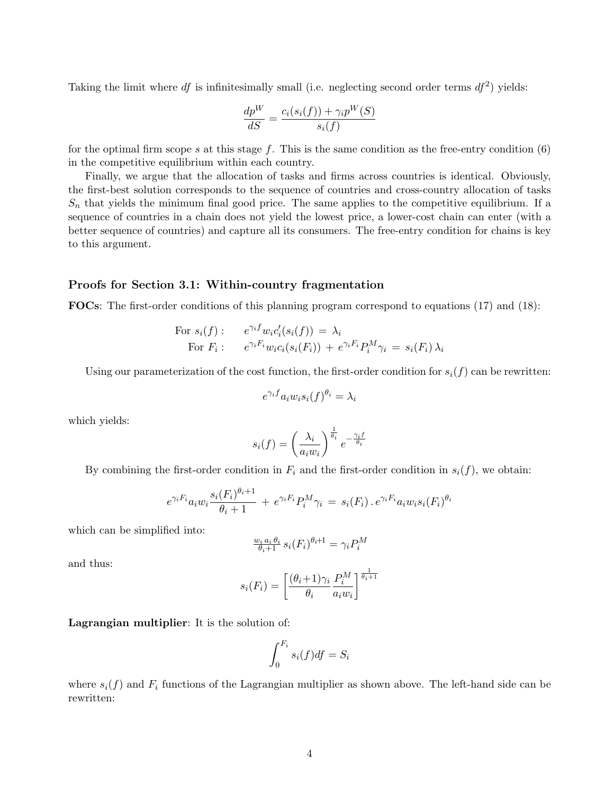Taking the limit where df is infinitesimally small (i.e. neglecting second order terms  $df^2$ ) yields:

$$
\frac{dp^W}{dS} = \frac{c_i(s_i(f)) + \gamma_i p^W(S)}{s_i(f)}
$$

for the optimal firm scope s at this stage f. This is the same condition as the free-entry condition  $(6)$ in the competitive equilibrium within each country.

Finally, we argue that the allocation of tasks and firms across countries is identical. Obviously, the first-best solution corresponds to the sequence of countries and cross-country allocation of tasks  $S_n$  that yields the minimum final good price. The same applies to the competitive equilibrium. If a sequence of countries in a chain does not yield the lowest price, a lower-cost chain can enter (with a better sequence of countries) and capture all its consumers. The free-entry condition for chains is key to this argument.

#### Proofs for Section 3.1: Within-country fragmentation

FOCs: The first-order conditions of this planning program correspond to equations (17) and (18):

For 
$$
s_i(f)
$$
:  $e^{\gamma_i f} w_i c_i'(s_i(f)) = \lambda_i$   
For  $F_i$ :  $e^{\gamma_i F_i} w_i c_i(s_i(F_i)) + e^{\gamma_i F_i} P_i^M \gamma_i = s_i(F_i) \lambda_i$ 

Using our parameterization of the cost function, the first-order condition for  $s_i(f)$  can be rewritten:

$$
e^{\gamma_i f} a_i w_i s_i(f)^{\theta_i} = \lambda_i
$$

which yields:

$$
s_i(f) = \left(\frac{\lambda_i}{a_i w_i}\right)^{\frac{1}{\theta_i}} e^{-\frac{\gamma_i f}{\theta_i}}
$$

By combining the first-order condition in  $F_i$  and the first-order condition in  $s_i(f)$ , we obtain:

$$
e^{\gamma_i F_i} a_i w_i \frac{s_i (F_i)^{\theta_i+1}}{\theta_i+1} + e^{\gamma_i F_i} P_i^M \gamma_i = s_i (F_i) \cdot e^{\gamma_i F_i} a_i w_i s_i (F_i)^{\theta_i}
$$

which can be simplified into:

$$
\frac{w_i a_i \theta_i}{\theta_i + 1} s_i(F_i)^{\theta_i + 1} = \gamma_i P_i^M
$$

and thus:

$$
s_i(F_i) = \left[\frac{(\theta_i+1)\gamma_i}{\theta_i} \frac{P_i^M}{a_i w_i}\right]^{\frac{1}{\theta_i+1}}
$$

Lagrangian multiplier: It is the solution of:

$$
\int_0^{F_i} s_i(f) df = S_i
$$

where  $s_i(f)$  and  $F_i$  functions of the Lagrangian multiplier as shown above. The left-hand side can be rewritten: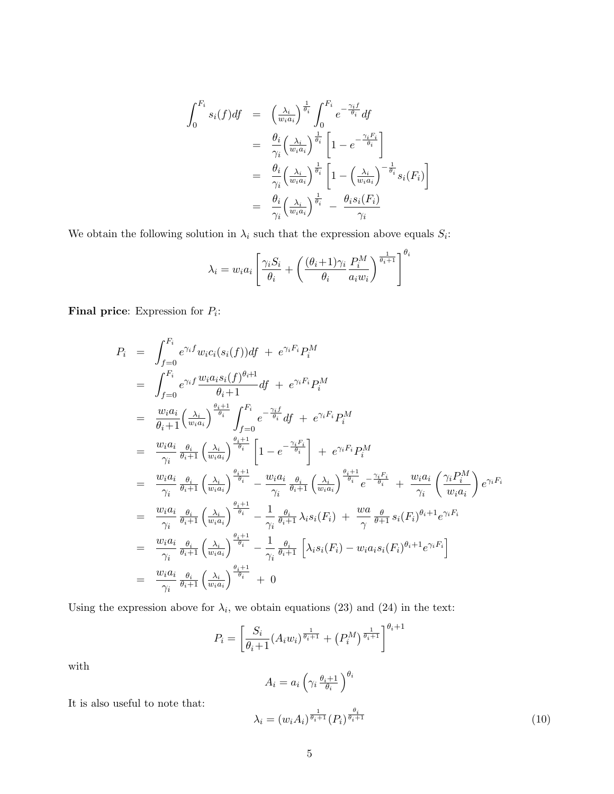$$
\int_{0}^{F_i} s_i(f) df = \left(\frac{\lambda_i}{w_i a_i}\right)^{\frac{1}{\theta_i}} \int_{0}^{F_i} e^{-\frac{\gamma_i f}{\theta_i}} df
$$
\n
$$
= \frac{\theta_i}{\gamma_i} \left(\frac{\lambda_i}{w_i a_i}\right)^{\frac{1}{\theta_i}} \left[1 - e^{-\frac{\gamma_i F_i}{\theta_i}}\right]
$$
\n
$$
= \frac{\theta_i}{\gamma_i} \left(\frac{\lambda_i}{w_i a_i}\right)^{\frac{1}{\theta_i}} \left[1 - \left(\frac{\lambda_i}{w_i a_i}\right)^{-\frac{1}{\theta_i}} s_i(F_i)\right]
$$
\n
$$
= \frac{\theta_i}{\gamma_i} \left(\frac{\lambda_i}{w_i a_i}\right)^{\frac{1}{\theta_i}} - \frac{\theta_i s_i(F_i)}{\gamma_i}
$$

We obtain the following solution in  $\lambda_i$  such that the expression above equals  $S_i$ :

$$
\lambda_i = w_i a_i \left[ \frac{\gamma_i S_i}{\theta_i} + \left( \frac{(\theta_i + 1)\gamma_i}{\theta_i} \frac{P_i^M}{a_i w_i} \right)^{\frac{1}{\theta_i + 1}} \right]^{\theta_i}
$$

**Final price:** Expression for  $P_i$ :

$$
P_i = \int_{f=0}^{F_i} e^{\gamma_i f} w_i c_i(s_i(f)) df + e^{\gamma_i F_i} P_i^M
$$
  
\n
$$
= \int_{f=0}^{F_i} e^{\gamma_i f} \frac{w_i a_i s_i(f)^{\theta_i+1}}{\theta_i+1} df + e^{\gamma_i F_i} P_i^M
$$
  
\n
$$
= \frac{w_i a_i}{\theta_i+1} \left(\frac{\lambda_i}{w_i a_i}\right)^{\frac{\theta_i+1}{\theta_i}} \int_{f=0}^{F_i} e^{-\frac{\gamma_i f}{\theta_i}} df + e^{\gamma_i F_i} P_i^M
$$
  
\n
$$
= \frac{w_i a_i}{\gamma_i} \frac{\theta_i}{\theta_i+1} \left(\frac{\lambda_i}{w_i a_i}\right)^{\frac{\theta_i+1}{\theta_i}} \left[1 - e^{-\frac{\gamma_i F_i}{\theta_i}}\right] + e^{\gamma_i F_i} P_i^M
$$
  
\n
$$
= \frac{w_i a_i}{\gamma_i} \frac{\theta_i}{\theta_i+1} \left(\frac{\lambda_i}{w_i a_i}\right)^{\frac{\theta_i+1}{\theta_i}} - \frac{w_i a_i}{\gamma_i} \frac{\theta_i}{\theta_i+1} \left(\frac{\lambda_i}{w_i a_i}\right)^{\frac{\theta_i+1}{\theta_i}} e^{-\frac{\gamma_i F_i}{\theta_i}} + \frac{w_i a_i}{\gamma_i} \left(\frac{\gamma_i P_i^M}{w_i a_i}\right) e^{\gamma_i F_i}
$$
  
\n
$$
= \frac{w_i a_i}{\gamma_i} \frac{\theta_i}{\theta_i+1} \left(\frac{\lambda_i}{w_i a_i}\right)^{\frac{\theta_i+1}{\theta_i}} - \frac{1}{\gamma_i} \frac{\theta_i}{\theta_i+1} \lambda_i s_i(F_i) + \frac{w_a}{\gamma} \frac{\theta}{\theta+1} s_i(F_i)^{\theta_i+1} e^{\gamma_i F_i}
$$
  
\n
$$
= \frac{w_i a_i}{\gamma_i} \frac{\theta_i}{\theta_i+1} \left(\frac{\lambda_i}{w_i a_i}\right)^{\frac{\theta_i+1}{\theta_i}} - \frac{1}{\gamma_i} \frac{\theta_i}{\theta_i+1} \left[\lambda_i s_i(F_i) - w_i a_i s_i(F_i)^{\theta_i+1} e^{\gamma_i F_i}\right]
$$
  
\n
$$
= \frac{w_i a_i}{\gamma_i} \frac{\theta_i}{\theta_i+
$$

Using the expression above for  $\lambda_i$ , we obtain equations (23) and (24) in the text:

$$
P_i = \left[\frac{S_i}{\theta_i + 1} (A_i w_i)^{\frac{1}{\theta_i + 1}} + (P_i^M)^{\frac{1}{\theta_i + 1}}\right]^{\theta_i + 1}
$$

with

It is also useful to note that:

$$
A_i = a_i \left( \gamma_i \frac{\theta_i + 1}{\theta_i} \right)^{\theta_i}
$$
  

$$
\lambda_i = (w_i A_i)^{\frac{1}{\theta_i + 1}} (P_i)^{\frac{\theta_i}{\theta_i + 1}}
$$
 (10)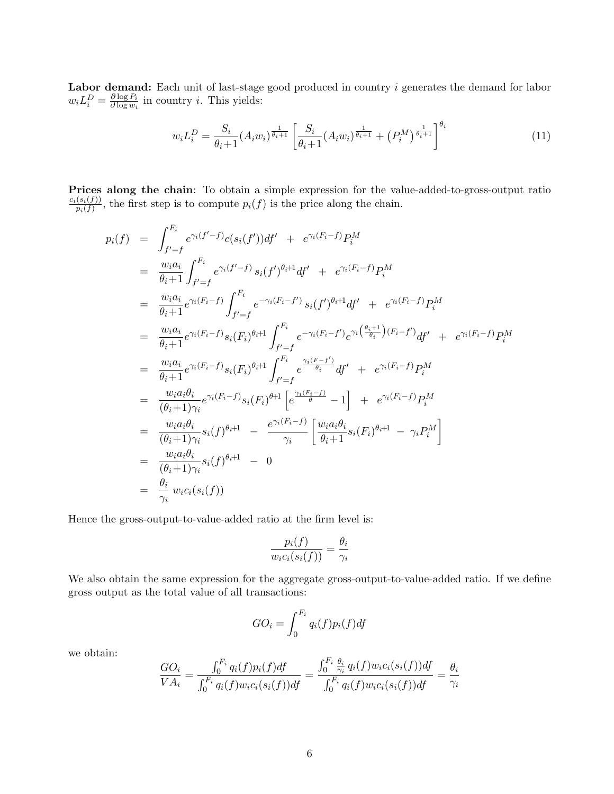Labor demand: Each unit of last-stage good produced in country i generates the demand for labor  $w_i L_i^D = \frac{\partial \log P_i}{\partial \log w_i}$  $\frac{\partial \log F_i}{\partial \log w_i}$  in country *i*. This yields:

$$
w_i L_i^D = \frac{S_i}{\theta_i + 1} (A_i w_i)^{\frac{1}{\theta_i + 1}} \left[ \frac{S_i}{\theta_i + 1} (A_i w_i)^{\frac{1}{\theta_i + 1}} + (P_i^M)^{\frac{1}{\theta_i + 1}} \right]^{\theta_i}
$$
(11)

Prices along the chain: To obtain a simple expression for the value-added-to-gross-output ratio  $c_i(s_i(f))$  $\frac{(S_i(f))}{p_i(f)}$ , the first step is to compute  $p_i(f)$  is the price along the chain.

$$
p_i(f) = \int_{f'=f}^{F_i} e^{\gamma_i(f'-f)} c(s_i(f')) df' + e^{\gamma_i(F_i-f)} P_i^M
$$
  
\n
$$
= \frac{w_i a_i}{\theta_i + 1} \int_{f'=f}^{F_i} e^{\gamma_i(f'-f)} s_i(f')^{\theta_i+1} df' + e^{\gamma_i(F_i-f)} P_i^M
$$
  
\n
$$
= \frac{w_i a_i}{\theta_i + 1} e^{\gamma_i(F_i-f)} \int_{f'=f}^{F_i} e^{-\gamma_i(F_i-f')} s_i(f')^{\theta_i+1} df' + e^{\gamma_i(F_i-f)} P_i^M
$$
  
\n
$$
= \frac{w_i a_i}{\theta_i + 1} e^{\gamma_i(F_i-f)} s_i(F_i)^{\theta_i+1} \int_{f'=f}^{F_i} e^{-\gamma_i(F_i-f')} e^{\gamma_i(\frac{\theta_i+1}{\theta_i}) (F_i-f')} d f' + e^{\gamma_i(F_i-f)} P_i^M
$$
  
\n
$$
= \frac{w_i a_i}{\theta_i + 1} e^{\gamma_i(F_i-f)} s_i(F_i)^{\theta_i+1} \int_{f'=f}^{F_i} e^{\frac{\gamma_i(F_i-f')}{\theta_i}} df' + e^{\gamma_i(F_i-f)} P_i^M
$$
  
\n
$$
= \frac{w_i a_i \theta_i}{(\theta_i+1)\gamma_i} e^{\gamma_i(F_i-f)} s_i(F_i)^{\theta+1} \left[e^{\frac{\gamma_i(F_i-f)}{\theta_i}} - 1\right] + e^{\gamma_i(F_i-f)} P_i^M
$$
  
\n
$$
= \frac{w_i a_i \theta_i}{(\theta_i+1)\gamma_i} s_i(f)^{\theta_i+1} - \frac{e^{\gamma_i(F_i-f)}}{\gamma_i} \left[\frac{w_i a_i \theta_i}{\theta_i+1} s_i(F_i)^{\theta_i+1} - \gamma_i P_i^M\right]
$$
  
\n
$$
= \frac{w_i a_i \theta_i}{(\theta_i+1)\gamma_i} s_i(f)^{\theta_i+1} - 0
$$
  
\n
$$
= \frac{\theta_i}{\gamma_i} w_i c_i(s_i(f))
$$

Hence the gross-output-to-value-added ratio at the firm level is:

$$
\frac{p_i(f)}{w_i c_i(s_i(f))} = \frac{\theta_i}{\gamma_i}
$$

We also obtain the same expression for the aggregate gross-output-to-value-added ratio. If we define gross output as the total value of all transactions:

$$
GO_i = \int_0^{F_i} q_i(f) p_i(f) df
$$

we obtain:

$$
\frac{GO_i}{VA_i} = \frac{\int_0^{F_i} q_i(f) p_i(f) df}{\int_0^{F_i} q_i(f) w_i c_i(s_i(f)) df} = \frac{\int_0^{F_i} \frac{\theta_i}{\gamma_i} q_i(f) w_i c_i(s_i(f)) df}{\int_0^{F_i} q_i(f) w_i c_i(s_i(f)) df} = \frac{\theta_i}{\gamma_i}
$$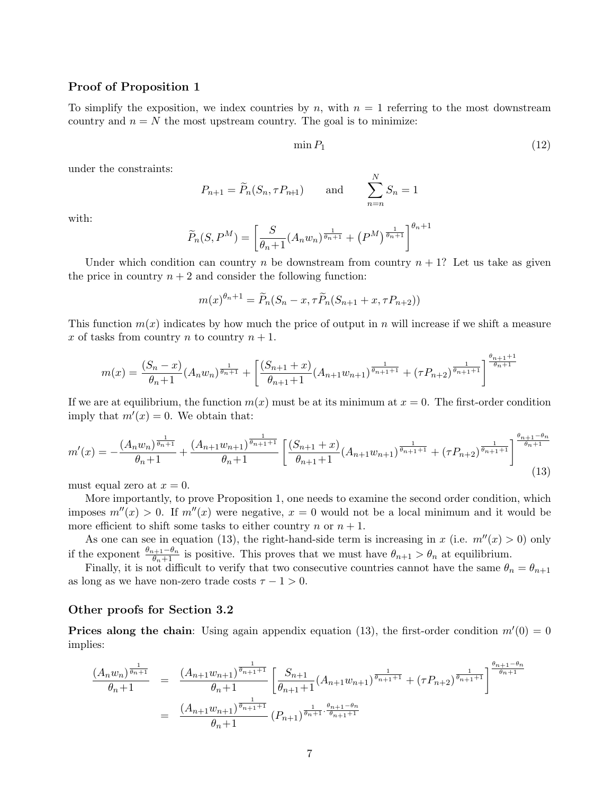#### Proof of Proposition 1

To simplify the exposition, we index countries by n, with  $n = 1$  referring to the most downstream country and  $n = N$  the most upstream country. The goal is to minimize:

$$
\min P_1 \tag{12}
$$

under the constraints:

$$
P_{n+1} = \widetilde{P}_n(S_n, \tau P_{n+1}) \quad \text{and} \quad \sum_{n=n}^N S_n = 1
$$

with:

$$
\widetilde{P}_n(S, P^M) = \left[\frac{S}{\theta_n + 1}(A_n w_n)^{\frac{1}{\theta_n + 1}} + (P^M)^{\frac{1}{\theta_n + 1}}\right]^{\theta_n + 1}
$$

Under which condition can country n be downstream from country  $n + 1$ ? Let us take as given the price in country  $n + 2$  and consider the following function:

$$
m(x)^{\theta_n+1} = \widetilde{P}_n(S_n - x, \tau \widetilde{P}_n(S_{n+1} + x, \tau P_{n+2}))
$$

This function  $m(x)$  indicates by how much the price of output in n will increase if we shift a measure x of tasks from country  $n$  to country  $n + 1$ .

$$
m(x) = \frac{(S_n - x)}{\theta_n + 1} (A_n w_n)^{\frac{1}{\theta_n + 1}} + \left[ \frac{(S_{n+1} + x)}{\theta_{n+1} + 1} (A_{n+1} w_{n+1})^{\frac{1}{\theta_{n+1} + 1}} + (\tau P_{n+2})^{\frac{1}{\theta_{n+1} + 1}} \right]^{\frac{\theta_{n+1} + 1}{\theta_n + 1}}
$$

If we are at equilibrium, the function  $m(x)$  must be at its minimum at  $x = 0$ . The first-order condition imply that  $m'(x) = 0$ . We obtain that:

$$
m'(x) = -\frac{(A_n w_n)^{\frac{1}{\theta_n+1}}}{\theta_n+1} + \frac{(A_{n+1} w_{n+1})^{\frac{1}{\theta_n+1+1}}}{\theta_n+1} \left[ \frac{(S_{n+1} + x)}{\theta_{n+1}+1} (A_{n+1} w_{n+1})^{\frac{1}{\theta_{n+1}+1}} + (\tau P_{n+2})^{\frac{1}{\theta_{n+1}+1}} \right]^{\frac{\theta_{n+1}-\theta_n}{\theta_n+1}} (13)
$$

must equal zero at  $x = 0$ .

More importantly, to prove Proposition 1, one needs to examine the second order condition, which imposes  $m''(x) > 0$ . If  $m''(x)$  were negative,  $x = 0$  would not be a local minimum and it would be more efficient to shift some tasks to either country n or  $n + 1$ .

As one can see in equation (13), the right-hand-side term is increasing in x (i.e.  $m''(x) > 0$ ) only if the exponent  $\frac{\theta_{n+1}-\theta_n}{\theta_n+1}$  is positive. This proves that we must have  $\theta_{n+1} > \theta_n$  at equilibrium.

Finally, it is not difficult to verify that two consecutive countries cannot have the same  $\theta_n = \theta_{n+1}$ as long as we have non-zero trade costs  $\tau - 1 > 0$ .

#### Other proofs for Section 3.2

**Prices along the chain:** Using again appendix equation (13), the first-order condition  $m'(0) = 0$ implies:

$$
\frac{(A_n w_n)^{\frac{1}{\theta_n+1}}}{\theta_n+1} = \frac{(A_{n+1} w_{n+1})^{\frac{1}{\theta_n+1+1}}}{\theta_n+1} \left[ \frac{S_{n+1}}{\theta_{n+1}+1} (A_{n+1} w_{n+1})^{\frac{1}{\theta_n+1+1}} + (\tau P_{n+2})^{\frac{1}{\theta_{n+1}+1}} \right]^{\frac{\theta_{n+1}-\theta_n}{\theta_n+1}}}{\theta_n+1} = \frac{(A_{n+1} w_{n+1})^{\frac{1}{\theta_{n+1}+1}}}{\theta_n+1} (P_{n+1})^{\frac{1}{\theta_n+1} \cdot \frac{\theta_{n+1}-\theta_n}{\theta_{n+1}+1}}
$$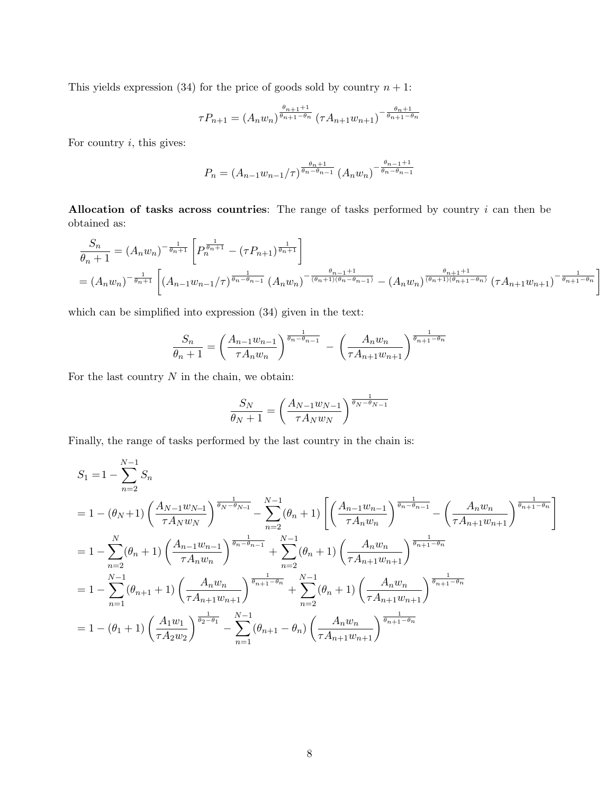This yields expression (34) for the price of goods sold by country  $n + 1$ :

$$
\tau P_{n+1} = (A_n w_n)^{\frac{\theta_{n+1}+1}{\theta_{n+1}-\theta_n}} (\tau A_{n+1} w_{n+1})^{-\frac{\theta_n+1}{\theta_{n+1}-\theta_n}}
$$

For country  $i$ , this gives:

$$
P_n = (A_{n-1}w_{n-1}/\tau)^{\frac{\theta_n+1}{\theta_n-\theta_{n-1}}}(A_nw_n)^{-\frac{\theta_{n-1}+1}{\theta_n-\theta_{n-1}}}
$$

Allocation of tasks across countries: The range of tasks performed by country  $i$  can then be obtained as:

$$
\frac{S_n}{\theta_n+1} = (A_n w_n)^{-\frac{1}{\theta_n+1}} \left[ P_n^{\frac{1}{\theta_n+1}} - (\tau P_{n+1})^{\frac{1}{\theta_n+1}} \right]
$$
\n
$$
= (A_n w_n)^{-\frac{1}{\theta_n+1}} \left[ (A_{n-1} w_{n-1}/\tau)^{\frac{1}{\theta_n-\theta_{n-1}}} (A_n w_n)^{-\frac{\theta_{n-1}+1}{(\theta_n+\theta_{n-1})}} - (A_n w_n)^{\frac{\theta_{n+1}+1}{(\theta_n+\theta_{n+1}-\theta_n)}} (\tau A_{n+1} w_{n+1})^{-\frac{1}{\theta_{n+1}-\theta_n}} \right]
$$

which can be simplified into expression (34) given in the text:

$$
\frac{S_n}{\theta_n + 1} = \left(\frac{A_{n-1}w_{n-1}}{\tau A_n w_n}\right)^{\frac{1}{\theta_n - \theta_{n-1}}} - \left(\frac{A_n w_n}{\tau A_{n+1}w_{n+1}}\right)^{\frac{1}{\theta_{n+1} - \theta_n}}
$$

For the last country  $N$  in the chain, we obtain:

$$
\frac{S_N}{\theta_N + 1} = \left(\frac{A_{N-1}w_{N-1}}{\tau A_N w_N}\right)^{\frac{1}{\theta_N - \theta_{N-1}}}
$$

Finally, the range of tasks performed by the last country in the chain is:

$$
S_{1} = 1 - \sum_{n=2}^{N-1} S_{n}
$$
  
=  $1 - (\theta_{N} + 1) \left( \frac{A_{N-1}w_{N-1}}{\tau A_{N}w_{N}} \right)^{\frac{1}{\theta_{N}-\theta_{N-1}}} - \sum_{n=2}^{N-1} (\theta_{n} + 1) \left[ \left( \frac{A_{n-1}w_{n-1}}{\tau A_{n}w_{n}} \right)^{\frac{1}{\theta_{n}-\theta_{n-1}}} - \left( \frac{A_{n}w_{n}}{\tau A_{n+1}w_{n+1}} \right)^{\frac{1}{\theta_{n+1}-\theta_{n}}} \right]$   
=  $1 - \sum_{n=2}^{N} (\theta_{n} + 1) \left( \frac{A_{n-1}w_{n-1}}{\tau A_{n}w_{n}} \right)^{\frac{1}{\theta_{n}-\theta_{n-1}}} + \sum_{n=2}^{N-1} (\theta_{n} + 1) \left( \frac{A_{n}w_{n}}{\tau A_{n+1}w_{n+1}} \right)^{\frac{1}{\theta_{n+1}-\theta_{n}}}$   
=  $1 - \sum_{n=1}^{N-1} (\theta_{n+1} + 1) \left( \frac{A_{n}w_{n}}{\tau A_{n+1}w_{n+1}} \right)^{\frac{1}{\theta_{n+1}-\theta_{n}}} + \sum_{n=2}^{N-1} (\theta_{n} + 1) \left( \frac{A_{n}w_{n}}{\tau A_{n+1}w_{n+1}} \right)^{\frac{1}{\theta_{n+1}-\theta_{n}}}$   
=  $1 - (\theta_{1} + 1) \left( \frac{A_{1}w_{1}}{\tau A_{2}w_{2}} \right)^{\frac{1}{\theta_{2}-\theta_{1}}} - \sum_{n=1}^{N-1} (\theta_{n+1} - \theta_{n}) \left( \frac{A_{n}w_{n}}{\tau A_{n+1}w_{n+1}} \right)^{\frac{1}{\theta_{n+1}-\theta_{n}}}$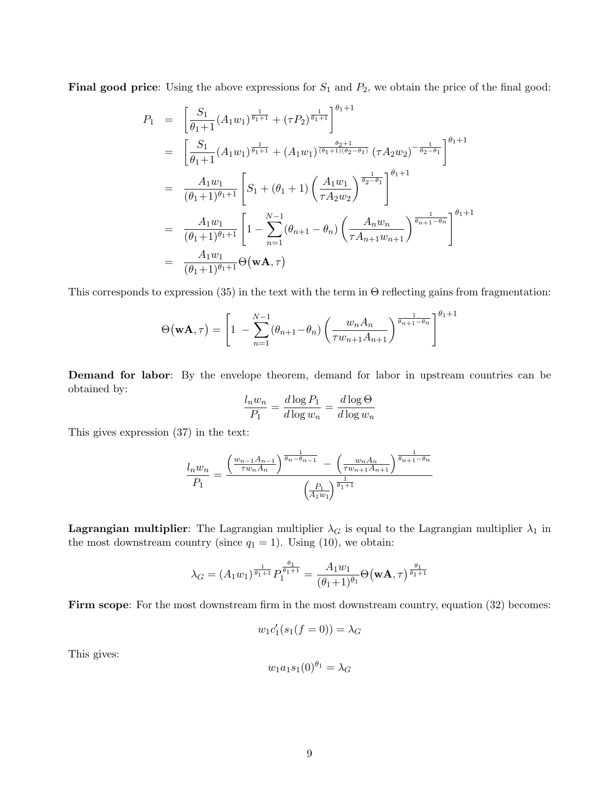Final good price: Using the above expressions for  $S_1$  and  $P_2$ , we obtain the price of the final good:

$$
P_{1} = \left[\frac{S_{1}}{\theta_{1}+1}(A_{1}w_{1})^{\frac{1}{\theta_{1}+1}} + (\tau P_{2})^{\frac{1}{\theta_{1}+1}}\right]^{\theta_{1}+1}
$$
  
\n
$$
= \left[\frac{S_{1}}{\theta_{1}+1}(A_{1}w_{1})^{\frac{1}{\theta_{1}+1}} + (A_{1}w_{1})^{\frac{\theta_{2}+1}{(\theta_{1}+1)(\theta_{2}-\theta_{1})}}(\tau A_{2}w_{2})^{-\frac{1}{\theta_{2}-\theta_{1}}}\right]^{\theta_{1}+1}
$$
  
\n
$$
= \frac{A_{1}w_{1}}{(\theta_{1}+1)^{\theta_{1}+1}} \left[S_{1} + (\theta_{1}+1) \left(\frac{A_{1}w_{1}}{\tau A_{2}w_{2}}\right)^{\frac{1}{\theta_{2}-\theta_{1}}}\right]^{\theta_{1}+1}
$$
  
\n
$$
= \frac{A_{1}w_{1}}{(\theta_{1}+1)^{\theta_{1}+1}} \left[1 - \sum_{n=1}^{N-1} (\theta_{n+1} - \theta_{n}) \left(\frac{A_{n}w_{n}}{\tau A_{n+1}w_{n+1}}\right)^{\frac{1}{\theta_{n+1}-\theta_{n}}}\right]^{\theta_{1}+1}
$$
  
\n
$$
= \frac{A_{1}w_{1}}{(\theta_{1}+1)^{\theta_{1}+1}} \Theta(\mathbf{w}\mathbf{A},\tau)
$$

This corresponds to expression  $(35)$  in the text with the term in  $\Theta$  reflecting gains from fragmentation:

$$
\Theta(\mathbf{w}\mathbf{A},\tau) = \left[1 - \sum_{n=1}^{N-1} (\theta_{n+1} - \theta_n) \left(\frac{w_n A_n}{\tau w_{n+1} A_{n+1}}\right)^{\frac{1}{\theta_{n+1} - \theta_n}}\right]^{\theta_1 + 1}
$$

Demand for labor: By the envelope theorem, demand for labor in upstream countries can be obtained by:

$$
\frac{l_n w_n}{P_1} = \frac{d \log P_1}{d \log w_n} = \frac{d \log \Theta}{d \log w_n}
$$

This gives expression (37) in the text:

$$
\frac{l_n w_n}{P_1} = \frac{\left(\frac{w_{n-1} A_{n-1}}{\tau w_n A_n}\right)^{\frac{1}{\theta_n - \theta_{n-1}}} - \left(\frac{w_n A_n}{\tau w_{n+1} A_{n+1}}\right)^{\frac{1}{\theta_{n+1} - \theta_n}}}{\left(\frac{P_1}{A_1 w_1}\right)^{\frac{1}{\theta_1 + 1}}}
$$

**Lagrangian multiplier**: The Lagrangian multiplier  $\lambda_G$  is equal to the Lagrangian multiplier  $\lambda_1$  in the most downstream country (since  $q_1 = 1$ ). Using (10), we obtain:

$$
\lambda_G = (A_1 w_1)^{\frac{1}{\theta_1 + 1}} P_1^{\frac{\theta_1}{\theta_1 + 1}} = \frac{A_1 w_1}{(\theta_1 + 1)^{\theta_1}} \Theta(\mathbf{w}\mathbf{A}, \tau)^{\frac{\theta_1}{\theta_1 + 1}}
$$

Firm scope: For the most downstream firm in the most downstream country, equation (32) becomes:

$$
w_1c'_1(s_1(f=0))=\lambda_G
$$

This gives:

$$
w_1 a_1 s_1(0)^{\theta_1} = \lambda_G
$$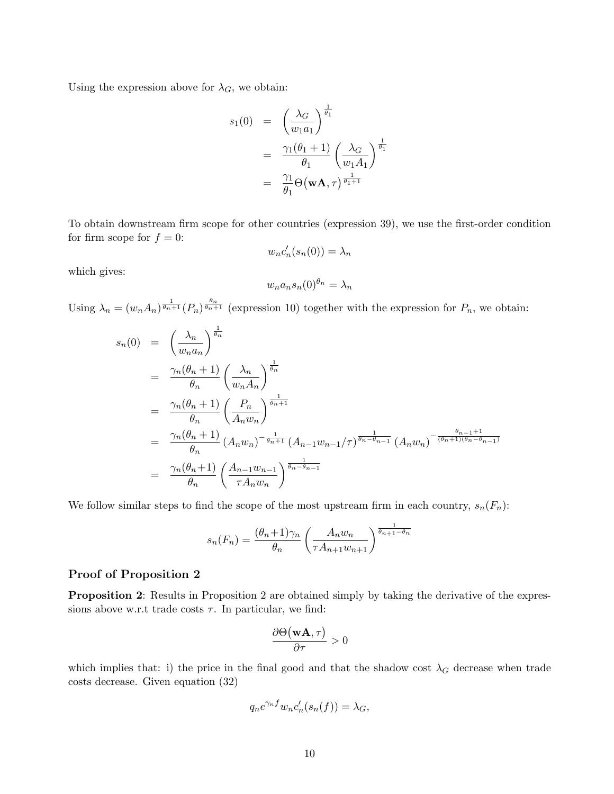Using the expression above for  $\lambda_G$ , we obtain:

$$
s_1(0) = \left(\frac{\lambda_G}{w_1 a_1}\right)^{\frac{1}{\theta_1}}
$$
  
= 
$$
\frac{\gamma_1(\theta_1 + 1)}{\theta_1} \left(\frac{\lambda_G}{w_1 A_1}\right)^{\frac{1}{\theta_1}}
$$
  
= 
$$
\frac{\gamma_1}{\theta_1} \Theta(\mathbf{w} \mathbf{A}, \tau)^{\frac{1}{\theta_1 + 1}}
$$

To obtain downstream firm scope for other countries (expression 39), we use the first-order condition for firm scope for  $f = 0$ :

$$
w_n c'_n(s_n(0)) = \lambda_n
$$

which gives:

$$
w_n a_n s_n(0)^{\theta_n} = \lambda_n
$$

Using  $\lambda_n = (w_n A_n)^{\frac{1}{\theta_n+1}} (P_n)^{\frac{\theta_n}{\theta_n+1}}$  (expression 10) together with the expression for  $P_n$ , we obtain:

$$
s_n(0) = \left(\frac{\lambda_n}{w_n a_n}\right)^{\frac{1}{\theta_n}}
$$
  
\n
$$
= \frac{\gamma_n(\theta_n + 1)}{\theta_n} \left(\frac{\lambda_n}{w_n A_n}\right)^{\frac{1}{\theta_n}}
$$
  
\n
$$
= \frac{\gamma_n(\theta_n + 1)}{\theta_n} \left(\frac{P_n}{A_n w_n}\right)^{\frac{1}{\theta_n + 1}}
$$
  
\n
$$
= \frac{\gamma_n(\theta_n + 1)}{\theta_n} (A_n w_n)^{-\frac{1}{\theta_n + 1}} (A_{n-1} w_{n-1}/\tau)^{\frac{1}{\theta_n - \theta_{n-1}}} (A_n w_n)^{-\frac{\theta_{n-1} + 1}{(\theta_n + 1)(\theta_n - \theta_{n-1})}}
$$
  
\n
$$
= \frac{\gamma_n(\theta_n + 1)}{\theta_n} \left(\frac{A_{n-1} w_{n-1}}{\tau A_n w_n}\right)^{\frac{1}{\theta_n - \theta_{n-1}}}
$$

We follow similar steps to find the scope of the most upstream firm in each country,  $s_n(F_n)$ :

$$
s_n(F_n) = \frac{(\theta_n + 1)\gamma_n}{\theta_n} \left(\frac{A_n w_n}{\tau A_{n+1} w_{n+1}}\right)^{\frac{1}{\theta_{n+1} - \theta_n}}
$$

#### Proof of Proposition 2

Proposition 2: Results in Proposition 2 are obtained simply by taking the derivative of the expressions above w.r.t trade costs  $\tau$ . In particular, we find:

$$
\frac{\partial \Theta\big(\mathbf{w}\mathbf{A},\tau\big)}{\partial \tau}>0
$$

which implies that: i) the price in the final good and that the shadow cost  $\lambda_G$  decrease when trade costs decrease. Given equation (32)

$$
q_n e^{\gamma_n f} w_n c'_n(s_n(f)) = \lambda_G,
$$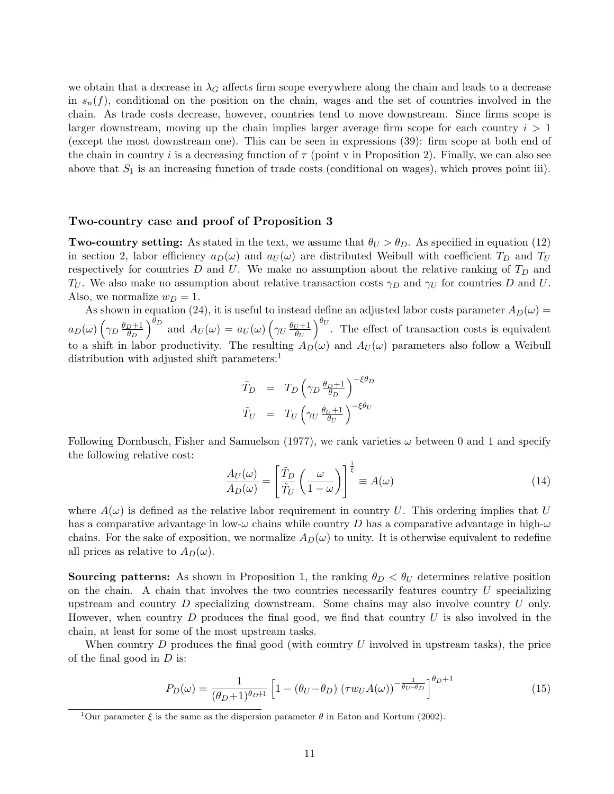we obtain that a decrease in  $\lambda_G$  affects firm scope everywhere along the chain and leads to a decrease in  $s_n(f)$ , conditional on the position on the chain, wages and the set of countries involved in the chain. As trade costs decrease, however, countries tend to move downstream. Since firms scope is larger downstream, moving up the chain implies larger average firm scope for each country  $i > 1$ (except the most downstream one). This can be seen in expressions (39): firm scope at both end of the chain in country i is a decreasing function of  $\tau$  (point v in Proposition 2). Finally, we can also see above that  $S_1$  is an increasing function of trade costs (conditional on wages), which proves point iii).

#### Two-country case and proof of Proposition 3

**Two-country setting:** As stated in the text, we assume that  $\theta_U > \theta_D$ . As specified in equation (12) in section 2, labor efficiency  $a_D(\omega)$  and  $a_U(\omega)$  are distributed Weibull with coefficient  $T_D$  and  $T_U$ respectively for countries  $D$  and  $U$ . We make no assumption about the relative ranking of  $T_D$  and  $T_U$ . We also make no assumption about relative transaction costs  $\gamma_D$  and  $\gamma_U$  for countries D and U. Also, we normalize  $w_D = 1$ .

As shown in equation (24), it is useful to instead define an adjusted labor costs parameter  $A_D(\omega)$  =  $a_D(\omega) \left(\gamma_D \frac{\theta_D+1}{\theta_D}\right)$  $\overline{\theta_D}$  $\int_{0}^{\theta_D}$  and  $A_U(\omega) = a_U(\omega) \left( \gamma_U \frac{\theta_U + 1}{\theta_U} \right)$  $\overline{\theta_U}$  $\int_{0}^{\theta_U}$ . The effect of transaction costs is equivalent to a shift in labor productivity. The resulting  $A_D(\omega)$  and  $A_U(\omega)$  parameters also follow a Weibull distribution with adjusted shift parameters:<sup>1</sup>

$$
\begin{array}{rcl}\n\tilde{T}_D & = & T_D \left( \gamma_D \frac{\theta_D + 1}{\theta_D} \right)^{-\xi \theta_D} \\
\tilde{T}_U & = & T_U \left( \gamma_U \frac{\theta_U + 1}{\theta_U} \right)^{-\xi \theta_U}\n\end{array}
$$

Following Dornbusch, Fisher and Samuelson (1977), we rank varieties  $\omega$  between 0 and 1 and specify the following relative cost:

$$
\frac{A_U(\omega)}{A_D(\omega)} = \left[\frac{\tilde{T}_D}{\tilde{T}_U} \left(\frac{\omega}{1-\omega}\right)\right]^{\frac{1}{\xi}} \equiv A(\omega)
$$
\n(14)

where  $A(\omega)$  is defined as the relative labor requirement in country U. This ordering implies that U has a comparative advantage in low- $\omega$  chains while country D has a comparative advantage in high- $\omega$ chains. For the sake of exposition, we normalize  $A_D(\omega)$  to unity. It is otherwise equivalent to redefine all prices as relative to  $A_D(\omega)$ .

**Sourcing patterns:** As shown in Proposition 1, the ranking  $\theta_D < \theta_U$  determines relative position on the chain. A chain that involves the two countries necessarily features country  $U$  specializing upstream and country  $D$  specializing downstream. Some chains may also involve country  $U$  only. However, when country  $D$  produces the final good, we find that country  $U$  is also involved in the chain, at least for some of the most upstream tasks.

When country  $D$  produces the final good (with country  $U$  involved in upstream tasks), the price of the final good in  $D$  is:

$$
P_D(\omega) = \frac{1}{(\theta_D + 1)^{\theta_D + 1}} \left[ 1 - (\theta_U - \theta_D) \left( \tau w_U A(\omega) \right)^{-\frac{1}{\theta_U - \theta_D}} \right]^{\theta_D + 1} \tag{15}
$$

<sup>&</sup>lt;sup>1</sup>Our parameter  $\xi$  is the same as the dispersion parameter  $\theta$  in Eaton and Kortum (2002).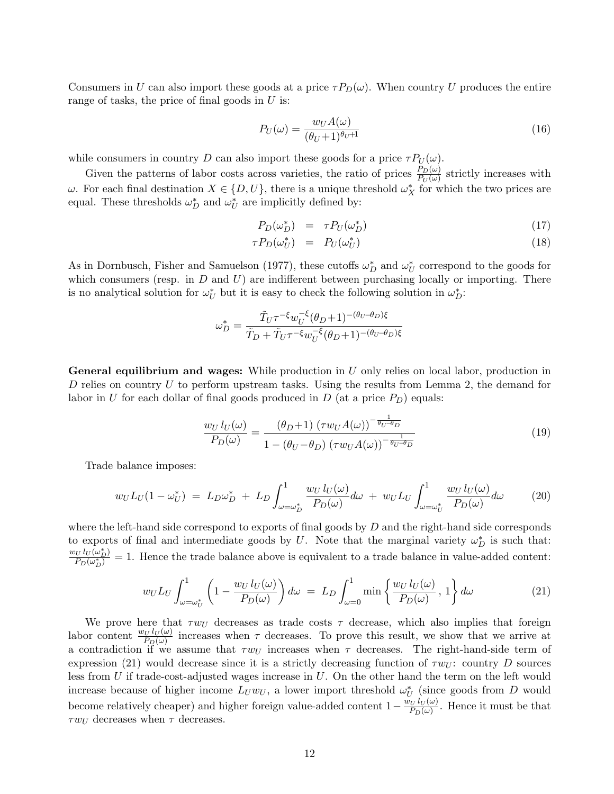Consumers in U can also import these goods at a price  $\tau P_D(\omega)$ . When country U produces the entire range of tasks, the price of final goods in  $U$  is:

$$
P_U(\omega) = \frac{w_U A(\omega)}{(\theta_U + 1)^{\theta_U + 1}}\tag{16}
$$

while consumers in country D can also import these goods for a price  $\tau P_U(\omega)$ .

Given the patterns of labor costs across varieties, the ratio of prices  $\frac{P_D(\omega)}{P_U(\omega)}$  strictly increases with  $ω$ . For each final destination  $X \in \{D, U\}$ , there is a unique threshold  $ω^*$  for which the two prices are equal. These thresholds  $\omega_D^*$  and  $\omega_U^*$  $_{U}^{*}$  are implicitly defined by:

$$
P_D(\omega_D^*) = \tau P_U(\omega_D^*) \tag{17}
$$

$$
\tau P_D(\omega_U^*) = P_U(\omega_U^*) \tag{18}
$$

As in Dornbusch, Fisher and Samuelson (1977), these cutoffs  $\omega_D^*$  and  $\omega_U^*$  $_{U}^{*}$  correspond to the goods for which consumers (resp. in  $D$  and  $U$ ) are indifferent between purchasing locally or importing. There is no analytical solution for  $\omega_L^*$ <sup>\*</sup><sub>U</sub> but it is easy to check the following solution in  $\omega_D^*$ :

$$
\omega_D^*=\frac{\tilde{T}_U\tau^{-\xi}w_U^{-\xi}(\theta_D+1)^{-(\theta_U-\theta_D)\xi}}{\tilde{T}_D+\tilde{T}_U\tau^{-\xi}w_U^{-\xi}(\theta_D+1)^{-(\theta_U-\theta_D)\xi}}
$$

**General equilibrium and wages:** While production in  $U$  only relies on local labor, production in D relies on country  $U$  to perform upstream tasks. Using the results from Lemma 2, the demand for labor in U for each dollar of final goods produced in  $D$  (at a price  $P_D$ ) equals:

$$
\frac{w_U l_U(\omega)}{P_D(\omega)} = \frac{(\theta_D + 1) (\tau w_U A(\omega))^{-\frac{1}{\theta_U - \theta_D}}}{1 - (\theta_U - \theta_D) (\tau w_U A(\omega))^{-\frac{1}{\theta_U - \theta_D}}}
$$
(19)

Trade balance imposes:

$$
w_U L_U(1 - \omega_U^*) = L_D \omega_D^* + L_D \int_{\omega = \omega_D^*}^1 \frac{w_U l_U(\omega)}{P_D(\omega)} d\omega + w_U L_U \int_{\omega = \omega_U^*}^1 \frac{w_U l_U(\omega)}{P_D(\omega)} d\omega \qquad (20)
$$

where the left-hand side correspond to exports of final goods by  $D$  and the right-hand side corresponds to exports of final and intermediate goods by U. Note that the marginal variety  $\omega_D^*$  is such that:  $w_U l_U(\omega_D^*)$  $\frac{\partial^2 U(\omega_D)}{\partial D(\omega_D^*)} = 1$ . Hence the trade balance above is equivalent to a trade balance in value-added content:

$$
w_U L_U \int_{\omega=\omega_U^*}^1 \left(1 - \frac{w_U l_U(\omega)}{P_D(\omega)}\right) d\omega = L_D \int_{\omega=0}^1 \min\left\{\frac{w_U l_U(\omega)}{P_D(\omega)}, 1\right\} d\omega \tag{21}
$$

We prove here that  $\tau w_U$  decreases as trade costs  $\tau$  decrease, which also implies that foreign labor content  $\frac{w_U l_U(\omega)}{P_D(\omega)}$  increases when  $\tau$  decreases. To prove this result, we show that we arrive at a contradiction if we assume that  $\tau w_U$  increases when  $\tau$  decreases. The right-hand-side term of expression (21) would decrease since it is a strictly decreasing function of  $\tau w_U$ : country D sources less from U if trade-cost-adjusted wages increase in  $U$ . On the other hand the term on the left would increase because of higher income  $L_U w_U$ , a lower import threshold  $\omega_L^*$  $_{U}^{*}$  (since goods from D would become relatively cheaper) and higher foreign value-added content  $1-\frac{w_U l_U(\omega)}{P_D(\omega)}$  $\frac{dU U(\omega)}{P_D(\omega)}$ . Hence it must be that  $\tau w_U$  decreases when  $\tau$  decreases.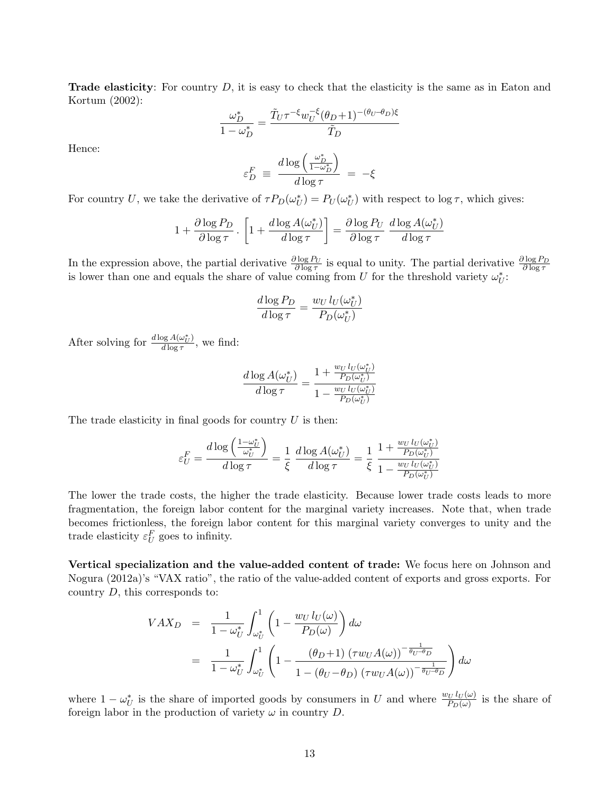**Trade elasticity**: For country  $D$ , it is easy to check that the elasticity is the same as in Eaton and Kortum (2002):

$$
\frac{\omega_D^*}{1-\omega_D^*}=\frac{\tilde{T}_U\tau^{-\xi}w_U^{-\xi}(\theta_D+1)^{-(\theta_U-\theta_D)\xi}}{\tilde{T}_D}
$$

Hence:

$$
\varepsilon_D^F \, \equiv \, \frac{d \log \left( \frac{\omega_D^*}{1 - \omega_D^*} \right)}{d \log \tau} \, = \, - \xi
$$

For country U, we take the derivative of  $\tau P_D(\omega_l^*)$  $U^{*}_{U}$ ) =  $P_{U}(\omega_{U}^{*})$  $U<sub>U</sub>$ ) with respect to  $\log \tau$ , which gives:

$$
1 + \frac{\partial \log P_D}{\partial \log \tau} \cdot \left[ 1 + \frac{d \log A(\omega_U^*)}{d \log \tau} \right] = \frac{\partial \log P_U}{\partial \log \tau} \frac{d \log A(\omega_U^*)}{d \log \tau}
$$

In the expression above, the partial derivative  $\frac{\partial \log P_U}{\partial \log \tau}$  is equal to unity. The partial derivative  $\frac{\partial \log P_D}{\partial \log \tau}$  is lower than one and equals the share of value coming from U for the threshold variety  $\omega_U^$  $_U^*$ :

$$
\frac{d\log P_D}{d\log \tau} = \frac{w_U \, l_U(\omega_U^*)}{P_D(\omega_U^*)}
$$

After solving for  $\frac{d \log A(\omega_U^*)}{d \log \tau}$  $\frac{\partial g A(\omega_U)}{\partial \log \tau}$ , we find:

$$
\frac{d \log A(\omega_U^*)}{d \log \tau} = \frac{1 + \frac{w_U l_U(\omega_U^*)}{P_D(\omega_U^*)}}{1 - \frac{w_U l_U(\omega_U^*)}{P_D(\omega_U^*)}}
$$

The trade elasticity in final goods for country  $U$  is then:

$$
\varepsilon_U^F = \frac{d\log\left(\frac{1-\omega_U^*}{\omega_U^*}\right)}{d\log\tau} = \frac{1}{\xi}\ \frac{d\log A(\omega_U^*)}{d\log\tau} = \frac{1}{\xi}\ \frac{1+\frac{w_U\,l_U(\omega_U^*)}{P_D(\omega_U^*)}}{1-\frac{w_U\,l_U(\omega_U^*)}{P_D(\omega_U^*)}}
$$

The lower the trade costs, the higher the trade elasticity. Because lower trade costs leads to more fragmentation, the foreign labor content for the marginal variety increases. Note that, when trade becomes frictionless, the foreign labor content for this marginal variety converges to unity and the trade elasticity  $\varepsilon_U^F$  goes to infinity.

Vertical specialization and the value-added content of trade: We focus here on Johnson and Nogura (2012a)'s "VAX ratio", the ratio of the value-added content of exports and gross exports. For country D, this corresponds to:

$$
VAX_D = \frac{1}{1 - \omega_U^*} \int_{\omega_U^*}^1 \left( 1 - \frac{w_U l_U(\omega)}{P_D(\omega)} \right) d\omega
$$
  
= 
$$
\frac{1}{1 - \omega_U^*} \int_{\omega_U^*}^1 \left( 1 - \frac{\left( \theta_D + 1 \right) \left( \tau w_U A(\omega) \right)^{-\frac{1}{\theta_U - \theta_D}}}{1 - \left( \theta_U - \theta_D \right) \left( \tau w_U A(\omega) \right)^{-\frac{1}{\theta_U - \theta_D}}} \right) d\omega
$$

where  $1 - \omega_L^*$ <sup>\*</sup><sub>U</sub> is the share of imported goods by consumers in U and where  $\frac{w_U l_U(\omega)}{P_D(\omega)}$  is the share of foreign labor in the production of variety  $\omega$  in country D.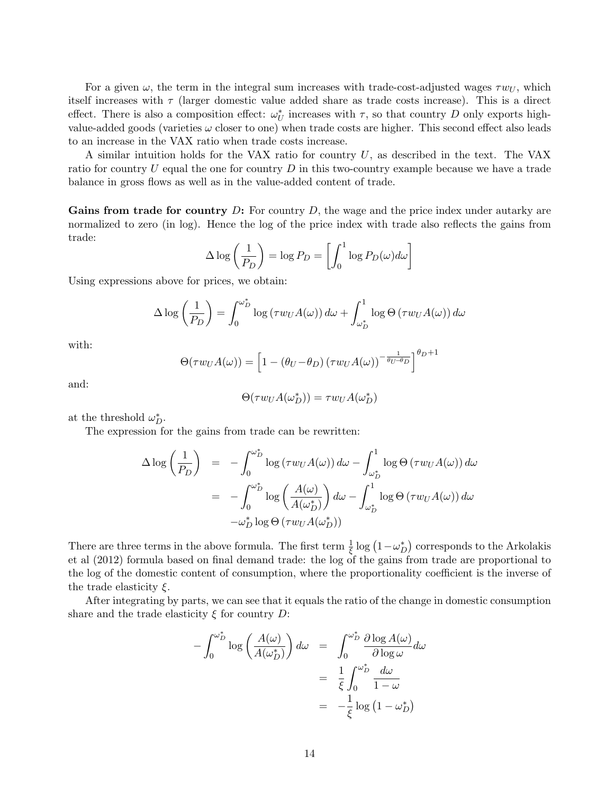For a given  $\omega$ , the term in the integral sum increases with trade-cost-adjusted wages  $\tau w_U$ , which itself increases with  $\tau$  (larger domestic value added share as trade costs increase). This is a direct effect. There is also a composition effect:  $\omega_L^*$  $_{U}^{*}$  increases with  $\tau$ , so that country D only exports highvalue-added goods (varieties  $\omega$  closer to one) when trade costs are higher. This second effect also leads to an increase in the VAX ratio when trade costs increase.

A similar intuition holds for the VAX ratio for country U, as described in the text. The VAX ratio for country  $U$  equal the one for country  $D$  in this two-country example because we have a trade balance in gross flows as well as in the value-added content of trade.

**Gains from trade for country D:** For country D, the wage and the price index under autarky are normalized to zero (in log). Hence the log of the price index with trade also reflects the gains from trade:

$$
\Delta \log \left( \frac{1}{P_D} \right) = \log P_D = \left[ \int_0^1 \log P_D(\omega) d\omega \right]
$$

Using expressions above for prices, we obtain:

$$
\Delta \log \left( \frac{1}{P_D} \right) = \int_0^{\omega_D^*} \log \left( \tau w_U A(\omega) \right) d\omega + \int_{\omega_D^*}^1 \log \Theta \left( \tau w_U A(\omega) \right) d\omega
$$

with:

$$
\Theta(\tau w_U A(\omega)) = \left[1 - (\theta_U - \theta_D) (\tau w_U A(\omega))^{-\frac{1}{\theta_U - \theta_D}}\right]^{\theta_D + 1}
$$

and:

$$
\Theta(\tau w_U A(\omega_D^*)) = \tau w_U A(\omega_D^*)
$$

at the threshold  $\omega_D^*$ .

The expression for the gains from trade can be rewritten:

$$
\Delta \log \left(\frac{1}{P_D}\right) = -\int_0^{\omega_D^*} \log \left(\tau w_U A(\omega)\right) d\omega - \int_{\omega_D^*}^1 \log \Theta \left(\tau w_U A(\omega)\right) d\omega
$$

$$
= -\int_0^{\omega_D^*} \log \left(\frac{A(\omega)}{A(\omega_D^*)}\right) d\omega - \int_{\omega_D^*}^1 \log \Theta \left(\tau w_U A(\omega)\right) d\omega
$$

$$
-\omega_D^* \log \Theta \left(\tau w_U A(\omega_D^*)\right)
$$

There are three terms in the above formula. The first term  $\frac{1}{\xi} \log (1 - \omega_L^*$  $_{D}^{*}$ ) corresponds to the Arkolakis et al (2012) formula based on final demand trade: the log of the gains from trade are proportional to the log of the domestic content of consumption, where the proportionality coefficient is the inverse of the trade elasticity  $\xi$ .

After integrating by parts, we can see that it equals the ratio of the change in domestic consumption share and the trade elasticity  $\xi$  for country  $D$ :

$$
-\int_0^{\omega_D^*} \log \left( \frac{A(\omega)}{A(\omega_D^*)} \right) d\omega = \int_0^{\omega_D^*} \frac{\partial \log A(\omega)}{\partial \log \omega} d\omega
$$

$$
= \frac{1}{\xi} \int_0^{\omega_D^*} \frac{d\omega}{1 - \omega}
$$

$$
= -\frac{1}{\xi} \log (1 - \omega_D^*)
$$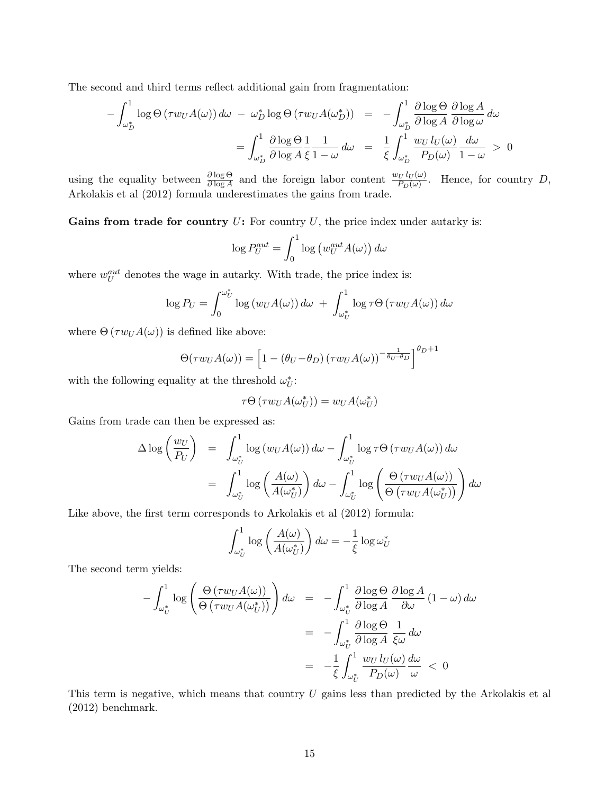The second and third terms reflect additional gain from fragmentation:

$$
-\int_{\omega_D^*}^1 \log \Theta \left(\tau w_U A(\omega)\right) d\omega - \omega_D^* \log \Theta \left(\tau w_U A(\omega_D^*)\right) = -\int_{\omega_D^*}^1 \frac{\partial \log \Theta}{\partial \log A} \frac{\partial \log A}{\partial \log \omega} d\omega
$$

$$
= \int_{\omega_D^*}^1 \frac{\partial \log \Theta}{\partial \log A} \frac{1}{\xi} \frac{1}{1-\omega} d\omega = \frac{1}{\xi} \int_{\omega_D^*}^1 \frac{w_U l_U(\omega)}{P_D(\omega)} \frac{d\omega}{1-\omega} > 0
$$

using the equality between  $\frac{\partial \log \Theta}{\partial \log A}$  and the foreign labor content  $\frac{w_U l_U(\omega)}{P_D(\omega)}$ . Hence, for country D, Arkolakis et al (2012) formula underestimates the gains from trade.

Gains from trade for country  $U$ : For country  $U$ , the price index under autarky is:

$$
\log P_U^{aut} = \int_0^1 \log \left( w_U^{aut} A(\omega) \right) d\omega
$$

where  $w_U^{aut}$  denotes the wage in autarky. With trade, the price index is:

$$
\log P_U = \int_0^{\omega_U^*} \log (w_U A(\omega)) d\omega + \int_{\omega_U^*}^1 \log \tau \Theta (\tau w_U A(\omega)) d\omega
$$

where  $\Theta(\tau w_U A(\omega))$  is defined like above:

$$
\Theta(\tau w_U A(\omega)) = \left[1 - (\theta_U - \theta_D) (\tau w_U A(\omega))^{-\frac{1}{\theta_U - \theta_D}}\right]^{\theta_D + 1}
$$

with the following equality at the threshold  $\omega_L^*$  $_U^*$ :

$$
\tau\Theta\left(\tau w_U A(\omega_U^*)\right) = w_U A(\omega_U^*)
$$

Gains from trade can then be expressed as:

$$
\Delta \log \left( \frac{w_U}{P_U} \right) = \int_{\omega_U^*}^1 \log \left( w_U A(\omega) \right) d\omega - \int_{\omega_U^*}^1 \log \tau \Theta \left( \tau w_U A(\omega) \right) d\omega \n= \int_{\omega_U^*}^1 \log \left( \frac{A(\omega)}{A(\omega_U^*)} \right) d\omega - \int_{\omega_U^*}^1 \log \left( \frac{\Theta \left( \tau w_U A(\omega) \right)}{\Theta \left( \tau w_U A(\omega_U^*) \right)} \right) d\omega
$$

Like above, the first term corresponds to Arkolakis et al (2012) formula:

$$
\int_{\omega_U^*}^{1} \log \left( \frac{A(\omega)}{A(\omega_U^*)} \right) d\omega = -\frac{1}{\xi} \log \omega_U^*
$$

The second term yields:

$$
-\int_{\omega_U^*}^1 \log \left( \frac{\Theta(\tau w_U A(\omega))}{\Theta(\tau w_U A(\omega_U^*))} \right) d\omega = -\int_{\omega_U^*}^1 \frac{\partial \log \Theta}{\partial \log A} \frac{\partial \log A}{\partial \omega} (1 - \omega) d\omega
$$

$$
= -\int_{\omega_U^*}^1 \frac{\partial \log \Theta}{\partial \log A} \frac{1}{\xi \omega} d\omega
$$

$$
= -\frac{1}{\xi} \int_{\omega_U^*}^1 \frac{w_U l_U(\omega) d\omega}{P_D(\omega) \omega} < 0
$$

This term is negative, which means that country  $U$  gains less than predicted by the Arkolakis et al (2012) benchmark.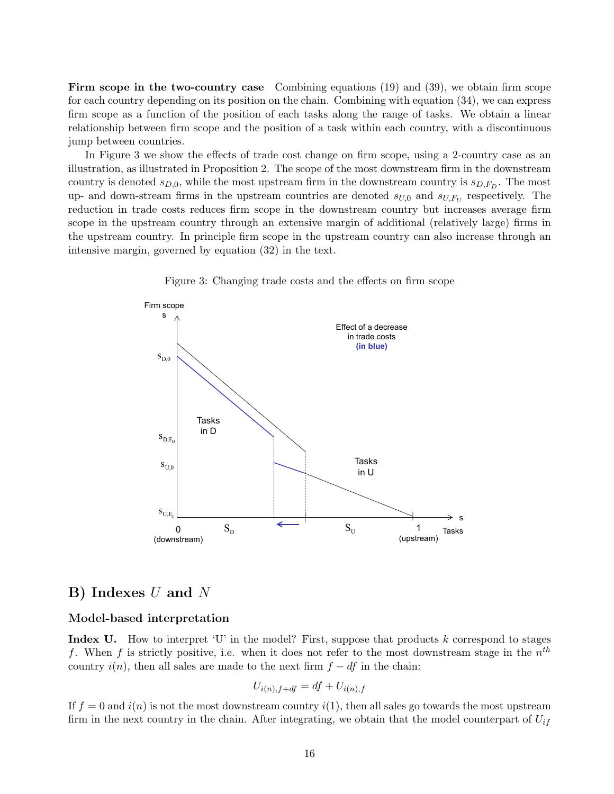Firm scope in the two-country case Combining equations (19) and (39), we obtain firm scope for each country depending on its position on the chain. Combining with equation (34), we can express firm scope as a function of the position of each tasks along the range of tasks. We obtain a linear relationship between firm scope and the position of a task within each country, with a discontinuous jump between countries.

In Figure 3 we show the effects of trade cost change on firm scope, using a 2-country case as an illustration, as illustrated in Proposition 2. The scope of the most downstream firm in the downstream country is denoted  $s_{D,0}$ , while the most upstream firm in the downstream country is  $s_{D,F_D}$ . The most up- and down-stream firms in the upstream countries are denoted  $s_{U,0}$  and  $s_{U,F_U}$  respectively. The reduction in trade costs reduces firm scope in the downstream country but increases average firm scope in the upstream country through an extensive margin of additional (relatively large) firms in the upstream country. In principle firm scope in the upstream country can also increase through an intensive margin, governed by equation (32) in the text.



Figure 3: Changing trade costs and the effects on firm scope

# B) Indexes U and N

#### Model-based interpretation

**Index U.** How to interpret 'U' in the model? First, suppose that products  $k$  correspond to stages f. When f is strictly positive, i.e. when it does not refer to the most downstream stage in the  $n^{th}$ country  $i(n)$ , then all sales are made to the next firm  $f - df$  in the chain:

$$
U_{i(n),f+df} = df + U_{i(n),f}
$$

If  $f = 0$  and  $i(n)$  is not the most downstream country  $i(1)$ , then all sales go towards the most upstream firm in the next country in the chain. After integrating, we obtain that the model counterpart of  $U_{if}$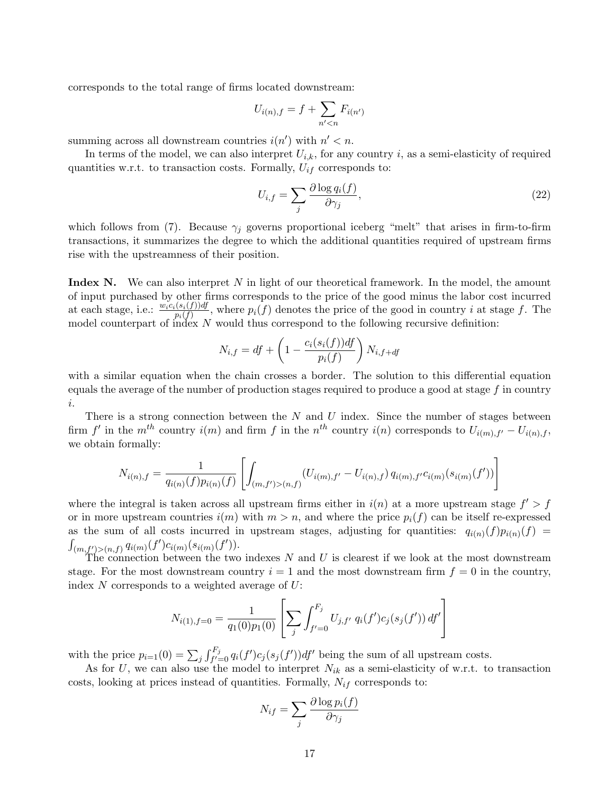corresponds to the total range of firms located downstream:

$$
U_{i(n),f} = f + \sum_{n' < n} F_{i(n')}
$$

summing across all downstream countries  $i(n')$  with  $n' < n$ .

In terms of the model, we can also interpret  $U_{i,k}$ , for any country i, as a semi-elasticity of required quantities w.r.t. to transaction costs. Formally,  $U_{if}$  corresponds to:

$$
U_{i,f} = \sum_{j} \frac{\partial \log q_i(f)}{\partial \gamma_j},\tag{22}
$$

which follows from (7). Because  $\gamma_i$  governs proportional iceberg "melt" that arises in firm-to-firm transactions, it summarizes the degree to which the additional quantities required of upstream firms rise with the upstreamness of their position.

**Index N.** We can also interpret N in light of our theoretical framework. In the model, the amount of input purchased by other firms corresponds to the price of the good minus the labor cost incurred at each stage, i.e.:  $\frac{w_ic_i(s_i(f))df}{p_i(f)}$ , where  $p_i(f)$  denotes the price of the good in country *i* at stage *f*. The model counterpart of index N would thus correspond to the following recursive definition:

$$
N_{i,f} = df + \left(1 - \frac{c_i(s_i(f))df}{p_i(f)}\right)N_{i,f+df}
$$

with a similar equation when the chain crosses a border. The solution to this differential equation equals the average of the number of production stages required to produce a good at stage  $f$  in country i.

There is a strong connection between the  $N$  and  $U$  index. Since the number of stages between firm f' in the  $m^{th}$  country  $i(m)$  and firm f in the  $n^{th}$  country  $i(n)$  corresponds to  $U_{i(m),f'} - U_{i(n),f}$ , we obtain formally:

$$
N_{i(n),f} = \frac{1}{q_{i(n)}(f)p_{i(n)}(f)} \left[ \int_{(m,f')>(n,f)} (U_{i(m),f'} - U_{i(n),f}) q_{i(m),f'} c_{i(m)}(s_{i(m)}(f')) \right]
$$

where the integral is taken across all upstream firms either in  $i(n)$  at a more upstream stage  $f' > f$ or in more upstream countries  $i(m)$  with  $m > n$ , and where the price  $p_i(f)$  can be itself re-expressed as the sum of all costs incurred in upstream stages, adjusting for quantities:  $q_{i(n)}(f)p_{i(n)}(f)$  $\int_{(m,f')>(n,f)} q_{i(m)}(f')c_{i(m)}(s_{i(m)}(f')).$ 

The connection between the two indexes  $N$  and  $U$  is clearest if we look at the most downstream stage. For the most downstream country  $i = 1$  and the most downstream firm  $f = 0$  in the country, index  $N$  corresponds to a weighted average of  $U$ :

$$
N_{i(1),f=0} = \frac{1}{q_1(0)p_1(0)} \left[ \sum_j \int_{f'=0}^{F_j} U_{j,f'} q_i(f') c_j(s_j(f')) df' \right]
$$

with the price  $p_{i=1}(0) = \sum_j \int_{f'=0}^{F_j} q_i(f') c_j(s_j(f')) df'$  being the sum of all upstream costs.

As for U, we can also use the model to interpret  $N_{ik}$  as a semi-elasticity of w.r.t. to transaction costs, looking at prices instead of quantities. Formally,  $N_{if}$  corresponds to:

$$
N_{if} = \sum_{j} \frac{\partial \log p_i(f)}{\partial \gamma_j}
$$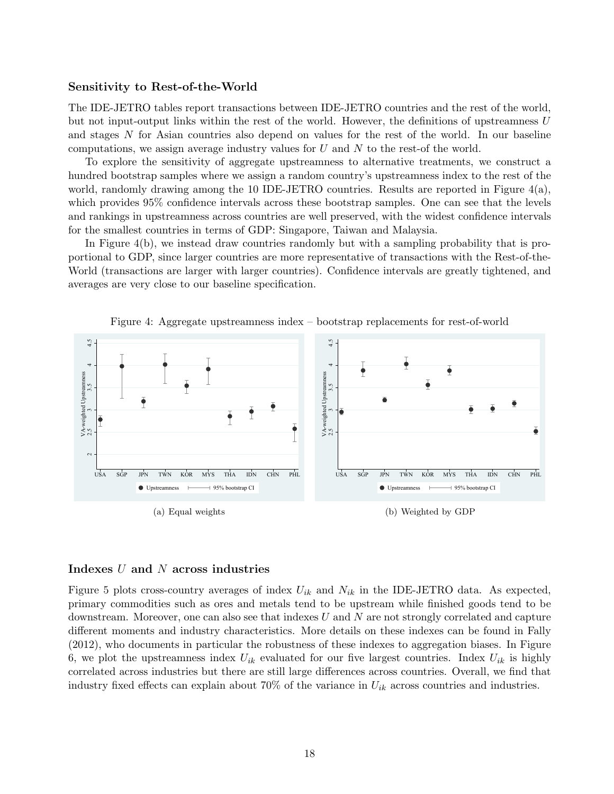#### Sensitivity to Rest-of-the-World

The IDE-JETRO tables report transactions between IDE-JETRO countries and the rest of the world, but not input-output links within the rest of the world. However, the definitions of upstreamness U and stages N for Asian countries also depend on values for the rest of the world. In our baseline computations, we assign average industry values for  $U$  and  $N$  to the rest-of the world.

To explore the sensitivity of aggregate upstreamness to alternative treatments, we construct a hundred bootstrap samples where we assign a random country's upstreamness index to the rest of the world, randomly drawing among the 10 IDE-JETRO countries. Results are reported in Figure  $4(a)$ , which provides 95% confidence intervals across these bootstrap samples. One can see that the levels and rankings in upstreamness across countries are well preserved, with the widest confidence intervals for the smallest countries in terms of GDP: Singapore, Taiwan and Malaysia.

In Figure 4(b), we instead draw countries randomly but with a sampling probability that is proportional to GDP, since larger countries are more representative of transactions with the Rest-of-the-World (transactions are larger with larger countries). Confidence intervals are greatly tightened, and averages are very close to our baseline specification.



Figure 4: Aggregate upstreamness index – bootstrap replacements for rest-of-world

#### Indexes U and N across industries

Figure 5 plots cross-country averages of index  $U_{ik}$  and  $N_{ik}$  in the IDE-JETRO data. As expected, primary commodities such as ores and metals tend to be upstream while finished goods tend to be downstream. Moreover, one can also see that indexes  $U$  and  $N$  are not strongly correlated and capture different moments and industry characteristics. More details on these indexes can be found in Fally (2012), who documents in particular the robustness of these indexes to aggregation biases. In Figure 6, we plot the upstreamness index  $U_{ik}$  evaluated for our five largest countries. Index  $U_{ik}$  is highly correlated across industries but there are still large differences across countries. Overall, we find that industry fixed effects can explain about 70% of the variance in  $U_{ik}$  across countries and industries.